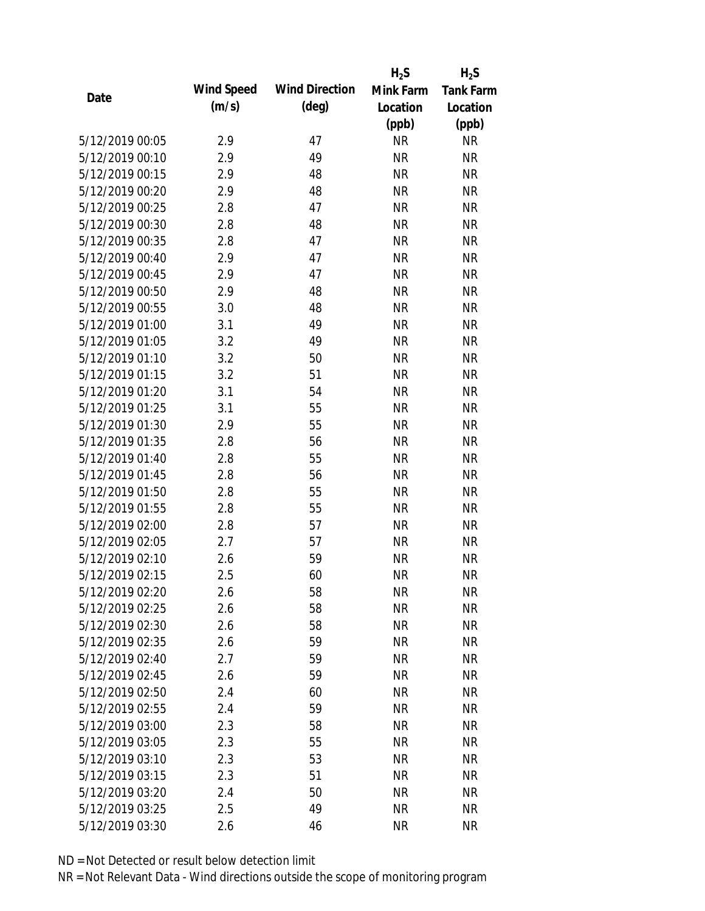|                 |            |                       | $H_2S$    | $H_2S$           |
|-----------------|------------|-----------------------|-----------|------------------|
| Date            | Wind Speed | <b>Wind Direction</b> | Mink Farm | <b>Tank Farm</b> |
|                 | (m/s)      | $(\text{deg})$        | Location  | Location         |
|                 |            |                       | (ppb)     | (ppb)            |
| 5/12/2019 00:05 | 2.9        | 47                    | <b>NR</b> | <b>NR</b>        |
| 5/12/2019 00:10 | 2.9        | 49                    | <b>NR</b> | <b>NR</b>        |
| 5/12/2019 00:15 | 2.9        | 48                    | <b>NR</b> | <b>NR</b>        |
| 5/12/2019 00:20 | 2.9        | 48                    | <b>NR</b> | <b>NR</b>        |
| 5/12/2019 00:25 | 2.8        | 47                    | <b>NR</b> | <b>NR</b>        |
| 5/12/2019 00:30 | 2.8        | 48                    | <b>NR</b> | <b>NR</b>        |
| 5/12/2019 00:35 | 2.8        | 47                    | <b>NR</b> | <b>NR</b>        |
| 5/12/2019 00:40 | 2.9        | 47                    | <b>NR</b> | <b>NR</b>        |
| 5/12/2019 00:45 | 2.9        | 47                    | <b>NR</b> | <b>NR</b>        |
| 5/12/2019 00:50 | 2.9        | 48                    | <b>NR</b> | <b>NR</b>        |
| 5/12/2019 00:55 | 3.0        | 48                    | <b>NR</b> | <b>NR</b>        |
| 5/12/2019 01:00 | 3.1        | 49                    | <b>NR</b> | <b>NR</b>        |
| 5/12/2019 01:05 | 3.2        | 49                    | <b>NR</b> | <b>NR</b>        |
| 5/12/2019 01:10 | 3.2        | 50                    | <b>NR</b> | <b>NR</b>        |
| 5/12/2019 01:15 | 3.2        | 51                    | <b>NR</b> | <b>NR</b>        |
| 5/12/2019 01:20 | 3.1        | 54                    | <b>NR</b> | <b>NR</b>        |
| 5/12/2019 01:25 | 3.1        | 55                    | <b>NR</b> | <b>NR</b>        |
| 5/12/2019 01:30 | 2.9        | 55                    | <b>NR</b> | <b>NR</b>        |
| 5/12/2019 01:35 | 2.8        | 56                    | <b>NR</b> | <b>NR</b>        |
| 5/12/2019 01:40 | 2.8        | 55                    | <b>NR</b> | <b>NR</b>        |
| 5/12/2019 01:45 | 2.8        | 56                    | <b>NR</b> | <b>NR</b>        |
| 5/12/2019 01:50 | 2.8        | 55                    | <b>NR</b> | <b>NR</b>        |
| 5/12/2019 01:55 | 2.8        | 55                    | <b>NR</b> | <b>NR</b>        |
| 5/12/2019 02:00 | 2.8        | 57                    | <b>NR</b> | <b>NR</b>        |
| 5/12/2019 02:05 | 2.7        | 57                    | <b>NR</b> | <b>NR</b>        |
| 5/12/2019 02:10 | 2.6        | 59                    | <b>NR</b> | <b>NR</b>        |
| 5/12/2019 02:15 | 2.5        | 60                    | <b>NR</b> | <b>NR</b>        |
| 5/12/2019 02:20 | 2.6        | 58                    | <b>NR</b> | <b>NR</b>        |
| 5/12/2019 02:25 | 2.6        | 58                    | <b>NR</b> | <b>NR</b>        |
| 5/12/2019 02:30 | 2.6        | 58                    | NR        | <b>NR</b>        |
| 5/12/2019 02:35 | 2.6        | 59                    | <b>NR</b> | <b>NR</b>        |
| 5/12/2019 02:40 | 2.7        | 59                    | <b>NR</b> | <b>NR</b>        |
| 5/12/2019 02:45 | 2.6        | 59                    | <b>NR</b> | <b>NR</b>        |
| 5/12/2019 02:50 | 2.4        | 60                    | <b>NR</b> | <b>NR</b>        |
| 5/12/2019 02:55 | 2.4        | 59                    | <b>NR</b> | <b>NR</b>        |
| 5/12/2019 03:00 | 2.3        | 58                    | <b>NR</b> | <b>NR</b>        |
| 5/12/2019 03:05 | 2.3        | 55                    | <b>NR</b> | <b>NR</b>        |
| 5/12/2019 03:10 | 2.3        | 53                    | <b>NR</b> | <b>NR</b>        |
| 5/12/2019 03:15 | 2.3        | 51                    | <b>NR</b> | <b>NR</b>        |
| 5/12/2019 03:20 | 2.4        | 50                    | <b>NR</b> | <b>NR</b>        |
| 5/12/2019 03:25 | 2.5        | 49                    | <b>NR</b> | <b>NR</b>        |
| 5/12/2019 03:30 | 2.6        | 46                    | <b>NR</b> | <b>NR</b>        |
|                 |            |                       |           |                  |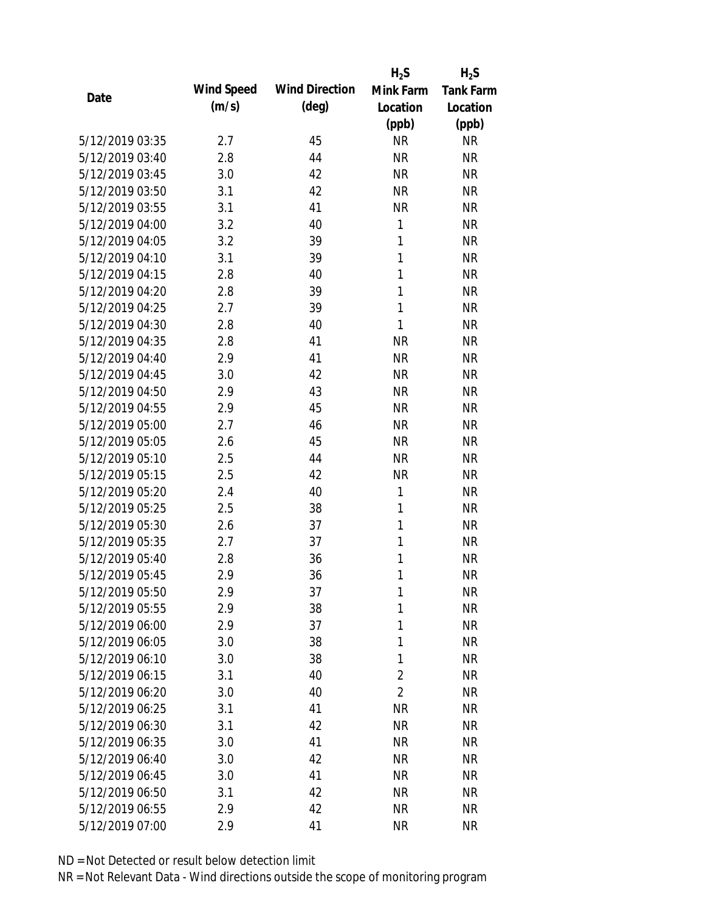|                 |            |                       | $H_2S$         | $H_2S$           |
|-----------------|------------|-----------------------|----------------|------------------|
|                 | Wind Speed | <b>Wind Direction</b> | Mink Farm      | <b>Tank Farm</b> |
| Date            | (m/s)      | $(\text{deg})$        | Location       | Location         |
|                 |            |                       | (ppb)          | (ppb)            |
| 5/12/2019 03:35 | 2.7        | 45                    | <b>NR</b>      | <b>NR</b>        |
| 5/12/2019 03:40 | 2.8        | 44                    | <b>NR</b>      | <b>NR</b>        |
| 5/12/2019 03:45 | 3.0        | 42                    | <b>NR</b>      | <b>NR</b>        |
| 5/12/2019 03:50 | 3.1        | 42                    | <b>NR</b>      | <b>NR</b>        |
| 5/12/2019 03:55 | 3.1        | 41                    | <b>NR</b>      | <b>NR</b>        |
| 5/12/2019 04:00 | 3.2        | 40                    | 1              | <b>NR</b>        |
| 5/12/2019 04:05 | 3.2        | 39                    | 1              | <b>NR</b>        |
| 5/12/2019 04:10 | 3.1        | 39                    | 1              | <b>NR</b>        |
| 5/12/2019 04:15 | 2.8        | 40                    | 1              | <b>NR</b>        |
| 5/12/2019 04:20 | 2.8        | 39                    | 1              | <b>NR</b>        |
| 5/12/2019 04:25 | 2.7        | 39                    | 1              | <b>NR</b>        |
| 5/12/2019 04:30 | 2.8        | 40                    | 1              | <b>NR</b>        |
| 5/12/2019 04:35 | 2.8        | 41                    | <b>NR</b>      | <b>NR</b>        |
| 5/12/2019 04:40 | 2.9        | 41                    | <b>NR</b>      | <b>NR</b>        |
| 5/12/2019 04:45 | 3.0        | 42                    | <b>NR</b>      | <b>NR</b>        |
| 5/12/2019 04:50 | 2.9        | 43                    | <b>NR</b>      | <b>NR</b>        |
| 5/12/2019 04:55 | 2.9        | 45                    | <b>NR</b>      | <b>NR</b>        |
| 5/12/2019 05:00 | 2.7        | 46                    | <b>NR</b>      | <b>NR</b>        |
| 5/12/2019 05:05 | 2.6        | 45                    | <b>NR</b>      | <b>NR</b>        |
| 5/12/2019 05:10 | 2.5        | 44                    | <b>NR</b>      | <b>NR</b>        |
| 5/12/2019 05:15 | 2.5        | 42                    | <b>NR</b>      | <b>NR</b>        |
| 5/12/2019 05:20 | 2.4        | 40                    | 1              | <b>NR</b>        |
| 5/12/2019 05:25 | 2.5        | 38                    | 1              | <b>NR</b>        |
| 5/12/2019 05:30 | 2.6        | 37                    | 1              | <b>NR</b>        |
| 5/12/2019 05:35 | 2.7        | 37                    | 1              | <b>NR</b>        |
| 5/12/2019 05:40 | 2.8        | 36                    | 1              | <b>NR</b>        |
| 5/12/2019 05:45 | 2.9        | 36                    | 1              | <b>NR</b>        |
| 5/12/2019 05:50 | 2.9        | 37                    | 1              | <b>NR</b>        |
| 5/12/2019 05:55 | 2.9        | 38                    | 1              | <b>NR</b>        |
| 5/12/2019 06:00 | 2.9        | 37                    | 1              | <b>NR</b>        |
| 5/12/2019 06:05 | 3.0        | 38                    | 1              | <b>NR</b>        |
| 5/12/2019 06:10 | 3.0        | 38                    | 1              | <b>NR</b>        |
| 5/12/2019 06:15 | 3.1        | 40                    | $\overline{2}$ | NR               |
| 5/12/2019 06:20 | 3.0        | 40                    | $\overline{2}$ | <b>NR</b>        |
| 5/12/2019 06:25 | 3.1        | 41                    | <b>NR</b>      | <b>NR</b>        |
| 5/12/2019 06:30 | 3.1        | 42                    | <b>NR</b>      | <b>NR</b>        |
| 5/12/2019 06:35 | 3.0        | 41                    | <b>NR</b>      | <b>NR</b>        |
| 5/12/2019 06:40 | 3.0        | 42                    | <b>NR</b>      | <b>NR</b>        |
| 5/12/2019 06:45 | 3.0        | 41                    | <b>NR</b>      | NR               |
| 5/12/2019 06:50 | 3.1        | 42                    | <b>NR</b>      | <b>NR</b>        |
| 5/12/2019 06:55 | 2.9        | 42                    | <b>NR</b>      | <b>NR</b>        |
|                 |            |                       |                |                  |
| 5/12/2019 07:00 | 2.9        | 41                    | <b>NR</b>      | <b>NR</b>        |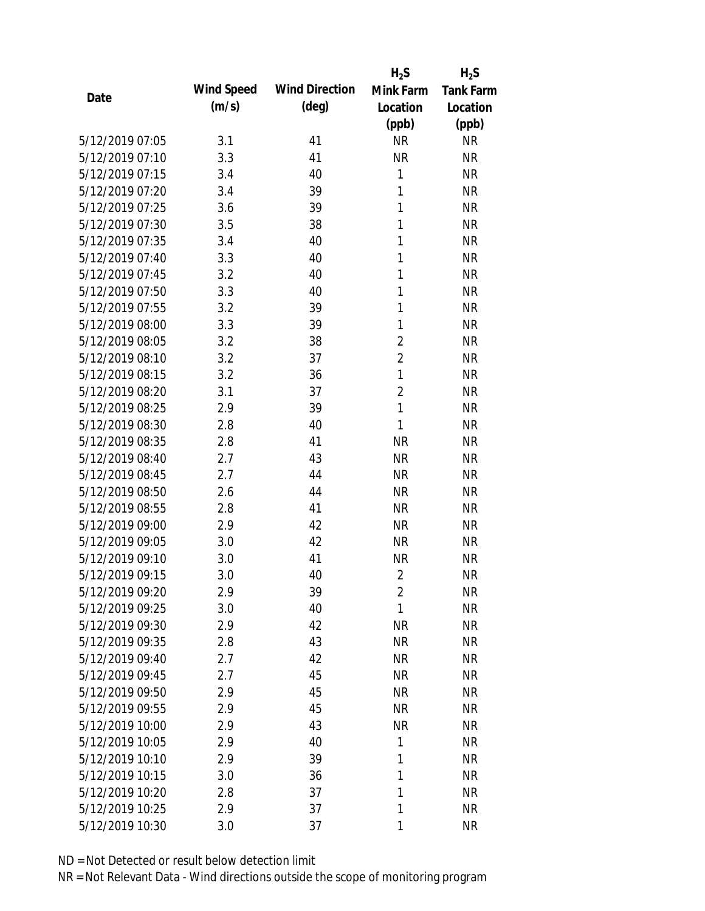|                 |            |                       | $H_2S$         | $H_2S$           |
|-----------------|------------|-----------------------|----------------|------------------|
| Date            | Wind Speed | <b>Wind Direction</b> | Mink Farm      | <b>Tank Farm</b> |
|                 | (m/s)      | $(\text{deg})$        | Location       | Location         |
|                 |            |                       | (ppb)          | (ppb)            |
| 5/12/2019 07:05 | 3.1        | 41                    | <b>NR</b>      | <b>NR</b>        |
| 5/12/2019 07:10 | 3.3        | 41                    | <b>NR</b>      | <b>NR</b>        |
| 5/12/2019 07:15 | 3.4        | 40                    | 1              | <b>NR</b>        |
| 5/12/2019 07:20 | 3.4        | 39                    | $\mathbf{1}$   | <b>NR</b>        |
| 5/12/2019 07:25 | 3.6        | 39                    | 1              | <b>NR</b>        |
| 5/12/2019 07:30 | 3.5        | 38                    | 1              | <b>NR</b>        |
| 5/12/2019 07:35 | 3.4        | 40                    | 1              | <b>NR</b>        |
| 5/12/2019 07:40 | 3.3        | 40                    | 1              | <b>NR</b>        |
| 5/12/2019 07:45 | 3.2        | 40                    | 1              | <b>NR</b>        |
| 5/12/2019 07:50 | 3.3        | 40                    | 1              | <b>NR</b>        |
| 5/12/2019 07:55 | 3.2        | 39                    | 1              | <b>NR</b>        |
| 5/12/2019 08:00 | 3.3        | 39                    | 1              | <b>NR</b>        |
| 5/12/2019 08:05 | 3.2        | 38                    | $\overline{2}$ | <b>NR</b>        |
| 5/12/2019 08:10 | 3.2        | 37                    | $\overline{2}$ | <b>NR</b>        |
| 5/12/2019 08:15 | 3.2        | 36                    | $\mathbf{1}$   | <b>NR</b>        |
| 5/12/2019 08:20 | 3.1        | 37                    | $\overline{2}$ | <b>NR</b>        |
| 5/12/2019 08:25 | 2.9        | 39                    | $\mathbf{1}$   | <b>NR</b>        |
| 5/12/2019 08:30 | 2.8        | 40                    | 1              | <b>NR</b>        |
| 5/12/2019 08:35 | 2.8        | 41                    | <b>NR</b>      | <b>NR</b>        |
| 5/12/2019 08:40 | 2.7        | 43                    | <b>NR</b>      | <b>NR</b>        |
| 5/12/2019 08:45 | 2.7        | 44                    | <b>NR</b>      | <b>NR</b>        |
| 5/12/2019 08:50 | 2.6        | 44                    | <b>NR</b>      | <b>NR</b>        |
| 5/12/2019 08:55 | 2.8        | 41                    | <b>NR</b>      | <b>NR</b>        |
| 5/12/2019 09:00 | 2.9        | 42                    | <b>NR</b>      | <b>NR</b>        |
| 5/12/2019 09:05 | 3.0        | 42                    | <b>NR</b>      | <b>NR</b>        |
| 5/12/2019 09:10 | 3.0        | 41                    | <b>NR</b>      | <b>NR</b>        |
| 5/12/2019 09:15 | 3.0        | 40                    | $\overline{2}$ | <b>NR</b>        |
| 5/12/2019 09:20 | 2.9        | 39                    | $\overline{2}$ | <b>NR</b>        |
| 5/12/2019 09:25 | 3.0        | 40                    | 1              | <b>NR</b>        |
| 5/12/2019 09:30 | 2.9        | 42                    | <b>NR</b>      | <b>NR</b>        |
| 5/12/2019 09:35 | 2.8        | 43                    | <b>NR</b>      | <b>NR</b>        |
| 5/12/2019 09:40 | 2.7        | 42                    | <b>NR</b>      | <b>NR</b>        |
| 5/12/2019 09:45 | 2.7        | 45                    | <b>NR</b>      | <b>NR</b>        |
| 5/12/2019 09:50 | 2.9        | 45                    | <b>NR</b>      | <b>NR</b>        |
| 5/12/2019 09:55 | 2.9        | 45                    | <b>NR</b>      | <b>NR</b>        |
| 5/12/2019 10:00 | 2.9        | 43                    | <b>NR</b>      | <b>NR</b>        |
| 5/12/2019 10:05 | 2.9        | 40                    | 1              | <b>NR</b>        |
| 5/12/2019 10:10 | 2.9        | 39                    | 1              | <b>NR</b>        |
| 5/12/2019 10:15 | 3.0        | 36                    | 1              | <b>NR</b>        |
| 5/12/2019 10:20 | 2.8        | 37                    | 1              | <b>NR</b>        |
| 5/12/2019 10:25 | 2.9        | 37                    | 1              | <b>NR</b>        |
| 5/12/2019 10:30 | 3.0        | 37                    | 1              | <b>NR</b>        |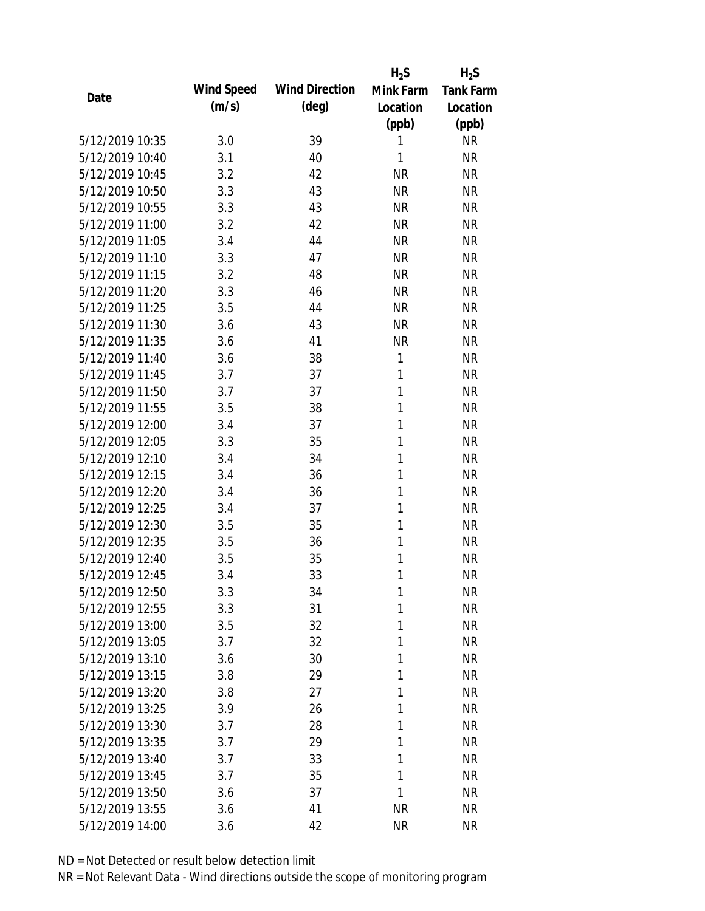|                 |            |                       | $H_2S$       | $H_2S$           |
|-----------------|------------|-----------------------|--------------|------------------|
| Date            | Wind Speed | <b>Wind Direction</b> | Mink Farm    | <b>Tank Farm</b> |
|                 | (m/s)      | $(\text{deg})$        | Location     | Location         |
|                 |            |                       | (ppb)        | (ppb)            |
| 5/12/2019 10:35 | 3.0        | 39                    | 1            | <b>NR</b>        |
| 5/12/2019 10:40 | 3.1        | 40                    | 1            | <b>NR</b>        |
| 5/12/2019 10:45 | 3.2        | 42                    | <b>NR</b>    | <b>NR</b>        |
| 5/12/2019 10:50 | 3.3        | 43                    | <b>NR</b>    | <b>NR</b>        |
| 5/12/2019 10:55 | 3.3        | 43                    | <b>NR</b>    | <b>NR</b>        |
| 5/12/2019 11:00 | 3.2        | 42                    | <b>NR</b>    | <b>NR</b>        |
| 5/12/2019 11:05 | 3.4        | 44                    | <b>NR</b>    | <b>NR</b>        |
| 5/12/2019 11:10 | 3.3        | 47                    | <b>NR</b>    | <b>NR</b>        |
| 5/12/2019 11:15 | 3.2        | 48                    | <b>NR</b>    | <b>NR</b>        |
| 5/12/2019 11:20 | 3.3        | 46                    | <b>NR</b>    | <b>NR</b>        |
| 5/12/2019 11:25 | 3.5        | 44                    | <b>NR</b>    | <b>NR</b>        |
| 5/12/2019 11:30 | 3.6        | 43                    | <b>NR</b>    | <b>NR</b>        |
| 5/12/2019 11:35 | 3.6        | 41                    | <b>NR</b>    | <b>NR</b>        |
| 5/12/2019 11:40 | 3.6        | 38                    | 1            | <b>NR</b>        |
| 5/12/2019 11:45 | 3.7        | 37                    | 1            | <b>NR</b>        |
| 5/12/2019 11:50 | 3.7        | 37                    | 1            | <b>NR</b>        |
| 5/12/2019 11:55 | 3.5        | 38                    | 1            | <b>NR</b>        |
| 5/12/2019 12:00 | 3.4        | 37                    | 1            | <b>NR</b>        |
| 5/12/2019 12:05 | 3.3        | 35                    | 1            | <b>NR</b>        |
| 5/12/2019 12:10 | 3.4        | 34                    | 1            | <b>NR</b>        |
| 5/12/2019 12:15 | 3.4        | 36                    | 1            | <b>NR</b>        |
| 5/12/2019 12:20 | 3.4        | 36                    | 1            | <b>NR</b>        |
| 5/12/2019 12:25 | 3.4        | 37                    | 1            | <b>NR</b>        |
| 5/12/2019 12:30 | 3.5        | 35                    | 1            | <b>NR</b>        |
| 5/12/2019 12:35 | 3.5        | 36                    | 1            | <b>NR</b>        |
| 5/12/2019 12:40 | 3.5        | 35                    | 1            | <b>NR</b>        |
| 5/12/2019 12:45 | 3.4        | 33                    | 1            | <b>NR</b>        |
| 5/12/2019 12:50 | 3.3        | 34                    | $\mathbf{1}$ | <b>NR</b>        |
| 5/12/2019 12:55 | 3.3        | 31                    | 1            | <b>NR</b>        |
| 5/12/2019 13:00 | 3.5        | 32                    | 1            | <b>NR</b>        |
| 5/12/2019 13:05 | 3.7        | 32                    | 1            | <b>NR</b>        |
| 5/12/2019 13:10 | 3.6        | 30                    | 1            | <b>NR</b>        |
| 5/12/2019 13:15 | 3.8        | 29                    | 1            | <b>NR</b>        |
| 5/12/2019 13:20 | 3.8        | 27                    | 1            | <b>NR</b>        |
| 5/12/2019 13:25 | 3.9        | 26                    | 1            | <b>NR</b>        |
| 5/12/2019 13:30 | 3.7        | 28                    | 1            | <b>NR</b>        |
| 5/12/2019 13:35 | 3.7        | 29                    | 1            | <b>NR</b>        |
| 5/12/2019 13:40 | 3.7        | 33                    | 1            | <b>NR</b>        |
| 5/12/2019 13:45 | 3.7        | 35                    | 1            | <b>NR</b>        |
| 5/12/2019 13:50 | 3.6        | 37                    | 1            | <b>NR</b>        |
| 5/12/2019 13:55 | 3.6        | 41                    | <b>NR</b>    | <b>NR</b>        |
| 5/12/2019 14:00 | 3.6        | 42                    | <b>NR</b>    | <b>NR</b>        |
|                 |            |                       |              |                  |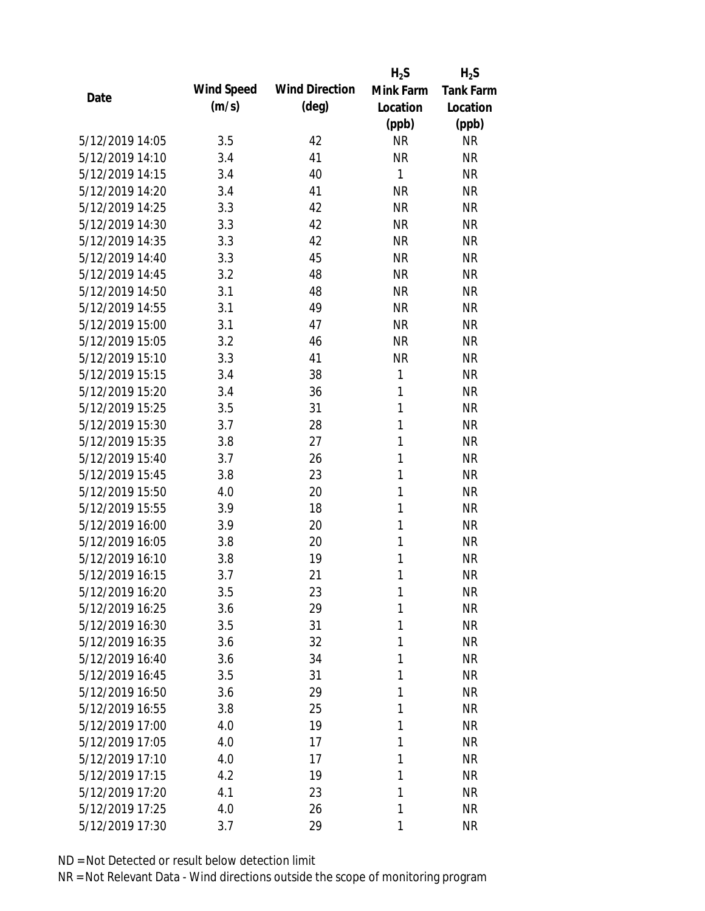|                 |            |                       | $H_2S$       | $H_2S$           |
|-----------------|------------|-----------------------|--------------|------------------|
| Date            | Wind Speed | <b>Wind Direction</b> | Mink Farm    | <b>Tank Farm</b> |
|                 | (m/s)      | $(\text{deg})$        | Location     | Location         |
|                 |            |                       | (ppb)        | (ppb)            |
| 5/12/2019 14:05 | 3.5        | 42                    | <b>NR</b>    | <b>NR</b>        |
| 5/12/2019 14:10 | 3.4        | 41                    | <b>NR</b>    | <b>NR</b>        |
| 5/12/2019 14:15 | 3.4        | 40                    | $\mathbf{1}$ | <b>NR</b>        |
| 5/12/2019 14:20 | 3.4        | 41                    | <b>NR</b>    | <b>NR</b>        |
| 5/12/2019 14:25 | 3.3        | 42                    | <b>NR</b>    | <b>NR</b>        |
| 5/12/2019 14:30 | 3.3        | 42                    | <b>NR</b>    | <b>NR</b>        |
| 5/12/2019 14:35 | 3.3        | 42                    | <b>NR</b>    | <b>NR</b>        |
| 5/12/2019 14:40 | 3.3        | 45                    | <b>NR</b>    | <b>NR</b>        |
| 5/12/2019 14:45 | 3.2        | 48                    | <b>NR</b>    | <b>NR</b>        |
| 5/12/2019 14:50 | 3.1        | 48                    | <b>NR</b>    | <b>NR</b>        |
| 5/12/2019 14:55 | 3.1        | 49                    | <b>NR</b>    | <b>NR</b>        |
| 5/12/2019 15:00 | 3.1        | 47                    | <b>NR</b>    | <b>NR</b>        |
| 5/12/2019 15:05 | 3.2        | 46                    | <b>NR</b>    | <b>NR</b>        |
| 5/12/2019 15:10 | 3.3        | 41                    | <b>NR</b>    | <b>NR</b>        |
| 5/12/2019 15:15 | 3.4        | 38                    | 1            | <b>NR</b>        |
| 5/12/2019 15:20 | 3.4        | 36                    | 1            | <b>NR</b>        |
| 5/12/2019 15:25 | 3.5        | 31                    | 1            | <b>NR</b>        |
| 5/12/2019 15:30 | 3.7        | 28                    | 1            | <b>NR</b>        |
| 5/12/2019 15:35 | 3.8        | 27                    | 1            | <b>NR</b>        |
| 5/12/2019 15:40 | 3.7        | 26                    | 1            | <b>NR</b>        |
| 5/12/2019 15:45 | 3.8        | 23                    | 1            | <b>NR</b>        |
| 5/12/2019 15:50 | 4.0        | 20                    | 1            | <b>NR</b>        |
| 5/12/2019 15:55 | 3.9        | 18                    | 1            | <b>NR</b>        |
| 5/12/2019 16:00 | 3.9        | 20                    | 1            | <b>NR</b>        |
| 5/12/2019 16:05 | 3.8        | 20                    | 1            | <b>NR</b>        |
| 5/12/2019 16:10 | 3.8        | 19                    | 1            | <b>NR</b>        |
| 5/12/2019 16:15 | 3.7        | 21                    | 1            | <b>NR</b>        |
| 5/12/2019 16:20 | 3.5        | 23                    | 1            | <b>NR</b>        |
| 5/12/2019 16:25 | 3.6        | 29                    | 1            | <b>NR</b>        |
| 5/12/2019 16:30 | 3.5        | 31                    | 1            | <b>NR</b>        |
| 5/12/2019 16:35 | 3.6        | 32                    | 1            | <b>NR</b>        |
| 5/12/2019 16:40 | 3.6        | 34                    | 1            | <b>NR</b>        |
| 5/12/2019 16:45 | 3.5        | 31                    | 1            | <b>NR</b>        |
| 5/12/2019 16:50 | 3.6        | 29                    | 1            | <b>NR</b>        |
| 5/12/2019 16:55 | 3.8        | 25                    | 1            | <b>NR</b>        |
| 5/12/2019 17:00 | 4.0        | 19                    | 1            | <b>NR</b>        |
| 5/12/2019 17:05 | 4.0        | 17                    | 1            | <b>NR</b>        |
| 5/12/2019 17:10 | 4.0        | 17                    | 1            | <b>NR</b>        |
| 5/12/2019 17:15 | 4.2        | 19                    | 1            | <b>NR</b>        |
| 5/12/2019 17:20 | 4.1        | 23                    | 1            | <b>NR</b>        |
| 5/12/2019 17:25 | 4.0        | 26                    | 1            | <b>NR</b>        |
| 5/12/2019 17:30 | 3.7        | 29                    | 1            | <b>NR</b>        |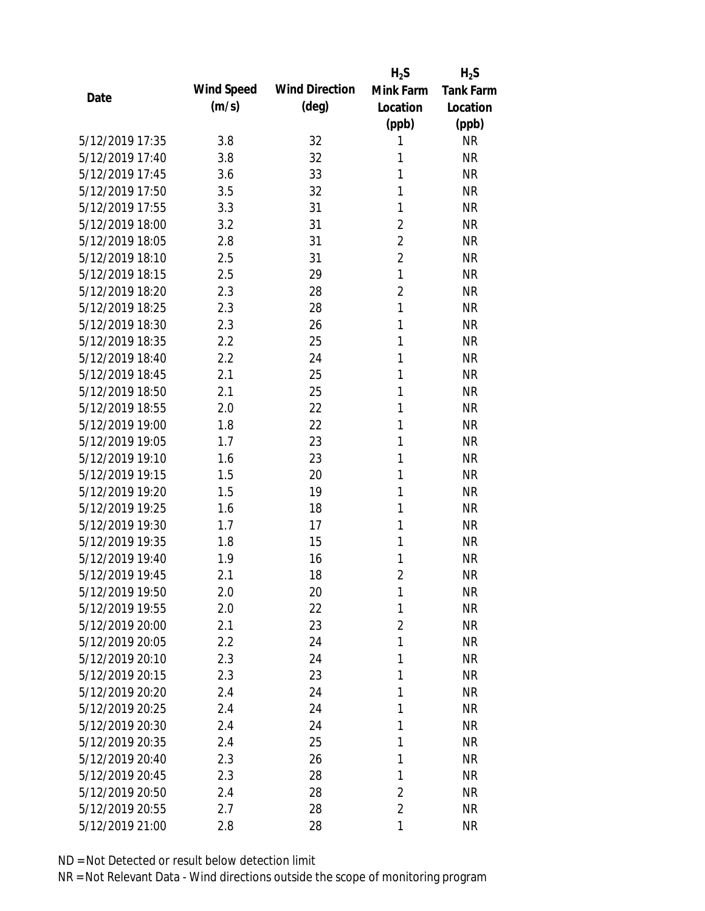|      |                 |            |                       | $H_2S$         | $H_2S$           |
|------|-----------------|------------|-----------------------|----------------|------------------|
| Date |                 | Wind Speed | <b>Wind Direction</b> | Mink Farm      | <b>Tank Farm</b> |
|      |                 | (m/s)      | $(\text{deg})$        | Location       | Location         |
|      |                 |            |                       | (ppb)          | (ppb)            |
|      | 5/12/2019 17:35 | 3.8        | 32                    | 1              | <b>NR</b>        |
|      | 5/12/2019 17:40 | 3.8        | 32                    | 1              | <b>NR</b>        |
|      | 5/12/2019 17:45 | 3.6        | 33                    | 1              | <b>NR</b>        |
|      | 5/12/2019 17:50 | 3.5        | 32                    | 1              | <b>NR</b>        |
|      | 5/12/2019 17:55 | 3.3        | 31                    | 1              | <b>NR</b>        |
|      | 5/12/2019 18:00 | 3.2        | 31                    | $\overline{2}$ | <b>NR</b>        |
|      | 5/12/2019 18:05 | 2.8        | 31                    | $\overline{2}$ | <b>NR</b>        |
|      | 5/12/2019 18:10 | 2.5        | 31                    | $\overline{2}$ | <b>NR</b>        |
|      | 5/12/2019 18:15 | 2.5        | 29                    | 1              | <b>NR</b>        |
|      | 5/12/2019 18:20 | 2.3        | 28                    | $\overline{2}$ | <b>NR</b>        |
|      | 5/12/2019 18:25 | 2.3        | 28                    | $\mathbf{1}$   | <b>NR</b>        |
|      | 5/12/2019 18:30 | 2.3        | 26                    | 1              | <b>NR</b>        |
|      | 5/12/2019 18:35 | 2.2        | 25                    | 1              | <b>NR</b>        |
|      | 5/12/2019 18:40 | 2.2        | 24                    | 1              | <b>NR</b>        |
|      | 5/12/2019 18:45 | 2.1        | 25                    | 1              | <b>NR</b>        |
|      | 5/12/2019 18:50 | 2.1        | 25                    | 1              | <b>NR</b>        |
|      | 5/12/2019 18:55 | 2.0        | 22                    | 1              | <b>NR</b>        |
|      | 5/12/2019 19:00 | 1.8        | 22                    | 1              | <b>NR</b>        |
|      | 5/12/2019 19:05 | 1.7        | 23                    | 1              | <b>NR</b>        |
|      | 5/12/2019 19:10 | 1.6        | 23                    | 1              | <b>NR</b>        |
|      | 5/12/2019 19:15 | 1.5        | 20                    | 1              | <b>NR</b>        |
|      | 5/12/2019 19:20 | 1.5        | 19                    | 1              | <b>NR</b>        |
|      | 5/12/2019 19:25 | 1.6        | 18                    | 1              | <b>NR</b>        |
|      | 5/12/2019 19:30 | 1.7        | 17                    | 1              | <b>NR</b>        |
|      | 5/12/2019 19:35 | 1.8        | 15                    | 1              | <b>NR</b>        |
|      | 5/12/2019 19:40 | 1.9        | 16                    | 1              | <b>NR</b>        |
|      | 5/12/2019 19:45 | 2.1        | 18                    | $\overline{2}$ | <b>NR</b>        |
|      | 5/12/2019 19:50 | 2.0        | 20                    | 1              | <b>NR</b>        |
|      | 5/12/2019 19:55 | 2.0        | 22                    | 1              | <b>NR</b>        |
|      | 5/12/2019 20:00 | 2.1        | 23                    | $\overline{2}$ | <b>NR</b>        |
|      | 5/12/2019 20:05 | 2.2        | 24                    | 1              | <b>NR</b>        |
|      | 5/12/2019 20:10 | 2.3        | 24                    | 1              | <b>NR</b>        |
|      | 5/12/2019 20:15 | 2.3        | 23                    | 1              | <b>NR</b>        |
|      | 5/12/2019 20:20 | 2.4        | 24                    | 1              | <b>NR</b>        |
|      | 5/12/2019 20:25 | 2.4        | 24                    | 1              | <b>NR</b>        |
|      | 5/12/2019 20:30 | 2.4        | 24                    | 1              | <b>NR</b>        |
|      | 5/12/2019 20:35 | 2.4        | 25                    | 1              | <b>NR</b>        |
|      | 5/12/2019 20:40 | 2.3        | 26                    | 1              | <b>NR</b>        |
|      | 5/12/2019 20:45 | 2.3        | 28                    | 1              | <b>NR</b>        |
|      | 5/12/2019 20:50 | 2.4        | 28                    | $\overline{2}$ | <b>NR</b>        |
|      | 5/12/2019 20:55 | 2.7        | 28                    | $\overline{2}$ | <b>NR</b>        |
|      | 5/12/2019 21:00 | 2.8        | 28                    | 1              | <b>NR</b>        |
|      |                 |            |                       |                |                  |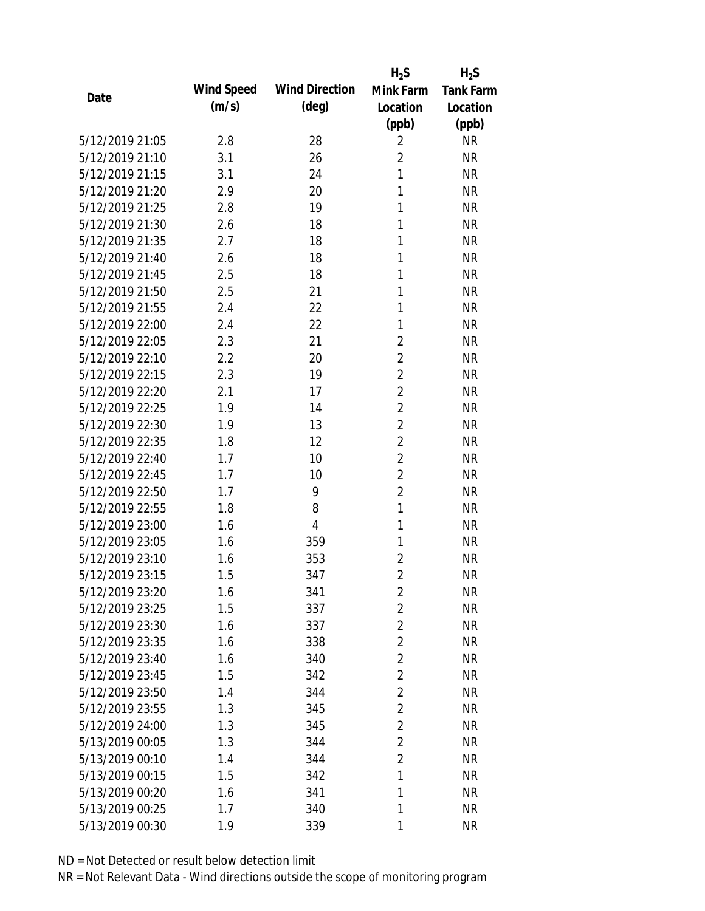|                 |            |                       | $H_2S$         | $H_2S$           |
|-----------------|------------|-----------------------|----------------|------------------|
| Date            | Wind Speed | <b>Wind Direction</b> | Mink Farm      | <b>Tank Farm</b> |
|                 | (m/s)      | $(\text{deg})$        | Location       | Location         |
|                 |            |                       | (ppb)          | (ppb)            |
| 5/12/2019 21:05 | 2.8        | 28                    | $\overline{2}$ | <b>NR</b>        |
| 5/12/2019 21:10 | 3.1        | 26                    | $\overline{2}$ | <b>NR</b>        |
| 5/12/2019 21:15 | 3.1        | 24                    | 1              | <b>NR</b>        |
| 5/12/2019 21:20 | 2.9        | 20                    | 1              | <b>NR</b>        |
| 5/12/2019 21:25 | 2.8        | 19                    | 1              | <b>NR</b>        |
| 5/12/2019 21:30 | 2.6        | 18                    | 1              | <b>NR</b>        |
| 5/12/2019 21:35 | 2.7        | 18                    | 1              | <b>NR</b>        |
| 5/12/2019 21:40 | 2.6        | 18                    | 1              | <b>NR</b>        |
| 5/12/2019 21:45 | 2.5        | 18                    | 1              | <b>NR</b>        |
| 5/12/2019 21:50 | 2.5        | 21                    | 1              | <b>NR</b>        |
| 5/12/2019 21:55 | 2.4        | 22                    | 1              | <b>NR</b>        |
| 5/12/2019 22:00 | 2.4        | 22                    | 1              | <b>NR</b>        |
| 5/12/2019 22:05 | 2.3        | 21                    | 2              | <b>NR</b>        |
| 5/12/2019 22:10 | 2.2        | 20                    | 2              | <b>NR</b>        |
| 5/12/2019 22:15 | 2.3        | 19                    | $\overline{2}$ | <b>NR</b>        |
| 5/12/2019 22:20 | 2.1        | 17                    | $\overline{2}$ | <b>NR</b>        |
| 5/12/2019 22:25 | 1.9        | 14                    | $\overline{2}$ | <b>NR</b>        |
| 5/12/2019 22:30 | 1.9        | 13                    | $\overline{2}$ | <b>NR</b>        |
| 5/12/2019 22:35 | 1.8        | 12                    | $\overline{2}$ | <b>NR</b>        |
| 5/12/2019 22:40 | 1.7        | 10                    | $\overline{2}$ | <b>NR</b>        |
| 5/12/2019 22:45 | 1.7        | 10                    | $\overline{2}$ | <b>NR</b>        |
| 5/12/2019 22:50 | 1.7        | 9                     | $\overline{2}$ | <b>NR</b>        |
| 5/12/2019 22:55 | 1.8        | 8                     | $\mathbf{1}$   | <b>NR</b>        |
| 5/12/2019 23:00 | 1.6        | 4                     | 1              | <b>NR</b>        |
| 5/12/2019 23:05 | 1.6        | 359                   | 1              | <b>NR</b>        |
| 5/12/2019 23:10 | 1.6        | 353                   | $\overline{2}$ | <b>NR</b>        |
| 5/12/2019 23:15 | 1.5        | 347                   | $\overline{2}$ | <b>NR</b>        |
| 5/12/2019 23:20 | 1.6        | 341                   | $\overline{2}$ | <b>NR</b>        |
| 5/12/2019 23:25 | 1.5        | 337                   | $\overline{2}$ | <b>NR</b>        |
| 5/12/2019 23:30 | 1.6        | 337                   | $\overline{2}$ | NR               |
| 5/12/2019 23:35 | 1.6        | 338                   | $\overline{2}$ | <b>NR</b>        |
| 5/12/2019 23:40 | 1.6        | 340                   | $\overline{2}$ | <b>NR</b>        |
| 5/12/2019 23:45 | 1.5        | 342                   | $\overline{2}$ | NR               |
| 5/12/2019 23:50 | 1.4        | 344                   | $\overline{2}$ | <b>NR</b>        |
| 5/12/2019 23:55 | 1.3        | 345                   | $\overline{2}$ | <b>NR</b>        |
| 5/12/2019 24:00 | 1.3        | 345                   | $\overline{2}$ | <b>NR</b>        |
| 5/13/2019 00:05 | 1.3        | 344                   | $\overline{2}$ | <b>NR</b>        |
| 5/13/2019 00:10 | 1.4        | 344                   | $\overline{2}$ | <b>NR</b>        |
| 5/13/2019 00:15 | 1.5        | 342                   | 1              | <b>NR</b>        |
| 5/13/2019 00:20 | 1.6        | 341                   | 1              | <b>NR</b>        |
| 5/13/2019 00:25 | 1.7        | 340                   | 1              | <b>NR</b>        |
| 5/13/2019 00:30 | 1.9        | 339                   | 1              | <b>NR</b>        |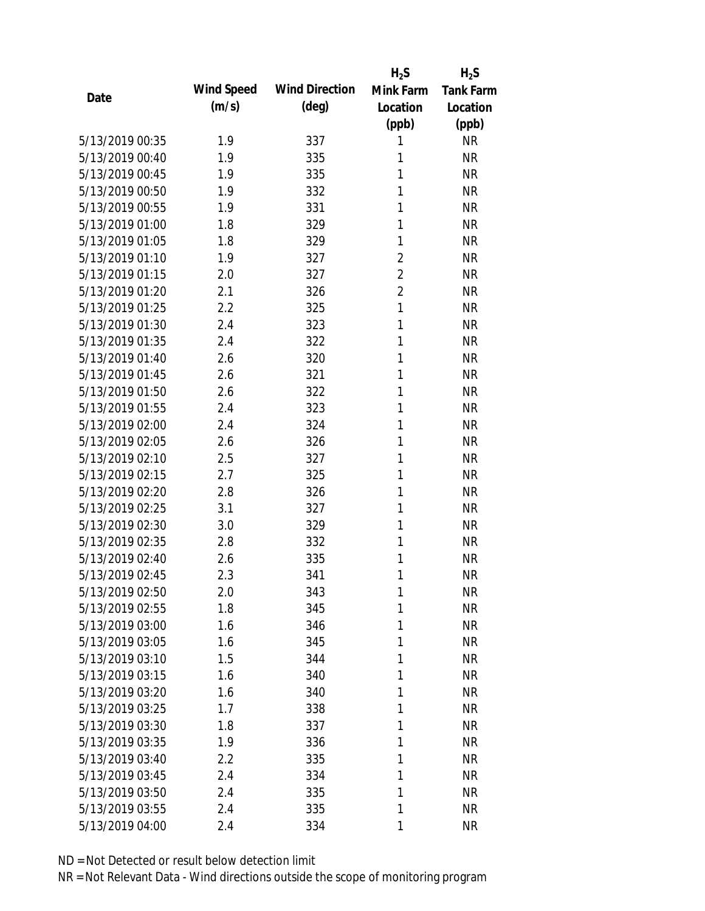|                 |            |                       | $H_2S$         | $H_2S$           |
|-----------------|------------|-----------------------|----------------|------------------|
| Date            | Wind Speed | <b>Wind Direction</b> | Mink Farm      | <b>Tank Farm</b> |
|                 | (m/s)      | $(\text{deg})$        | Location       | Location         |
|                 |            |                       | (ppb)          | (ppb)            |
| 5/13/2019 00:35 | 1.9        | 337                   | 1              | <b>NR</b>        |
| 5/13/2019 00:40 | 1.9        | 335                   | 1              | <b>NR</b>        |
| 5/13/2019 00:45 | 1.9        | 335                   | 1              | <b>NR</b>        |
| 5/13/2019 00:50 | 1.9        | 332                   | 1              | <b>NR</b>        |
| 5/13/2019 00:55 | 1.9        | 331                   | 1              | <b>NR</b>        |
| 5/13/2019 01:00 | 1.8        | 329                   | 1              | <b>NR</b>        |
| 5/13/2019 01:05 | 1.8        | 329                   | 1              | <b>NR</b>        |
| 5/13/2019 01:10 | 1.9        | 327                   | $\overline{2}$ | <b>NR</b>        |
| 5/13/2019 01:15 | 2.0        | 327                   | $\overline{2}$ | <b>NR</b>        |
| 5/13/2019 01:20 | 2.1        | 326                   | $\overline{2}$ | <b>NR</b>        |
| 5/13/2019 01:25 | 2.2        | 325                   | 1              | <b>NR</b>        |
| 5/13/2019 01:30 | 2.4        | 323                   | 1              | <b>NR</b>        |
| 5/13/2019 01:35 | 2.4        | 322                   | 1              | <b>NR</b>        |
| 5/13/2019 01:40 | 2.6        | 320                   | 1              | <b>NR</b>        |
| 5/13/2019 01:45 | 2.6        | 321                   | 1              | <b>NR</b>        |
| 5/13/2019 01:50 | 2.6        | 322                   | 1              | <b>NR</b>        |
| 5/13/2019 01:55 | 2.4        | 323                   | 1              | <b>NR</b>        |
| 5/13/2019 02:00 | 2.4        | 324                   | 1              | <b>NR</b>        |
| 5/13/2019 02:05 | 2.6        | 326                   | 1              | <b>NR</b>        |
| 5/13/2019 02:10 | 2.5        | 327                   | 1              | <b>NR</b>        |
| 5/13/2019 02:15 | 2.7        | 325                   | 1              | <b>NR</b>        |
| 5/13/2019 02:20 | 2.8        | 326                   | 1              | <b>NR</b>        |
| 5/13/2019 02:25 | 3.1        | 327                   | 1              | <b>NR</b>        |
| 5/13/2019 02:30 | 3.0        | 329                   | 1              | <b>NR</b>        |
| 5/13/2019 02:35 | 2.8        | 332                   | 1              | <b>NR</b>        |
| 5/13/2019 02:40 | 2.6        | 335                   | 1              | <b>NR</b>        |
| 5/13/2019 02:45 | 2.3        | 341                   | 1              | <b>NR</b>        |
| 5/13/2019 02:50 | 2.0        | 343                   | 1              | <b>NR</b>        |
| 5/13/2019 02:55 | 1.8        | 345                   | 1              | <b>NR</b>        |
| 5/13/2019 03:00 | 1.6        | 346                   | 1              | <b>NR</b>        |
| 5/13/2019 03:05 | 1.6        | 345                   | 1              | <b>NR</b>        |
| 5/13/2019 03:10 | 1.5        | 344                   | 1              | <b>NR</b>        |
| 5/13/2019 03:15 | 1.6        | 340                   | 1              | <b>NR</b>        |
| 5/13/2019 03:20 | 1.6        | 340                   | 1              | <b>NR</b>        |
| 5/13/2019 03:25 | 1.7        | 338                   | 1              | <b>NR</b>        |
| 5/13/2019 03:30 | 1.8        | 337                   | 1              | <b>NR</b>        |
| 5/13/2019 03:35 | 1.9        | 336                   | 1              | <b>NR</b>        |
| 5/13/2019 03:40 | 2.2        | 335                   | 1              | <b>NR</b>        |
| 5/13/2019 03:45 | 2.4        | 334                   | 1              | <b>NR</b>        |
| 5/13/2019 03:50 | 2.4        | 335                   | 1              | <b>NR</b>        |
| 5/13/2019 03:55 | 2.4        | 335                   | 1              | <b>NR</b>        |
| 5/13/2019 04:00 | 2.4        | 334                   | 1              | <b>NR</b>        |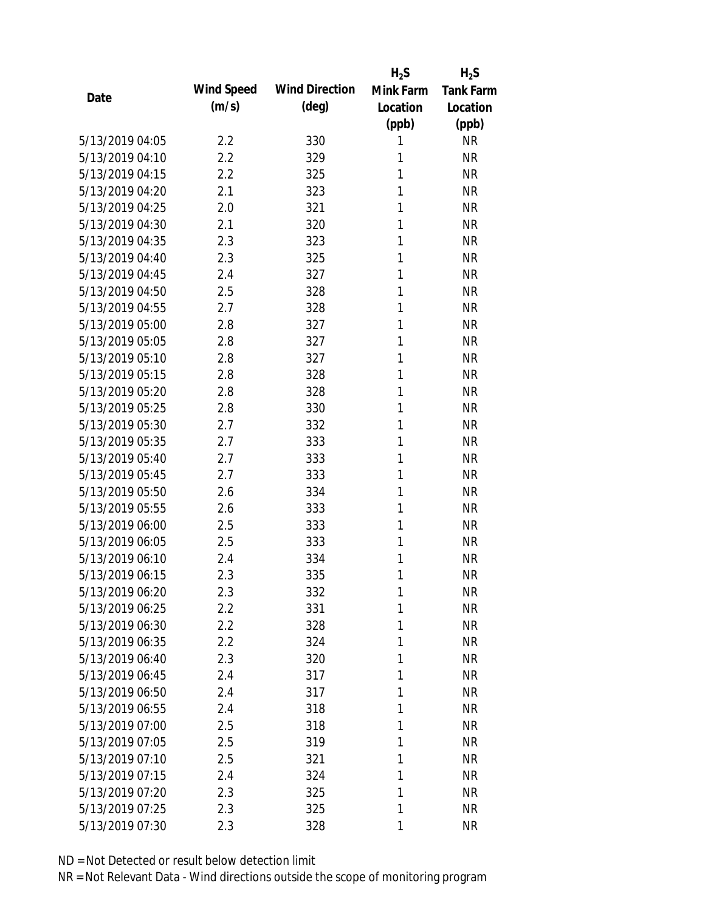|                 |            |                       | $H_2S$    | $H_2S$           |
|-----------------|------------|-----------------------|-----------|------------------|
| Date            | Wind Speed | <b>Wind Direction</b> | Mink Farm | <b>Tank Farm</b> |
|                 | (m/s)      | $(\text{deg})$        | Location  | Location         |
|                 |            |                       | (ppb)     | (ppb)            |
| 5/13/2019 04:05 | 2.2        | 330                   | 1         | <b>NR</b>        |
| 5/13/2019 04:10 | 2.2        | 329                   | 1         | <b>NR</b>        |
| 5/13/2019 04:15 | 2.2        | 325                   | 1         | <b>NR</b>        |
| 5/13/2019 04:20 | 2.1        | 323                   | 1         | <b>NR</b>        |
| 5/13/2019 04:25 | 2.0        | 321                   | 1         | <b>NR</b>        |
| 5/13/2019 04:30 | 2.1        | 320                   | 1         | <b>NR</b>        |
| 5/13/2019 04:35 | 2.3        | 323                   | 1         | <b>NR</b>        |
| 5/13/2019 04:40 | 2.3        | 325                   | 1         | <b>NR</b>        |
| 5/13/2019 04:45 | 2.4        | 327                   | 1         | <b>NR</b>        |
| 5/13/2019 04:50 | 2.5        | 328                   | 1         | <b>NR</b>        |
| 5/13/2019 04:55 | 2.7        | 328                   | 1         | <b>NR</b>        |
| 5/13/2019 05:00 | 2.8        | 327                   | 1         | <b>NR</b>        |
| 5/13/2019 05:05 | 2.8        | 327                   | 1         | <b>NR</b>        |
| 5/13/2019 05:10 | 2.8        | 327                   | 1         | <b>NR</b>        |
| 5/13/2019 05:15 | 2.8        | 328                   | 1         | <b>NR</b>        |
| 5/13/2019 05:20 | 2.8        | 328                   | 1         | <b>NR</b>        |
| 5/13/2019 05:25 | 2.8        | 330                   | 1         | <b>NR</b>        |
| 5/13/2019 05:30 | 2.7        | 332                   | 1         | <b>NR</b>        |
| 5/13/2019 05:35 | 2.7        | 333                   | 1         | <b>NR</b>        |
| 5/13/2019 05:40 | 2.7        | 333                   | 1         | <b>NR</b>        |
| 5/13/2019 05:45 | 2.7        | 333                   | 1         | <b>NR</b>        |
| 5/13/2019 05:50 | 2.6        | 334                   | 1         | <b>NR</b>        |
| 5/13/2019 05:55 | 2.6        | 333                   | 1         | <b>NR</b>        |
| 5/13/2019 06:00 | 2.5        | 333                   | 1         | <b>NR</b>        |
| 5/13/2019 06:05 | 2.5        | 333                   | 1         | <b>NR</b>        |
| 5/13/2019 06:10 | 2.4        | 334                   | 1         | <b>NR</b>        |
| 5/13/2019 06:15 | 2.3        | 335                   | 1         | <b>NR</b>        |
| 5/13/2019 06:20 | 2.3        | 332                   | 1         | <b>NR</b>        |
| 5/13/2019 06:25 | 2.2        | 331                   | 1         | <b>NR</b>        |
| 5/13/2019 06:30 | $2.2\,$    | 328                   | 1         | <b>NR</b>        |
| 5/13/2019 06:35 | 2.2        | 324                   | 1         | <b>NR</b>        |
| 5/13/2019 06:40 | 2.3        | 320                   | 1         | <b>NR</b>        |
| 5/13/2019 06:45 | 2.4        | 317                   | 1         | <b>NR</b>        |
| 5/13/2019 06:50 | 2.4        | 317                   | 1         | <b>NR</b>        |
| 5/13/2019 06:55 | 2.4        | 318                   | 1         | <b>NR</b>        |
| 5/13/2019 07:00 | 2.5        | 318                   | 1         | <b>NR</b>        |
| 5/13/2019 07:05 | 2.5        | 319                   | 1         | <b>NR</b>        |
| 5/13/2019 07:10 | 2.5        | 321                   | 1         | <b>NR</b>        |
| 5/13/2019 07:15 | 2.4        | 324                   | 1         | <b>NR</b>        |
| 5/13/2019 07:20 | 2.3        | 325                   | 1         | <b>NR</b>        |
| 5/13/2019 07:25 | 2.3        | 325                   | 1         | <b>NR</b>        |
| 5/13/2019 07:30 | 2.3        | 328                   | 1         | <b>NR</b>        |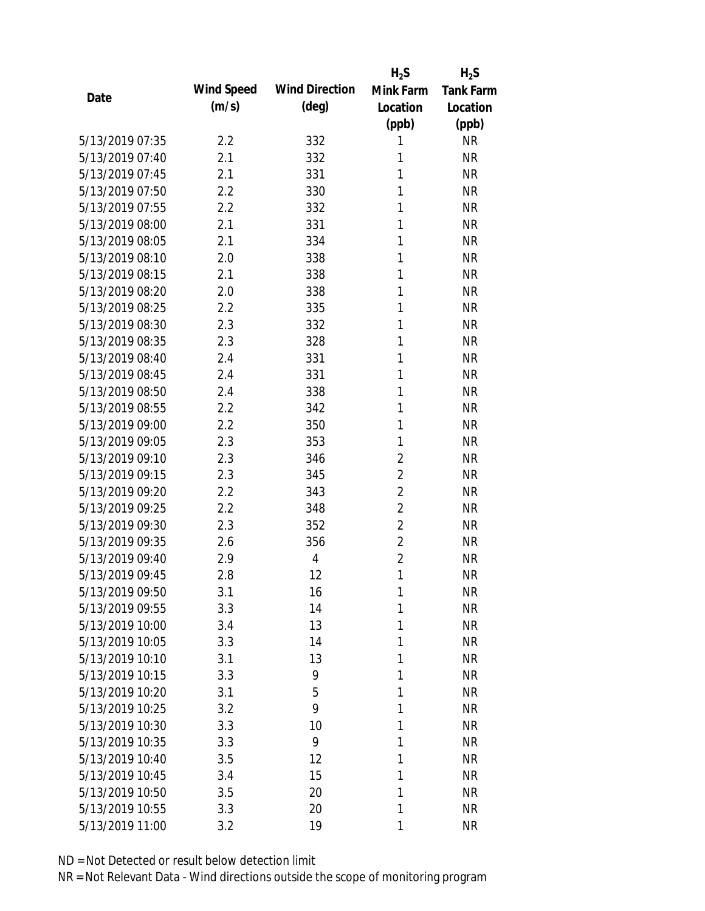|                 |            |                       | $H_2S$         | $H_2S$           |
|-----------------|------------|-----------------------|----------------|------------------|
| Date            | Wind Speed | <b>Wind Direction</b> | Mink Farm      | <b>Tank Farm</b> |
|                 | (m/s)      | $(\text{deg})$        | Location       | Location         |
|                 |            |                       | (ppb)          | (ppb)            |
| 5/13/2019 07:35 | 2.2        | 332                   | 1              | <b>NR</b>        |
| 5/13/2019 07:40 | 2.1        | 332                   | 1              | <b>NR</b>        |
| 5/13/2019 07:45 | 2.1        | 331                   | 1              | <b>NR</b>        |
| 5/13/2019 07:50 | 2.2        | 330                   | 1              | <b>NR</b>        |
| 5/13/2019 07:55 | 2.2        | 332                   | 1              | <b>NR</b>        |
| 5/13/2019 08:00 | 2.1        | 331                   | 1              | <b>NR</b>        |
| 5/13/2019 08:05 | 2.1        | 334                   | 1              | <b>NR</b>        |
| 5/13/2019 08:10 | 2.0        | 338                   | 1              | <b>NR</b>        |
| 5/13/2019 08:15 | 2.1        | 338                   | 1              | <b>NR</b>        |
| 5/13/2019 08:20 | 2.0        | 338                   | 1              | <b>NR</b>        |
| 5/13/2019 08:25 | 2.2        | 335                   | 1              | <b>NR</b>        |
| 5/13/2019 08:30 | 2.3        | 332                   | 1              | <b>NR</b>        |
| 5/13/2019 08:35 | 2.3        | 328                   | 1              | <b>NR</b>        |
| 5/13/2019 08:40 | 2.4        | 331                   | 1              | <b>NR</b>        |
| 5/13/2019 08:45 | 2.4        | 331                   | 1              | <b>NR</b>        |
| 5/13/2019 08:50 | 2.4        | 338                   | 1              | <b>NR</b>        |
| 5/13/2019 08:55 | 2.2        | 342                   | 1              | <b>NR</b>        |
| 5/13/2019 09:00 | 2.2        | 350                   | 1              | <b>NR</b>        |
| 5/13/2019 09:05 | 2.3        | 353                   | 1              | <b>NR</b>        |
| 5/13/2019 09:10 | 2.3        | 346                   | $\overline{2}$ | <b>NR</b>        |
| 5/13/2019 09:15 | 2.3        | 345                   | $\overline{2}$ | <b>NR</b>        |
| 5/13/2019 09:20 | 2.2        | 343                   | $\overline{2}$ | <b>NR</b>        |
| 5/13/2019 09:25 | 2.2        | 348                   | $\overline{2}$ | <b>NR</b>        |
| 5/13/2019 09:30 | 2.3        | 352                   | $\overline{2}$ | <b>NR</b>        |
| 5/13/2019 09:35 | 2.6        | 356                   | $\overline{2}$ | <b>NR</b>        |
| 5/13/2019 09:40 | 2.9        | 4                     | $\overline{2}$ | <b>NR</b>        |
| 5/13/2019 09:45 | 2.8        | 12                    | 1              | <b>NR</b>        |
| 5/13/2019 09:50 | 3.1        | 16                    | 1              | <b>NR</b>        |
| 5/13/2019 09:55 | 3.3        | 14                    | 1              | <b>NR</b>        |
| 5/13/2019 10:00 | 3.4        | 13                    | 1              | <b>NR</b>        |
| 5/13/2019 10:05 | 3.3        | 14                    | 1              | <b>NR</b>        |
| 5/13/2019 10:10 | 3.1        | 13                    | 1              | <b>NR</b>        |
| 5/13/2019 10:15 | 3.3        | 9                     | 1              | <b>NR</b>        |
| 5/13/2019 10:20 | 3.1        | 5                     | 1              | <b>NR</b>        |
| 5/13/2019 10:25 | 3.2        | 9                     | 1              | <b>NR</b>        |
| 5/13/2019 10:30 | 3.3        | 10                    | 1              | <b>NR</b>        |
| 5/13/2019 10:35 | 3.3        | 9                     | 1              | <b>NR</b>        |
| 5/13/2019 10:40 | 3.5        | 12                    | 1              | <b>NR</b>        |
| 5/13/2019 10:45 | 3.4        | 15                    | 1              | <b>NR</b>        |
| 5/13/2019 10:50 | 3.5        | 20                    | 1              | <b>NR</b>        |
| 5/13/2019 10:55 | 3.3        | 20                    | 1              | <b>NR</b>        |
| 5/13/2019 11:00 | 3.2        | 19                    | 1              | <b>NR</b>        |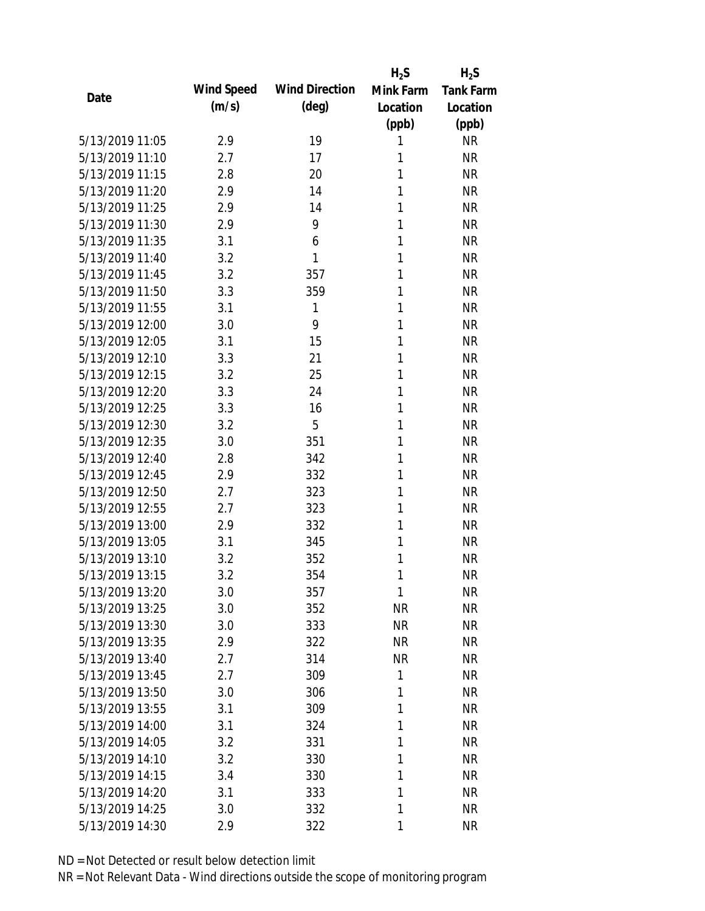|                 |            |                       | $H_2S$    | $H_2S$           |
|-----------------|------------|-----------------------|-----------|------------------|
| Date            | Wind Speed | <b>Wind Direction</b> | Mink Farm | <b>Tank Farm</b> |
|                 | (m/s)      | $(\text{deg})$        | Location  | Location         |
|                 |            |                       | (ppb)     | (ppb)            |
| 5/13/2019 11:05 | 2.9        | 19                    | 1         | <b>NR</b>        |
| 5/13/2019 11:10 | 2.7        | 17                    | 1         | <b>NR</b>        |
| 5/13/2019 11:15 | 2.8        | 20                    | 1         | <b>NR</b>        |
| 5/13/2019 11:20 | 2.9        | 14                    | 1         | <b>NR</b>        |
| 5/13/2019 11:25 | 2.9        | 14                    | 1         | <b>NR</b>        |
| 5/13/2019 11:30 | 2.9        | 9                     | 1         | <b>NR</b>        |
| 5/13/2019 11:35 | 3.1        | 6                     | 1         | <b>NR</b>        |
| 5/13/2019 11:40 | 3.2        | 1                     | 1         | <b>NR</b>        |
| 5/13/2019 11:45 | 3.2        | 357                   | 1         | <b>NR</b>        |
| 5/13/2019 11:50 | 3.3        | 359                   | 1         | <b>NR</b>        |
| 5/13/2019 11:55 | 3.1        | 1                     | 1         | <b>NR</b>        |
| 5/13/2019 12:00 | 3.0        | 9                     | 1         | <b>NR</b>        |
| 5/13/2019 12:05 | 3.1        | 15                    | 1         | <b>NR</b>        |
| 5/13/2019 12:10 | 3.3        | 21                    | 1         | <b>NR</b>        |
| 5/13/2019 12:15 | 3.2        | 25                    | 1         | <b>NR</b>        |
| 5/13/2019 12:20 | 3.3        | 24                    | 1         | <b>NR</b>        |
| 5/13/2019 12:25 | 3.3        | 16                    | 1         | <b>NR</b>        |
| 5/13/2019 12:30 | 3.2        | 5                     | 1         | <b>NR</b>        |
| 5/13/2019 12:35 | 3.0        | 351                   | 1         | <b>NR</b>        |
| 5/13/2019 12:40 | 2.8        | 342                   | 1         | <b>NR</b>        |
| 5/13/2019 12:45 | 2.9        | 332                   | 1         | <b>NR</b>        |
| 5/13/2019 12:50 | 2.7        | 323                   | 1         | <b>NR</b>        |
| 5/13/2019 12:55 | 2.7        | 323                   | 1         | <b>NR</b>        |
| 5/13/2019 13:00 | 2.9        | 332                   | 1         | <b>NR</b>        |
| 5/13/2019 13:05 | 3.1        | 345                   | 1         | <b>NR</b>        |
| 5/13/2019 13:10 | 3.2        | 352                   | 1         | <b>NR</b>        |
| 5/13/2019 13:15 | 3.2        | 354                   | 1         | <b>NR</b>        |
| 5/13/2019 13:20 | 3.0        | 357                   | 1         | <b>NR</b>        |
| 5/13/2019 13:25 | 3.0        | 352                   | <b>NR</b> | <b>NR</b>        |
| 5/13/2019 13:30 | 3.0        | 333                   | <b>NR</b> | <b>NR</b>        |
| 5/13/2019 13:35 | 2.9        | 322                   | <b>NR</b> | <b>NR</b>        |
| 5/13/2019 13:40 | 2.7        | 314                   | <b>NR</b> | <b>NR</b>        |
| 5/13/2019 13:45 | 2.7        | 309                   | 1         | <b>NR</b>        |
| 5/13/2019 13:50 | 3.0        | 306                   | 1         | <b>NR</b>        |
| 5/13/2019 13:55 | 3.1        | 309                   | 1         | <b>NR</b>        |
| 5/13/2019 14:00 | 3.1        | 324                   | 1         | <b>NR</b>        |
| 5/13/2019 14:05 | 3.2        | 331                   | 1         | <b>NR</b>        |
| 5/13/2019 14:10 | 3.2        | 330                   | 1         | <b>NR</b>        |
| 5/13/2019 14:15 | 3.4        | 330                   | 1         | <b>NR</b>        |
| 5/13/2019 14:20 | 3.1        | 333                   | 1         | <b>NR</b>        |
| 5/13/2019 14:25 | 3.0        | 332                   | 1         | <b>NR</b>        |
| 5/13/2019 14:30 | 2.9        | 322                   | 1         | <b>NR</b>        |
|                 |            |                       |           |                  |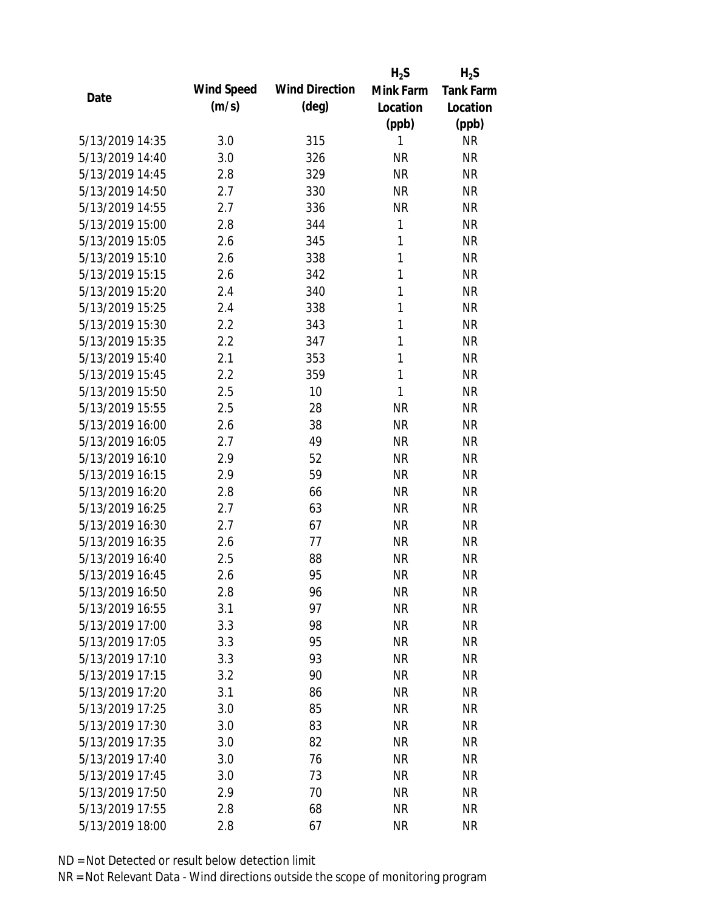|                 |            |                       | $H_2S$    | $H_2S$           |
|-----------------|------------|-----------------------|-----------|------------------|
| Date            | Wind Speed | <b>Wind Direction</b> | Mink Farm | <b>Tank Farm</b> |
|                 | (m/s)      | $(\text{deg})$        | Location  | Location         |
|                 |            |                       | (ppb)     | (ppb)            |
| 5/13/2019 14:35 | 3.0        | 315                   | 1         | <b>NR</b>        |
| 5/13/2019 14:40 | 3.0        | 326                   | <b>NR</b> | <b>NR</b>        |
| 5/13/2019 14:45 | 2.8        | 329                   | <b>NR</b> | <b>NR</b>        |
| 5/13/2019 14:50 | 2.7        | 330                   | <b>NR</b> | <b>NR</b>        |
| 5/13/2019 14:55 | 2.7        | 336                   | <b>NR</b> | <b>NR</b>        |
| 5/13/2019 15:00 | 2.8        | 344                   | 1         | <b>NR</b>        |
| 5/13/2019 15:05 | 2.6        | 345                   | 1         | <b>NR</b>        |
| 5/13/2019 15:10 | 2.6        | 338                   | 1         | <b>NR</b>        |
| 5/13/2019 15:15 | 2.6        | 342                   | 1         | <b>NR</b>        |
| 5/13/2019 15:20 | 2.4        | 340                   | 1         | <b>NR</b>        |
| 5/13/2019 15:25 | 2.4        | 338                   | 1         | <b>NR</b>        |
| 5/13/2019 15:30 | 2.2        | 343                   | 1         | <b>NR</b>        |
| 5/13/2019 15:35 | 2.2        | 347                   | 1         | <b>NR</b>        |
| 5/13/2019 15:40 | 2.1        | 353                   | 1         | <b>NR</b>        |
| 5/13/2019 15:45 | 2.2        | 359                   | 1         | <b>NR</b>        |
| 5/13/2019 15:50 | 2.5        | 10                    | 1         | <b>NR</b>        |
| 5/13/2019 15:55 | 2.5        | 28                    | <b>NR</b> | <b>NR</b>        |
| 5/13/2019 16:00 | 2.6        | 38                    | <b>NR</b> | <b>NR</b>        |
| 5/13/2019 16:05 | 2.7        | 49                    | <b>NR</b> | <b>NR</b>        |
| 5/13/2019 16:10 | 2.9        | 52                    | <b>NR</b> | <b>NR</b>        |
| 5/13/2019 16:15 | 2.9        | 59                    | <b>NR</b> | <b>NR</b>        |
| 5/13/2019 16:20 | 2.8        | 66                    | <b>NR</b> | <b>NR</b>        |
| 5/13/2019 16:25 | 2.7        | 63                    | <b>NR</b> | <b>NR</b>        |
| 5/13/2019 16:30 | 2.7        | 67                    | <b>NR</b> | <b>NR</b>        |
| 5/13/2019 16:35 | 2.6        | 77                    | <b>NR</b> | <b>NR</b>        |
| 5/13/2019 16:40 | 2.5        | 88                    | <b>NR</b> | <b>NR</b>        |
| 5/13/2019 16:45 | 2.6        | 95                    | <b>NR</b> | <b>NR</b>        |
| 5/13/2019 16:50 | 2.8        | 96                    | <b>NR</b> | <b>NR</b>        |
| 5/13/2019 16:55 | 3.1        | 97                    | <b>NR</b> | <b>NR</b>        |
| 5/13/2019 17:00 | 3.3        | 98                    | <b>NR</b> | <b>NR</b>        |
| 5/13/2019 17:05 | 3.3        | 95                    | <b>NR</b> | <b>NR</b>        |
| 5/13/2019 17:10 | 3.3        | 93                    | <b>NR</b> | <b>NR</b>        |
| 5/13/2019 17:15 | 3.2        | 90                    | <b>NR</b> | <b>NR</b>        |
| 5/13/2019 17:20 | 3.1        | 86                    | <b>NR</b> | <b>NR</b>        |
| 5/13/2019 17:25 | 3.0        | 85                    | <b>NR</b> | <b>NR</b>        |
| 5/13/2019 17:30 | 3.0        | 83                    | <b>NR</b> | <b>NR</b>        |
| 5/13/2019 17:35 | 3.0        | 82                    | <b>NR</b> | <b>NR</b>        |
| 5/13/2019 17:40 | 3.0        | 76                    | <b>NR</b> | <b>NR</b>        |
| 5/13/2019 17:45 | 3.0        | 73                    | <b>NR</b> | <b>NR</b>        |
| 5/13/2019 17:50 | 2.9        | 70                    | <b>NR</b> | <b>NR</b>        |
| 5/13/2019 17:55 | 2.8        | 68                    | <b>NR</b> | <b>NR</b>        |
| 5/13/2019 18:00 | 2.8        | 67                    | <b>NR</b> | <b>NR</b>        |
|                 |            |                       |           |                  |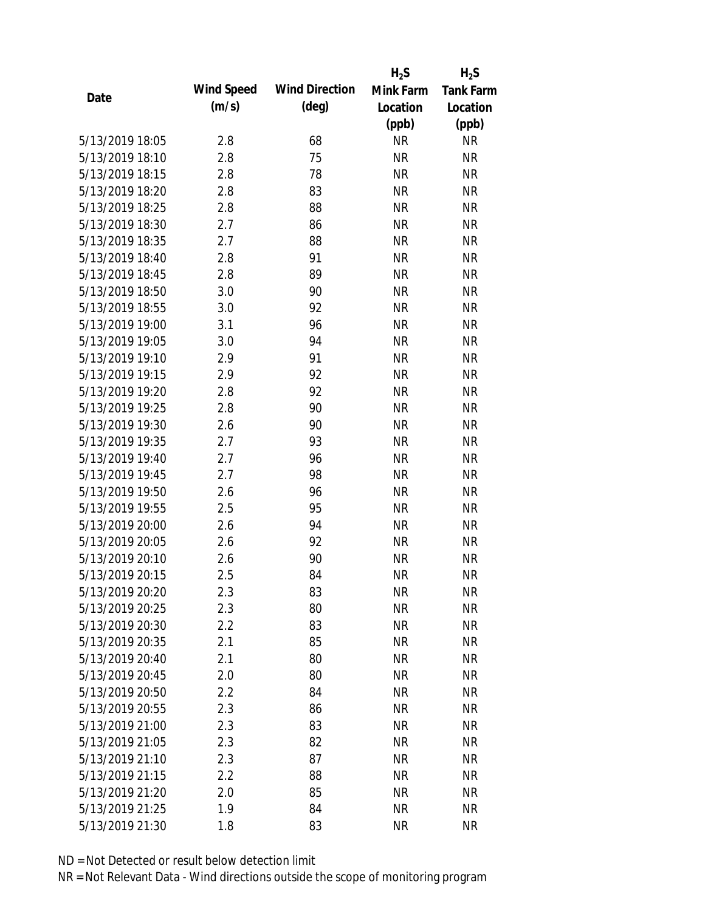|                 |            |                       | $H_2S$    | $H_2S$           |
|-----------------|------------|-----------------------|-----------|------------------|
|                 | Wind Speed | <b>Wind Direction</b> | Mink Farm | <b>Tank Farm</b> |
| Date            | (m/s)      | $(\text{deg})$        | Location  | Location         |
|                 |            |                       | (ppb)     | (ppb)            |
| 5/13/2019 18:05 | 2.8        | 68                    | <b>NR</b> | <b>NR</b>        |
| 5/13/2019 18:10 | 2.8        | 75                    | <b>NR</b> | <b>NR</b>        |
| 5/13/2019 18:15 | 2.8        | 78                    | <b>NR</b> | <b>NR</b>        |
| 5/13/2019 18:20 | 2.8        | 83                    | <b>NR</b> | <b>NR</b>        |
| 5/13/2019 18:25 | 2.8        | 88                    | <b>NR</b> | <b>NR</b>        |
| 5/13/2019 18:30 | 2.7        | 86                    | <b>NR</b> | <b>NR</b>        |
| 5/13/2019 18:35 | 2.7        | 88                    | <b>NR</b> | <b>NR</b>        |
| 5/13/2019 18:40 | 2.8        | 91                    | <b>NR</b> | <b>NR</b>        |
| 5/13/2019 18:45 | 2.8        | 89                    | <b>NR</b> | <b>NR</b>        |
| 5/13/2019 18:50 | 3.0        | 90                    | <b>NR</b> | <b>NR</b>        |
| 5/13/2019 18:55 | 3.0        | 92                    | <b>NR</b> | <b>NR</b>        |
| 5/13/2019 19:00 | 3.1        | 96                    | <b>NR</b> | <b>NR</b>        |
| 5/13/2019 19:05 | 3.0        | 94                    | <b>NR</b> | <b>NR</b>        |
| 5/13/2019 19:10 | 2.9        | 91                    | <b>NR</b> | <b>NR</b>        |
| 5/13/2019 19:15 | 2.9        | 92                    | <b>NR</b> | <b>NR</b>        |
| 5/13/2019 19:20 | 2.8        | 92                    | <b>NR</b> | <b>NR</b>        |
| 5/13/2019 19:25 | 2.8        | 90                    | <b>NR</b> | <b>NR</b>        |
| 5/13/2019 19:30 | 2.6        | 90                    | <b>NR</b> | <b>NR</b>        |
| 5/13/2019 19:35 | 2.7        | 93                    | <b>NR</b> | <b>NR</b>        |
| 5/13/2019 19:40 | 2.7        | 96                    | <b>NR</b> | <b>NR</b>        |
| 5/13/2019 19:45 | 2.7        | 98                    | <b>NR</b> | <b>NR</b>        |
| 5/13/2019 19:50 | 2.6        | 96                    | <b>NR</b> | <b>NR</b>        |
| 5/13/2019 19:55 | 2.5        | 95                    | <b>NR</b> | <b>NR</b>        |
| 5/13/2019 20:00 | 2.6        | 94                    | <b>NR</b> | <b>NR</b>        |
| 5/13/2019 20:05 | 2.6        | 92                    | <b>NR</b> | <b>NR</b>        |
| 5/13/2019 20:10 | 2.6        | 90                    | <b>NR</b> | <b>NR</b>        |
| 5/13/2019 20:15 | 2.5        | 84                    | <b>NR</b> | <b>NR</b>        |
| 5/13/2019 20:20 | 2.3        | 83                    | <b>NR</b> | <b>NR</b>        |
| 5/13/2019 20:25 | 2.3        | 80                    | <b>NR</b> | <b>NR</b>        |
| 5/13/2019 20:30 | 2.2        | 83                    | <b>NR</b> | <b>NR</b>        |
| 5/13/2019 20:35 | 2.1        | 85                    | <b>NR</b> | <b>NR</b>        |
| 5/13/2019 20:40 | 2.1        | 80                    | <b>NR</b> | <b>NR</b>        |
| 5/13/2019 20:45 | 2.0        | 80                    | <b>NR</b> | <b>NR</b>        |
| 5/13/2019 20:50 | 2.2        | 84                    | <b>NR</b> | <b>NR</b>        |
| 5/13/2019 20:55 | 2.3        | 86                    | <b>NR</b> | <b>NR</b>        |
| 5/13/2019 21:00 | 2.3        | 83                    | <b>NR</b> | <b>NR</b>        |
| 5/13/2019 21:05 | 2.3        | 82                    | <b>NR</b> | <b>NR</b>        |
| 5/13/2019 21:10 | 2.3        | 87                    | <b>NR</b> | <b>NR</b>        |
| 5/13/2019 21:15 | 2.2        | 88                    | <b>NR</b> | NR               |
| 5/13/2019 21:20 | 2.0        | 85                    | <b>NR</b> | NR               |
| 5/13/2019 21:25 | 1.9        | 84                    | <b>NR</b> | <b>NR</b>        |
| 5/13/2019 21:30 | 1.8        | 83                    | <b>NR</b> | <b>NR</b>        |
|                 |            |                       |           |                  |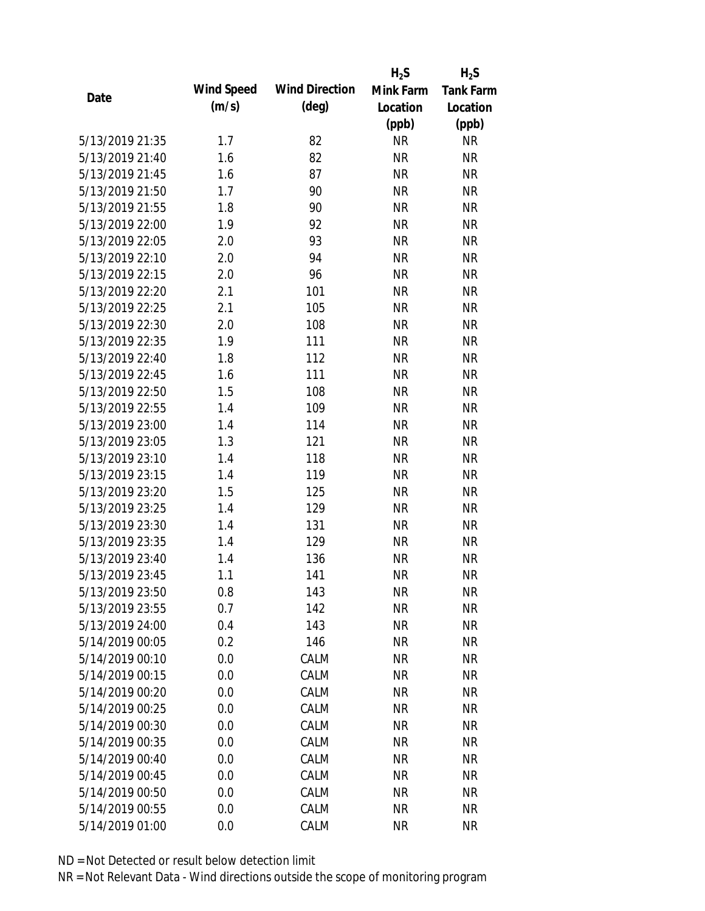|                 |            |                       | $H_2S$    | $H_2S$           |
|-----------------|------------|-----------------------|-----------|------------------|
| Date            | Wind Speed | <b>Wind Direction</b> | Mink Farm | <b>Tank Farm</b> |
|                 | (m/s)      | $(\text{deg})$        | Location  | Location         |
|                 |            |                       | (ppb)     | (ppb)            |
| 5/13/2019 21:35 | 1.7        | 82                    | <b>NR</b> | <b>NR</b>        |
| 5/13/2019 21:40 | 1.6        | 82                    | <b>NR</b> | <b>NR</b>        |
| 5/13/2019 21:45 | 1.6        | 87                    | <b>NR</b> | <b>NR</b>        |
| 5/13/2019 21:50 | 1.7        | 90                    | <b>NR</b> | <b>NR</b>        |
| 5/13/2019 21:55 | 1.8        | 90                    | <b>NR</b> | <b>NR</b>        |
| 5/13/2019 22:00 | 1.9        | 92                    | <b>NR</b> | <b>NR</b>        |
| 5/13/2019 22:05 | 2.0        | 93                    | <b>NR</b> | <b>NR</b>        |
| 5/13/2019 22:10 | 2.0        | 94                    | <b>NR</b> | <b>NR</b>        |
| 5/13/2019 22:15 | 2.0        | 96                    | <b>NR</b> | <b>NR</b>        |
| 5/13/2019 22:20 | 2.1        | 101                   | <b>NR</b> | <b>NR</b>        |
| 5/13/2019 22:25 | 2.1        | 105                   | <b>NR</b> | <b>NR</b>        |
| 5/13/2019 22:30 | 2.0        | 108                   | <b>NR</b> | <b>NR</b>        |
| 5/13/2019 22:35 | 1.9        | 111                   | <b>NR</b> | <b>NR</b>        |
| 5/13/2019 22:40 | 1.8        | 112                   | <b>NR</b> | <b>NR</b>        |
| 5/13/2019 22:45 | 1.6        | 111                   | <b>NR</b> | <b>NR</b>        |
| 5/13/2019 22:50 | 1.5        | 108                   | <b>NR</b> | <b>NR</b>        |
| 5/13/2019 22:55 | 1.4        | 109                   | <b>NR</b> | <b>NR</b>        |
| 5/13/2019 23:00 | 1.4        | 114                   | <b>NR</b> | <b>NR</b>        |
| 5/13/2019 23:05 | 1.3        | 121                   | <b>NR</b> | <b>NR</b>        |
| 5/13/2019 23:10 | 1.4        | 118                   | <b>NR</b> | <b>NR</b>        |
| 5/13/2019 23:15 | 1.4        | 119                   | <b>NR</b> | <b>NR</b>        |
| 5/13/2019 23:20 | 1.5        | 125                   | <b>NR</b> | <b>NR</b>        |
| 5/13/2019 23:25 | 1.4        | 129                   | <b>NR</b> | <b>NR</b>        |
| 5/13/2019 23:30 | 1.4        | 131                   | <b>NR</b> | <b>NR</b>        |
| 5/13/2019 23:35 | 1.4        | 129                   | <b>NR</b> | <b>NR</b>        |
| 5/13/2019 23:40 | 1.4        | 136                   | <b>NR</b> | <b>NR</b>        |
| 5/13/2019 23:45 | 1.1        | 141                   | <b>NR</b> | <b>NR</b>        |
| 5/13/2019 23:50 | 0.8        | 143                   | <b>NR</b> | <b>NR</b>        |
| 5/13/2019 23:55 | 0.7        | 142                   | <b>NR</b> | <b>NR</b>        |
| 5/13/2019 24:00 | 0.4        | 143                   | <b>NR</b> | <b>NR</b>        |
| 5/14/2019 00:05 | 0.2        | 146                   | <b>NR</b> | <b>NR</b>        |
| 5/14/2019 00:10 | 0.0        | CALM                  | <b>NR</b> | <b>NR</b>        |
| 5/14/2019 00:15 | 0.0        | CALM                  | <b>NR</b> | <b>NR</b>        |
| 5/14/2019 00:20 | 0.0        | CALM                  | <b>NR</b> | <b>NR</b>        |
| 5/14/2019 00:25 | 0.0        | CALM                  | <b>NR</b> | NR               |
| 5/14/2019 00:30 | 0.0        | CALM                  | <b>NR</b> | <b>NR</b>        |
| 5/14/2019 00:35 | 0.0        | CALM                  | <b>NR</b> | NR               |
| 5/14/2019 00:40 | 0.0        | CALM                  | NR        | <b>NR</b>        |
| 5/14/2019 00:45 | 0.0        | CALM                  | <b>NR</b> | NR               |
| 5/14/2019 00:50 | 0.0        | CALM                  | <b>NR</b> | NR               |
| 5/14/2019 00:55 | 0.0        | CALM                  | <b>NR</b> | <b>NR</b>        |
| 5/14/2019 01:00 | 0.0        | CALM                  | <b>NR</b> | <b>NR</b>        |
|                 |            |                       |           |                  |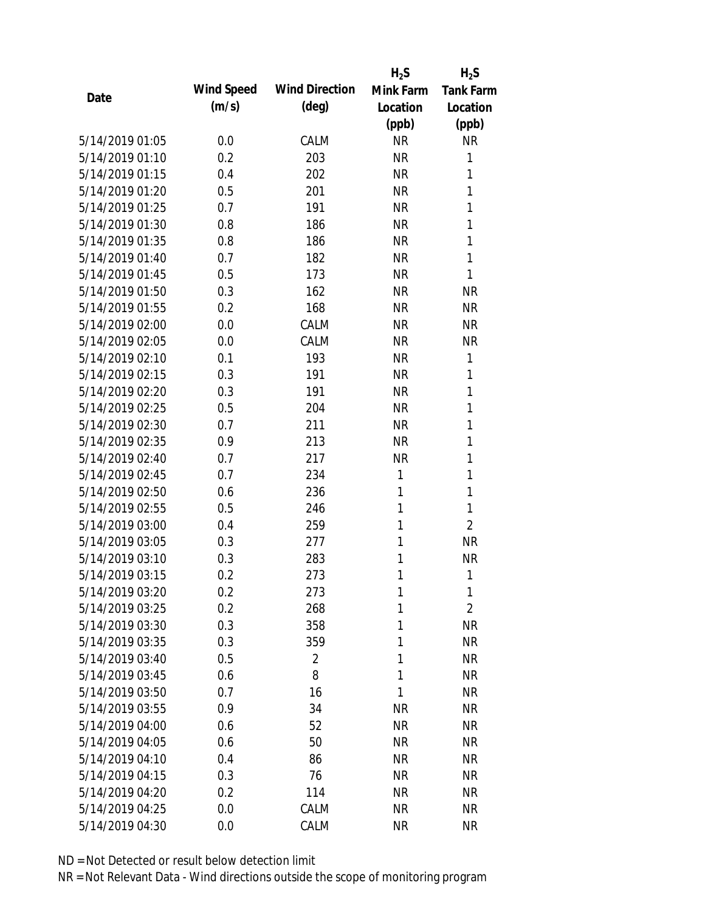|                 |            |                       | $H_2S$    | $H_2S$           |
|-----------------|------------|-----------------------|-----------|------------------|
| Date            | Wind Speed | <b>Wind Direction</b> | Mink Farm | <b>Tank Farm</b> |
|                 | (m/s)      | $(\text{deg})$        | Location  | Location         |
|                 |            |                       | (ppb)     | (ppb)            |
| 5/14/2019 01:05 | 0.0        | CALM                  | <b>NR</b> | <b>NR</b>        |
| 5/14/2019 01:10 | 0.2        | 203                   | <b>NR</b> | 1                |
| 5/14/2019 01:15 | 0.4        | 202                   | <b>NR</b> | 1                |
| 5/14/2019 01:20 | 0.5        | 201                   | <b>NR</b> | 1                |
| 5/14/2019 01:25 | 0.7        | 191                   | <b>NR</b> | 1                |
| 5/14/2019 01:30 | 0.8        | 186                   | <b>NR</b> | 1                |
| 5/14/2019 01:35 | 0.8        | 186                   | <b>NR</b> | 1                |
| 5/14/2019 01:40 | 0.7        | 182                   | <b>NR</b> | 1                |
| 5/14/2019 01:45 | 0.5        | 173                   | <b>NR</b> | 1                |
| 5/14/2019 01:50 | 0.3        | 162                   | <b>NR</b> | <b>NR</b>        |
| 5/14/2019 01:55 | 0.2        | 168                   | <b>NR</b> | <b>NR</b>        |
| 5/14/2019 02:00 | 0.0        | CALM                  | <b>NR</b> | <b>NR</b>        |
| 5/14/2019 02:05 | 0.0        | CALM                  | <b>NR</b> | <b>NR</b>        |
| 5/14/2019 02:10 | 0.1        | 193                   | <b>NR</b> | 1                |
| 5/14/2019 02:15 | 0.3        | 191                   | <b>NR</b> | 1                |
| 5/14/2019 02:20 | 0.3        | 191                   | <b>NR</b> | 1                |
| 5/14/2019 02:25 | 0.5        | 204                   | <b>NR</b> | 1                |
| 5/14/2019 02:30 | 0.7        | 211                   | <b>NR</b> | 1                |
| 5/14/2019 02:35 | 0.9        | 213                   | <b>NR</b> | 1                |
| 5/14/2019 02:40 | 0.7        | 217                   | <b>NR</b> | 1                |
| 5/14/2019 02:45 | 0.7        | 234                   | 1         | 1                |
| 5/14/2019 02:50 | 0.6        | 236                   | 1         | 1                |
| 5/14/2019 02:55 | 0.5        | 246                   | 1         | 1                |
| 5/14/2019 03:00 | 0.4        | 259                   | 1         | $\overline{2}$   |
| 5/14/2019 03:05 | 0.3        | 277                   | 1         | <b>NR</b>        |
| 5/14/2019 03:10 | 0.3        | 283                   | 1         | <b>NR</b>        |
| 5/14/2019 03:15 | 0.2        | 273                   | 1         | 1                |
| 5/14/2019 03:20 | 0.2        | 273                   | 1         | 1                |
| 5/14/2019 03:25 | 0.2        | 268                   | 1         | $\overline{2}$   |
| 5/14/2019 03:30 | 0.3        | 358                   | 1         | <b>NR</b>        |
| 5/14/2019 03:35 | 0.3        | 359                   | 1         | <b>NR</b>        |
| 5/14/2019 03:40 | 0.5        | $\overline{2}$        | 1         | <b>NR</b>        |
| 5/14/2019 03:45 | 0.6        | 8                     | 1         | <b>NR</b>        |
| 5/14/2019 03:50 | 0.7        | 16                    | 1         | <b>NR</b>        |
| 5/14/2019 03:55 | 0.9        | 34                    | <b>NR</b> | <b>NR</b>        |
| 5/14/2019 04:00 | 0.6        | 52                    | <b>NR</b> | <b>NR</b>        |
| 5/14/2019 04:05 | 0.6        | 50                    | <b>NR</b> | <b>NR</b>        |
| 5/14/2019 04:10 | 0.4        | 86                    | NR        | <b>NR</b>        |
| 5/14/2019 04:15 | 0.3        | 76                    | <b>NR</b> | <b>NR</b>        |
| 5/14/2019 04:20 | 0.2        | 114                   | <b>NR</b> | <b>NR</b>        |
| 5/14/2019 04:25 | 0.0        | CALM                  | <b>NR</b> | <b>NR</b>        |
| 5/14/2019 04:30 | 0.0        | CALM                  | <b>NR</b> | <b>NR</b>        |
|                 |            |                       |           |                  |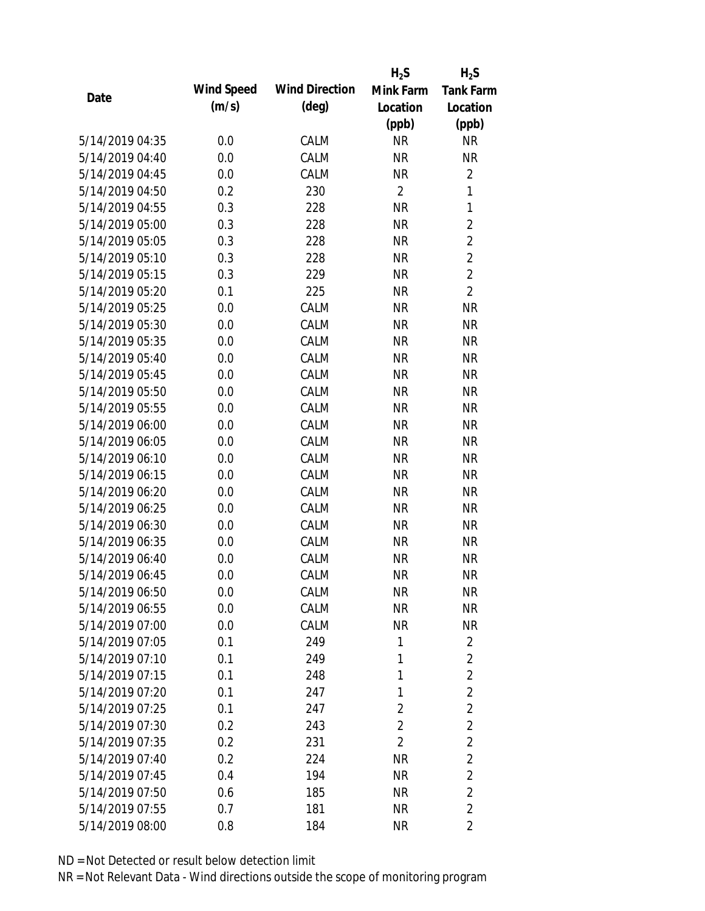|                 |            |                       | $H_2S$         | $H_2S$           |
|-----------------|------------|-----------------------|----------------|------------------|
| Date            | Wind Speed | <b>Wind Direction</b> | Mink Farm      | <b>Tank Farm</b> |
|                 | (m/s)      | $(\text{deg})$        | Location       | Location         |
|                 |            |                       | (ppb)          | (ppb)            |
| 5/14/2019 04:35 | 0.0        | CALM                  | <b>NR</b>      | <b>NR</b>        |
| 5/14/2019 04:40 | 0.0        | CALM                  | <b>NR</b>      | <b>NR</b>        |
| 5/14/2019 04:45 | 0.0        | CALM                  | <b>NR</b>      | $\overline{2}$   |
| 5/14/2019 04:50 | 0.2        | 230                   | $\overline{2}$ | $\mathbf{1}$     |
| 5/14/2019 04:55 | 0.3        | 228                   | <b>NR</b>      | $\mathbf{1}$     |
| 5/14/2019 05:00 | 0.3        | 228                   | <b>NR</b>      | $\overline{2}$   |
| 5/14/2019 05:05 | 0.3        | 228                   | <b>NR</b>      | $\overline{2}$   |
| 5/14/2019 05:10 | 0.3        | 228                   | <b>NR</b>      | $\overline{2}$   |
| 5/14/2019 05:15 | 0.3        | 229                   | <b>NR</b>      | $\overline{2}$   |
| 5/14/2019 05:20 | 0.1        | 225                   | <b>NR</b>      | $\overline{2}$   |
| 5/14/2019 05:25 | 0.0        | CALM                  | <b>NR</b>      | <b>NR</b>        |
| 5/14/2019 05:30 | 0.0        | CALM                  | <b>NR</b>      | <b>NR</b>        |
| 5/14/2019 05:35 | 0.0        | CALM                  | <b>NR</b>      | <b>NR</b>        |
| 5/14/2019 05:40 | 0.0        | CALM                  | <b>NR</b>      | <b>NR</b>        |
| 5/14/2019 05:45 | 0.0        | CALM                  | <b>NR</b>      | <b>NR</b>        |
| 5/14/2019 05:50 | 0.0        | CALM                  | <b>NR</b>      | <b>NR</b>        |
| 5/14/2019 05:55 | 0.0        | CALM                  | <b>NR</b>      | <b>NR</b>        |
| 5/14/2019 06:00 | 0.0        | CALM                  | <b>NR</b>      | <b>NR</b>        |
| 5/14/2019 06:05 | 0.0        | CALM                  | <b>NR</b>      | <b>NR</b>        |
| 5/14/2019 06:10 | 0.0        | CALM                  | <b>NR</b>      | <b>NR</b>        |
| 5/14/2019 06:15 | 0.0        | CALM                  | <b>NR</b>      | <b>NR</b>        |
| 5/14/2019 06:20 | 0.0        | CALM                  | <b>NR</b>      | <b>NR</b>        |
| 5/14/2019 06:25 | 0.0        | CALM                  | <b>NR</b>      | <b>NR</b>        |
| 5/14/2019 06:30 | 0.0        | CALM                  | <b>NR</b>      | <b>NR</b>        |
| 5/14/2019 06:35 | 0.0        | CALM                  | <b>NR</b>      | <b>NR</b>        |
| 5/14/2019 06:40 | 0.0        | CALM                  | <b>NR</b>      | <b>NR</b>        |
| 5/14/2019 06:45 | 0.0        | CALM                  | <b>NR</b>      | <b>NR</b>        |
| 5/14/2019 06:50 | 0.0        | CALM                  | <b>NR</b>      | <b>NR</b>        |
| 5/14/2019 06:55 | 0.0        | CALM                  | <b>NR</b>      | <b>NR</b>        |
| 5/14/2019 07:00 | 0.0        | CALM                  | <b>NR</b>      | <b>NR</b>        |
| 5/14/2019 07:05 | 0.1        | 249                   | 1              | $\overline{2}$   |
| 5/14/2019 07:10 | 0.1        | 249                   | 1              | $\overline{2}$   |
| 5/14/2019 07:15 | 0.1        | 248                   | 1              | $\overline{2}$   |
| 5/14/2019 07:20 | 0.1        | 247                   | 1              | $\overline{2}$   |
| 5/14/2019 07:25 | 0.1        | 247                   | 2              | $\overline{2}$   |
| 5/14/2019 07:30 | 0.2        | 243                   | $\overline{2}$ | $\overline{2}$   |
| 5/14/2019 07:35 | 0.2        | 231                   | $\overline{2}$ | $\overline{2}$   |
| 5/14/2019 07:40 | 0.2        | 224                   | <b>NR</b>      | $\overline{2}$   |
| 5/14/2019 07:45 | 0.4        | 194                   | <b>NR</b>      | $\overline{2}$   |
| 5/14/2019 07:50 | 0.6        | 185                   | <b>NR</b>      | $\overline{2}$   |
| 5/14/2019 07:55 | 0.7        | 181                   | <b>NR</b>      | $\overline{2}$   |
| 5/14/2019 08:00 | 0.8        | 184                   | <b>NR</b>      | $\overline{2}$   |
|                 |            |                       |                |                  |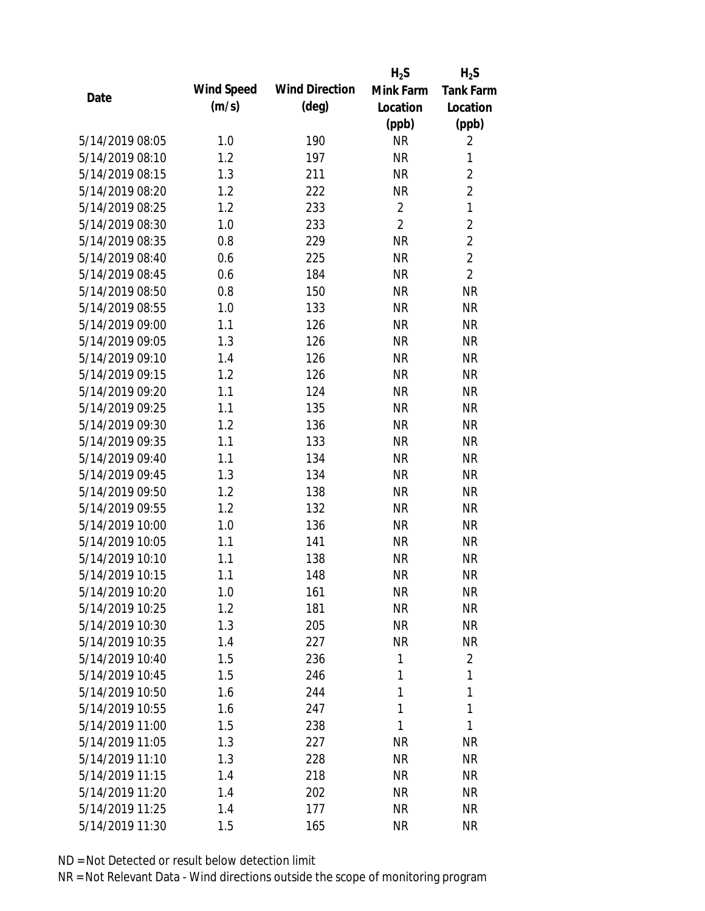|                 |            |                       | $H_2S$         | $H_2S$           |
|-----------------|------------|-----------------------|----------------|------------------|
|                 | Wind Speed | <b>Wind Direction</b> | Mink Farm      | <b>Tank Farm</b> |
| Date            | (m/s)      | $(\text{deg})$        | Location       | Location         |
|                 |            |                       | (ppb)          | (ppb)            |
| 5/14/2019 08:05 | 1.0        | 190                   | <b>NR</b>      | $\overline{2}$   |
| 5/14/2019 08:10 | 1.2        | 197                   | <b>NR</b>      | 1                |
| 5/14/2019 08:15 | 1.3        | 211                   | <b>NR</b>      | $\overline{2}$   |
| 5/14/2019 08:20 | 1.2        | 222                   | <b>NR</b>      | $\overline{2}$   |
| 5/14/2019 08:25 | 1.2        | 233                   | $\overline{2}$ | 1                |
| 5/14/2019 08:30 | 1.0        | 233                   | $\overline{2}$ | $\overline{2}$   |
| 5/14/2019 08:35 | 0.8        | 229                   | <b>NR</b>      | $\overline{2}$   |
| 5/14/2019 08:40 | 0.6        | 225                   | <b>NR</b>      | $\overline{2}$   |
| 5/14/2019 08:45 | 0.6        | 184                   | <b>NR</b>      | $\overline{2}$   |
| 5/14/2019 08:50 | 0.8        | 150                   | <b>NR</b>      | <b>NR</b>        |
| 5/14/2019 08:55 | 1.0        | 133                   | <b>NR</b>      | <b>NR</b>        |
| 5/14/2019 09:00 | 1.1        | 126                   | <b>NR</b>      | <b>NR</b>        |
| 5/14/2019 09:05 | 1.3        | 126                   | <b>NR</b>      | <b>NR</b>        |
| 5/14/2019 09:10 | 1.4        | 126                   | <b>NR</b>      | <b>NR</b>        |
| 5/14/2019 09:15 | 1.2        | 126                   | <b>NR</b>      | <b>NR</b>        |
| 5/14/2019 09:20 | 1.1        | 124                   | <b>NR</b>      | <b>NR</b>        |
| 5/14/2019 09:25 | 1.1        | 135                   | <b>NR</b>      | <b>NR</b>        |
| 5/14/2019 09:30 | 1.2        | 136                   | <b>NR</b>      | <b>NR</b>        |
| 5/14/2019 09:35 | 1.1        | 133                   | <b>NR</b>      | <b>NR</b>        |
| 5/14/2019 09:40 | 1.1        | 134                   | <b>NR</b>      | <b>NR</b>        |
| 5/14/2019 09:45 | 1.3        | 134                   | <b>NR</b>      | <b>NR</b>        |
| 5/14/2019 09:50 | 1.2        | 138                   | <b>NR</b>      | <b>NR</b>        |
| 5/14/2019 09:55 | 1.2        | 132                   | <b>NR</b>      | <b>NR</b>        |
| 5/14/2019 10:00 | 1.0        | 136                   | <b>NR</b>      | <b>NR</b>        |
| 5/14/2019 10:05 | 1.1        | 141                   | <b>NR</b>      | <b>NR</b>        |
| 5/14/2019 10:10 | 1.1        | 138                   | <b>NR</b>      | <b>NR</b>        |
| 5/14/2019 10:15 | 1.1        | 148                   | <b>NR</b>      | <b>NR</b>        |
| 5/14/2019 10:20 | 1.0        | 161                   | <b>NR</b>      | <b>NR</b>        |
| 5/14/2019 10:25 | 1.2        | 181                   | <b>NR</b>      | <b>NR</b>        |
| 5/14/2019 10:30 | 1.3        | 205                   | NR             | <b>NR</b>        |
| 5/14/2019 10:35 | 1.4        | 227                   | <b>NR</b>      | <b>NR</b>        |
| 5/14/2019 10:40 | 1.5        | 236                   | 1              | $\overline{2}$   |
| 5/14/2019 10:45 | 1.5        | 246                   | 1              | 1                |
| 5/14/2019 10:50 | 1.6        | 244                   | 1              | 1                |
| 5/14/2019 10:55 | 1.6        | 247                   | 1              | 1                |
| 5/14/2019 11:00 | 1.5        | 238                   | 1              | 1                |
| 5/14/2019 11:05 | 1.3        | 227                   | <b>NR</b>      | <b>NR</b>        |
| 5/14/2019 11:10 | 1.3        | 228                   | <b>NR</b>      | <b>NR</b>        |
| 5/14/2019 11:15 | 1.4        | 218                   | <b>NR</b>      | NR               |
| 5/14/2019 11:20 | 1.4        | 202                   | <b>NR</b>      | NR               |
| 5/14/2019 11:25 | 1.4        | 177                   | <b>NR</b>      | <b>NR</b>        |
|                 |            |                       |                |                  |
| 5/14/2019 11:30 | 1.5        | 165                   | <b>NR</b>      | <b>NR</b>        |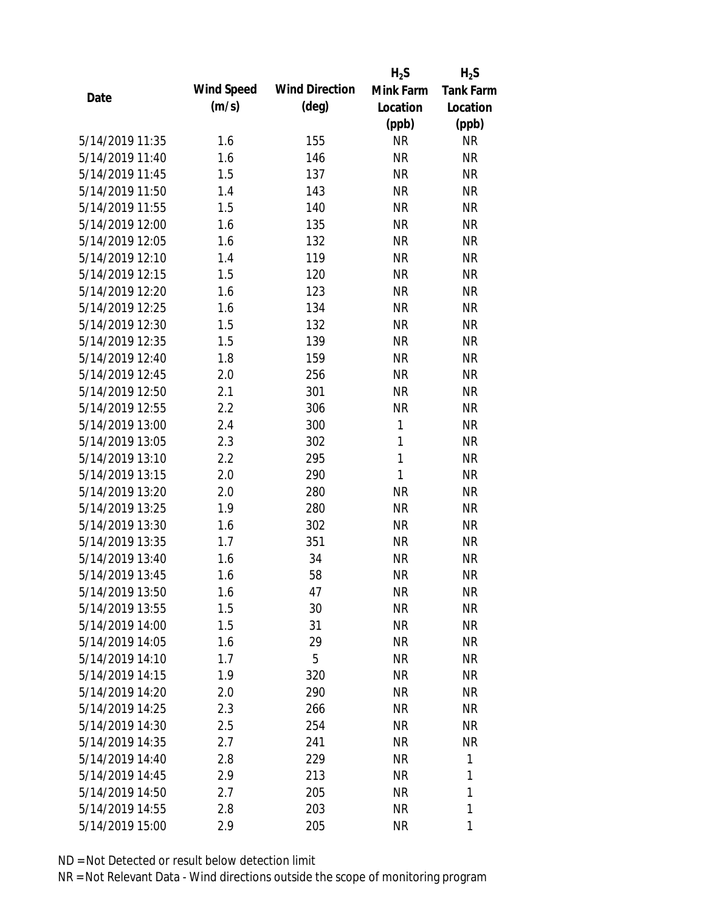|                 |            |                       | $H_2S$       | $H_2S$           |
|-----------------|------------|-----------------------|--------------|------------------|
|                 | Wind Speed | <b>Wind Direction</b> | Mink Farm    | <b>Tank Farm</b> |
| Date            | (m/s)      | $(\text{deg})$        | Location     | Location         |
|                 |            |                       | (ppb)        | (ppb)            |
| 5/14/2019 11:35 | 1.6        | 155                   | <b>NR</b>    | <b>NR</b>        |
| 5/14/2019 11:40 | 1.6        | 146                   | <b>NR</b>    | <b>NR</b>        |
| 5/14/2019 11:45 | 1.5        | 137                   | <b>NR</b>    | <b>NR</b>        |
| 5/14/2019 11:50 | 1.4        | 143                   | <b>NR</b>    | <b>NR</b>        |
| 5/14/2019 11:55 | 1.5        | 140                   | <b>NR</b>    | <b>NR</b>        |
| 5/14/2019 12:00 | 1.6        | 135                   | <b>NR</b>    | <b>NR</b>        |
| 5/14/2019 12:05 | 1.6        | 132                   | <b>NR</b>    | <b>NR</b>        |
| 5/14/2019 12:10 | 1.4        | 119                   | <b>NR</b>    | <b>NR</b>        |
| 5/14/2019 12:15 | 1.5        | 120                   | <b>NR</b>    | <b>NR</b>        |
| 5/14/2019 12:20 | 1.6        | 123                   | <b>NR</b>    | <b>NR</b>        |
| 5/14/2019 12:25 | 1.6        | 134                   | <b>NR</b>    | <b>NR</b>        |
| 5/14/2019 12:30 | 1.5        | 132                   | <b>NR</b>    | <b>NR</b>        |
| 5/14/2019 12:35 | 1.5        | 139                   | <b>NR</b>    | <b>NR</b>        |
| 5/14/2019 12:40 | 1.8        | 159                   | <b>NR</b>    | <b>NR</b>        |
| 5/14/2019 12:45 | 2.0        | 256                   | <b>NR</b>    | <b>NR</b>        |
| 5/14/2019 12:50 | 2.1        | 301                   | <b>NR</b>    | <b>NR</b>        |
| 5/14/2019 12:55 | 2.2        | 306                   | <b>NR</b>    | <b>NR</b>        |
| 5/14/2019 13:00 | 2.4        | 300                   | $\mathbf{1}$ | <b>NR</b>        |
| 5/14/2019 13:05 | 2.3        | 302                   | $\mathbf{1}$ | <b>NR</b>        |
| 5/14/2019 13:10 | 2.2        | 295                   | $\mathbf{1}$ | <b>NR</b>        |
| 5/14/2019 13:15 | 2.0        | 290                   | 1            | <b>NR</b>        |
| 5/14/2019 13:20 | 2.0        | 280                   | <b>NR</b>    | <b>NR</b>        |
| 5/14/2019 13:25 | 1.9        | 280                   | <b>NR</b>    | <b>NR</b>        |
| 5/14/2019 13:30 | 1.6        | 302                   | <b>NR</b>    | <b>NR</b>        |
| 5/14/2019 13:35 | 1.7        | 351                   | <b>NR</b>    | <b>NR</b>        |
| 5/14/2019 13:40 | 1.6        | 34                    | <b>NR</b>    | <b>NR</b>        |
| 5/14/2019 13:45 | 1.6        | 58                    | <b>NR</b>    | <b>NR</b>        |
| 5/14/2019 13:50 | 1.6        | 47                    | <b>NR</b>    | <b>NR</b>        |
| 5/14/2019 13:55 | 1.5        | 30                    | <b>NR</b>    | <b>NR</b>        |
| 5/14/2019 14:00 | 1.5        | 31                    | <b>NR</b>    | NR               |
| 5/14/2019 14:05 | 1.6        | 29                    | <b>NR</b>    | <b>NR</b>        |
| 5/14/2019 14:10 | 1.7        | 5                     | <b>NR</b>    | NR               |
| 5/14/2019 14:15 | 1.9        | 320                   | <b>NR</b>    | NR               |
| 5/14/2019 14:20 | 2.0        | 290                   | <b>NR</b>    | NR               |
| 5/14/2019 14:25 | 2.3        | 266                   | <b>NR</b>    | NR               |
| 5/14/2019 14:30 | 2.5        | 254                   | <b>NR</b>    | <b>NR</b>        |
| 5/14/2019 14:35 | 2.7        | 241                   | <b>NR</b>    | NR               |
| 5/14/2019 14:40 | 2.8        | 229                   | <b>NR</b>    | 1                |
| 5/14/2019 14:45 | 2.9        | 213                   | <b>NR</b>    | 1                |
| 5/14/2019 14:50 | 2.7        | 205                   | <b>NR</b>    | 1                |
| 5/14/2019 14:55 | 2.8        | 203                   | <b>NR</b>    | 1                |
| 5/14/2019 15:00 | 2.9        | 205                   | <b>NR</b>    | 1                |
|                 |            |                       |              |                  |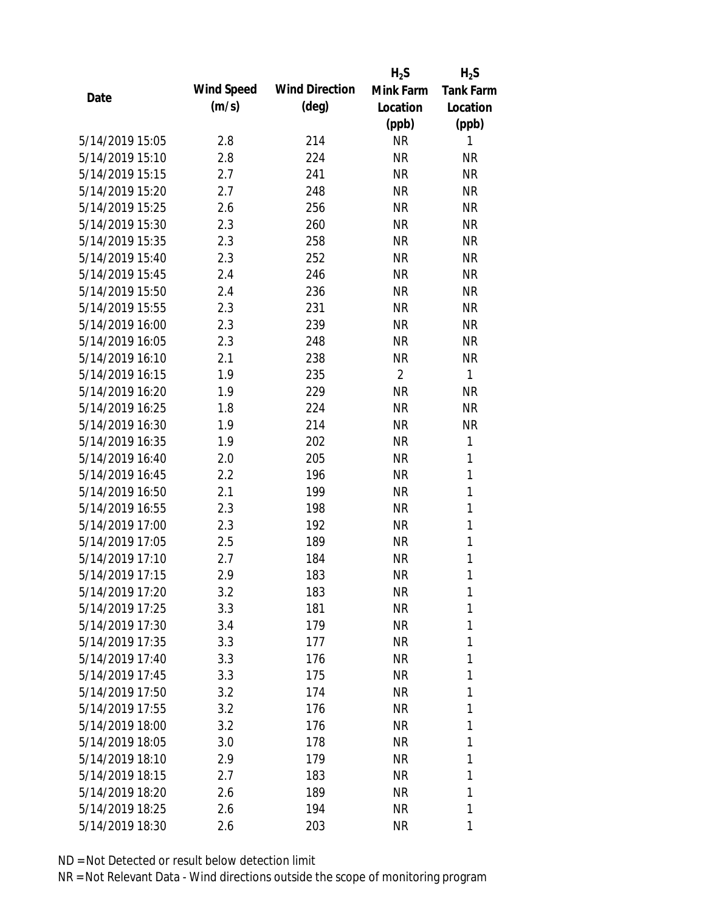|                 |            |                       | $H_2S$         | $H_2S$           |
|-----------------|------------|-----------------------|----------------|------------------|
|                 | Wind Speed | <b>Wind Direction</b> | Mink Farm      | <b>Tank Farm</b> |
| Date            | (m/s)      | $(\text{deg})$        | Location       | Location         |
|                 |            |                       | (ppb)          | (ppb)            |
| 5/14/2019 15:05 | 2.8        | 214                   | <b>NR</b>      | 1                |
| 5/14/2019 15:10 | 2.8        | 224                   | <b>NR</b>      | <b>NR</b>        |
| 5/14/2019 15:15 | 2.7        | 241                   | <b>NR</b>      | <b>NR</b>        |
| 5/14/2019 15:20 | 2.7        | 248                   | <b>NR</b>      | <b>NR</b>        |
| 5/14/2019 15:25 | 2.6        | 256                   | <b>NR</b>      | <b>NR</b>        |
| 5/14/2019 15:30 | 2.3        | 260                   | <b>NR</b>      | <b>NR</b>        |
| 5/14/2019 15:35 | 2.3        | 258                   | <b>NR</b>      | <b>NR</b>        |
| 5/14/2019 15:40 | 2.3        | 252                   | <b>NR</b>      | <b>NR</b>        |
| 5/14/2019 15:45 | 2.4        | 246                   | <b>NR</b>      | <b>NR</b>        |
| 5/14/2019 15:50 | 2.4        | 236                   | <b>NR</b>      | <b>NR</b>        |
| 5/14/2019 15:55 | 2.3        | 231                   | <b>NR</b>      | <b>NR</b>        |
| 5/14/2019 16:00 | 2.3        | 239                   | <b>NR</b>      | <b>NR</b>        |
| 5/14/2019 16:05 | 2.3        | 248                   | <b>NR</b>      | <b>NR</b>        |
| 5/14/2019 16:10 | 2.1        | 238                   | <b>NR</b>      | <b>NR</b>        |
| 5/14/2019 16:15 | 1.9        | 235                   | $\overline{2}$ | 1                |
| 5/14/2019 16:20 | 1.9        | 229                   | <b>NR</b>      | <b>NR</b>        |
| 5/14/2019 16:25 | 1.8        | 224                   | <b>NR</b>      | <b>NR</b>        |
| 5/14/2019 16:30 | 1.9        | 214                   | <b>NR</b>      | <b>NR</b>        |
| 5/14/2019 16:35 | 1.9        | 202                   | <b>NR</b>      | 1                |
| 5/14/2019 16:40 | 2.0        | 205                   | <b>NR</b>      | 1                |
| 5/14/2019 16:45 | 2.2        | 196                   | <b>NR</b>      | $\mathbf{1}$     |
| 5/14/2019 16:50 | 2.1        | 199                   | <b>NR</b>      | 1                |
| 5/14/2019 16:55 | 2.3        | 198                   | <b>NR</b>      | 1                |
| 5/14/2019 17:00 | 2.3        | 192                   | <b>NR</b>      | 1                |
| 5/14/2019 17:05 | 2.5        | 189                   | <b>NR</b>      | 1                |
| 5/14/2019 17:10 | 2.7        | 184                   | <b>NR</b>      | $\mathbf{1}$     |
| 5/14/2019 17:15 | 2.9        | 183                   | <b>NR</b>      | 1                |
| 5/14/2019 17:20 | 3.2        | 183                   | <b>NR</b>      | 1                |
| 5/14/2019 17:25 | 3.3        | 181                   | <b>NR</b>      | 1                |
| 5/14/2019 17:30 | 3.4        | 179                   | <b>NR</b>      | 1                |
| 5/14/2019 17:35 | 3.3        | 177                   | <b>NR</b>      | 1                |
| 5/14/2019 17:40 | 3.3        | 176                   | <b>NR</b>      | 1                |
| 5/14/2019 17:45 | 3.3        | 175                   | <b>NR</b>      | 1                |
| 5/14/2019 17:50 | 3.2        | 174                   | <b>NR</b>      | 1                |
| 5/14/2019 17:55 | 3.2        | 176                   | <b>NR</b>      | 1                |
| 5/14/2019 18:00 | 3.2        | 176                   | <b>NR</b>      | 1                |
| 5/14/2019 18:05 | 3.0        | 178                   | <b>NR</b>      | 1                |
| 5/14/2019 18:10 | 2.9        | 179                   | <b>NR</b>      | 1                |
| 5/14/2019 18:15 | 2.7        | 183                   | <b>NR</b>      | 1                |
| 5/14/2019 18:20 | 2.6        | 189                   | <b>NR</b>      | 1                |
| 5/14/2019 18:25 | 2.6        | 194                   | <b>NR</b>      | 1                |
| 5/14/2019 18:30 | 2.6        | 203                   | <b>NR</b>      | 1                |
|                 |            |                       |                |                  |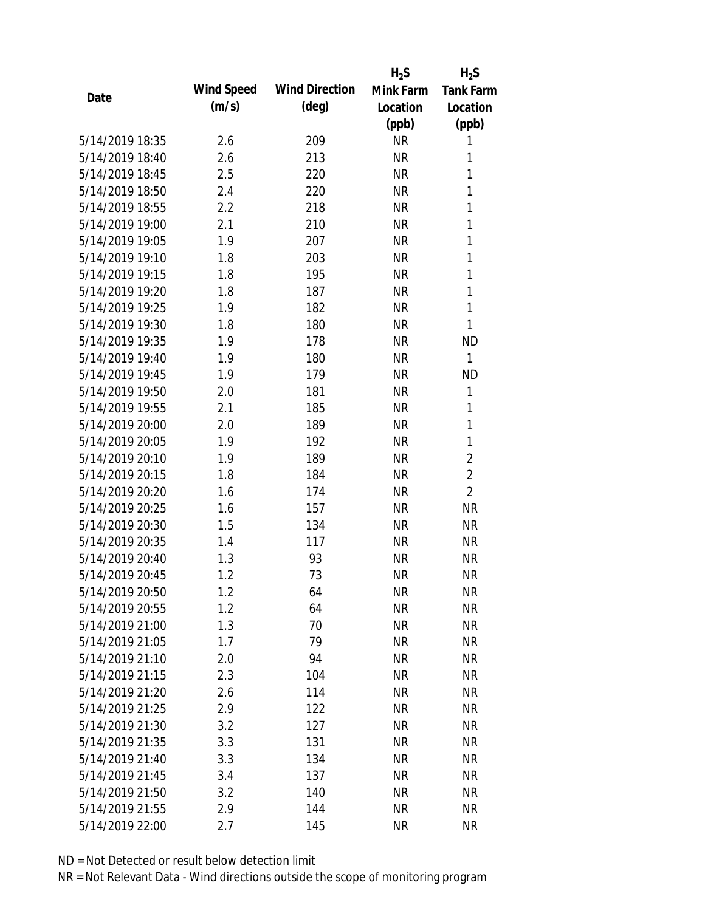|                 |            |                       | $H_2S$    | $H_2S$           |
|-----------------|------------|-----------------------|-----------|------------------|
| Date            | Wind Speed | <b>Wind Direction</b> | Mink Farm | <b>Tank Farm</b> |
|                 | (m/s)      | $(\text{deg})$        | Location  | Location         |
|                 |            |                       | (ppb)     | (ppb)            |
| 5/14/2019 18:35 | 2.6        | 209                   | <b>NR</b> | 1                |
| 5/14/2019 18:40 | 2.6        | 213                   | <b>NR</b> | 1                |
| 5/14/2019 18:45 | 2.5        | 220                   | <b>NR</b> | 1                |
| 5/14/2019 18:50 | 2.4        | 220                   | <b>NR</b> | 1                |
| 5/14/2019 18:55 | 2.2        | 218                   | <b>NR</b> | 1                |
| 5/14/2019 19:00 | 2.1        | 210                   | <b>NR</b> | 1                |
| 5/14/2019 19:05 | 1.9        | 207                   | <b>NR</b> | 1                |
| 5/14/2019 19:10 | 1.8        | 203                   | <b>NR</b> | 1                |
| 5/14/2019 19:15 | 1.8        | 195                   | <b>NR</b> | 1                |
| 5/14/2019 19:20 | 1.8        | 187                   | <b>NR</b> | 1                |
| 5/14/2019 19:25 | 1.9        | 182                   | <b>NR</b> | 1                |
| 5/14/2019 19:30 | 1.8        | 180                   | <b>NR</b> | 1                |
| 5/14/2019 19:35 | 1.9        | 178                   | <b>NR</b> | <b>ND</b>        |
| 5/14/2019 19:40 | 1.9        | 180                   | <b>NR</b> | 1                |
| 5/14/2019 19:45 | 1.9        | 179                   | <b>NR</b> | <b>ND</b>        |
| 5/14/2019 19:50 | 2.0        | 181                   | <b>NR</b> | 1                |
| 5/14/2019 19:55 | 2.1        | 185                   | <b>NR</b> | 1                |
| 5/14/2019 20:00 | 2.0        | 189                   | <b>NR</b> | 1                |
| 5/14/2019 20:05 | 1.9        | 192                   | <b>NR</b> | 1                |
| 5/14/2019 20:10 | 1.9        | 189                   | <b>NR</b> | $\overline{2}$   |
| 5/14/2019 20:15 | 1.8        | 184                   | <b>NR</b> | $\overline{2}$   |
| 5/14/2019 20:20 | 1.6        | 174                   | <b>NR</b> | $\overline{2}$   |
| 5/14/2019 20:25 | 1.6        | 157                   | <b>NR</b> | <b>NR</b>        |
| 5/14/2019 20:30 | 1.5        | 134                   | <b>NR</b> | <b>NR</b>        |
| 5/14/2019 20:35 | 1.4        | 117                   | <b>NR</b> | <b>NR</b>        |
| 5/14/2019 20:40 | 1.3        | 93                    | <b>NR</b> | <b>NR</b>        |
| 5/14/2019 20:45 | 1.2        | 73                    | <b>NR</b> | <b>NR</b>        |
| 5/14/2019 20:50 | 1.2        | 64                    | <b>NR</b> | <b>NR</b>        |
| 5/14/2019 20:55 | 1.2        | 64                    | <b>NR</b> | <b>NR</b>        |
| 5/14/2019 21:00 | 1.3        | 70                    | <b>NR</b> | <b>NR</b>        |
| 5/14/2019 21:05 | 1.7        | 79                    | <b>NR</b> | <b>NR</b>        |
| 5/14/2019 21:10 | 2.0        | 94                    | <b>NR</b> | <b>NR</b>        |
| 5/14/2019 21:15 | 2.3        | 104                   | <b>NR</b> | <b>NR</b>        |
| 5/14/2019 21:20 | 2.6        | 114                   | <b>NR</b> | <b>NR</b>        |
| 5/14/2019 21:25 | 2.9        | 122                   | <b>NR</b> | <b>NR</b>        |
| 5/14/2019 21:30 | 3.2        | 127                   | <b>NR</b> | <b>NR</b>        |
| 5/14/2019 21:35 | 3.3        | 131                   | <b>NR</b> | <b>NR</b>        |
| 5/14/2019 21:40 | 3.3        | 134                   | <b>NR</b> | <b>NR</b>        |
| 5/14/2019 21:45 | 3.4        | 137                   | <b>NR</b> | <b>NR</b>        |
| 5/14/2019 21:50 | 3.2        | 140                   | <b>NR</b> | <b>NR</b>        |
| 5/14/2019 21:55 | 2.9        | 144                   | <b>NR</b> | <b>NR</b>        |
| 5/14/2019 22:00 | 2.7        | 145                   | <b>NR</b> | <b>NR</b>        |
|                 |            |                       |           |                  |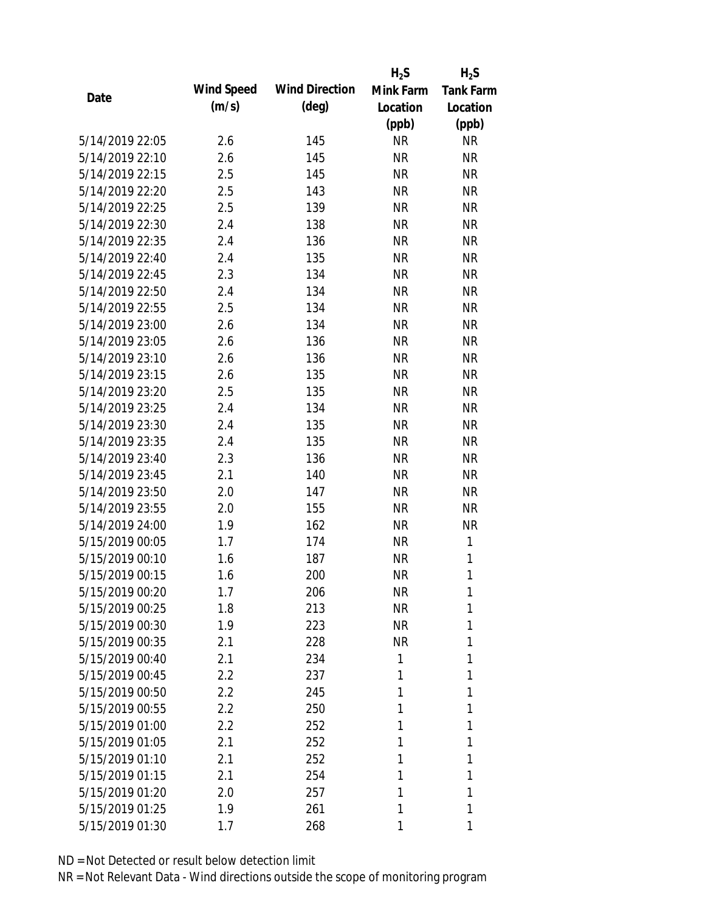|                 |            |                       | $H_2S$    | $H_2S$           |
|-----------------|------------|-----------------------|-----------|------------------|
| Date            | Wind Speed | <b>Wind Direction</b> | Mink Farm | <b>Tank Farm</b> |
|                 | (m/s)      | $(\text{deg})$        | Location  | Location         |
|                 |            |                       | (ppb)     | (ppb)            |
| 5/14/2019 22:05 | 2.6        | 145                   | <b>NR</b> | <b>NR</b>        |
| 5/14/2019 22:10 | 2.6        | 145                   | <b>NR</b> | <b>NR</b>        |
| 5/14/2019 22:15 | 2.5        | 145                   | <b>NR</b> | <b>NR</b>        |
| 5/14/2019 22:20 | 2.5        | 143                   | <b>NR</b> | <b>NR</b>        |
| 5/14/2019 22:25 | 2.5        | 139                   | <b>NR</b> | <b>NR</b>        |
| 5/14/2019 22:30 | 2.4        | 138                   | <b>NR</b> | <b>NR</b>        |
| 5/14/2019 22:35 | 2.4        | 136                   | <b>NR</b> | <b>NR</b>        |
| 5/14/2019 22:40 | 2.4        | 135                   | <b>NR</b> | <b>NR</b>        |
| 5/14/2019 22:45 | 2.3        | 134                   | <b>NR</b> | <b>NR</b>        |
| 5/14/2019 22:50 | 2.4        | 134                   | <b>NR</b> | <b>NR</b>        |
| 5/14/2019 22:55 | 2.5        | 134                   | <b>NR</b> | <b>NR</b>        |
| 5/14/2019 23:00 | 2.6        | 134                   | <b>NR</b> | <b>NR</b>        |
| 5/14/2019 23:05 | 2.6        | 136                   | <b>NR</b> | <b>NR</b>        |
| 5/14/2019 23:10 | 2.6        | 136                   | <b>NR</b> | <b>NR</b>        |
| 5/14/2019 23:15 | 2.6        | 135                   | <b>NR</b> | <b>NR</b>        |
| 5/14/2019 23:20 | 2.5        | 135                   | <b>NR</b> | <b>NR</b>        |
| 5/14/2019 23:25 | 2.4        | 134                   | <b>NR</b> | <b>NR</b>        |
| 5/14/2019 23:30 | 2.4        | 135                   | <b>NR</b> | <b>NR</b>        |
| 5/14/2019 23:35 | 2.4        | 135                   | <b>NR</b> | <b>NR</b>        |
| 5/14/2019 23:40 | 2.3        | 136                   | <b>NR</b> | <b>NR</b>        |
| 5/14/2019 23:45 | 2.1        | 140                   | <b>NR</b> | <b>NR</b>        |
| 5/14/2019 23:50 | 2.0        | 147                   | <b>NR</b> | <b>NR</b>        |
| 5/14/2019 23:55 | 2.0        | 155                   | <b>NR</b> | <b>NR</b>        |
| 5/14/2019 24:00 | 1.9        | 162                   | <b>NR</b> | <b>NR</b>        |
| 5/15/2019 00:05 | 1.7        | 174                   | <b>NR</b> | 1                |
| 5/15/2019 00:10 | 1.6        | 187                   | <b>NR</b> | 1                |
| 5/15/2019 00:15 | 1.6        | 200                   | <b>NR</b> | 1                |
| 5/15/2019 00:20 | 1.7        | 206                   | <b>NR</b> | 1                |
| 5/15/2019 00:25 | 1.8        | 213                   | <b>NR</b> | 1                |
| 5/15/2019 00:30 | 1.9        | 223                   | <b>NR</b> | 1                |
| 5/15/2019 00:35 | 2.1        | 228                   | <b>NR</b> | 1                |
| 5/15/2019 00:40 | 2.1        | 234                   | 1         | 1                |
| 5/15/2019 00:45 | 2.2        | 237                   | 1         | 1                |
| 5/15/2019 00:50 | 2.2        | 245                   | 1         | 1                |
| 5/15/2019 00:55 | 2.2        | 250                   | 1         | 1                |
| 5/15/2019 01:00 | 2.2        | 252                   | 1         | 1                |
| 5/15/2019 01:05 | 2.1        | 252                   | 1         | 1                |
| 5/15/2019 01:10 | 2.1        | 252                   | 1         | 1                |
| 5/15/2019 01:15 | 2.1        | 254                   | 1         | 1                |
| 5/15/2019 01:20 | 2.0        | 257                   | 1         | 1                |
| 5/15/2019 01:25 | 1.9        | 261                   | 1         | 1                |
| 5/15/2019 01:30 | 1.7        | 268                   | 1         | 1                |
|                 |            |                       |           |                  |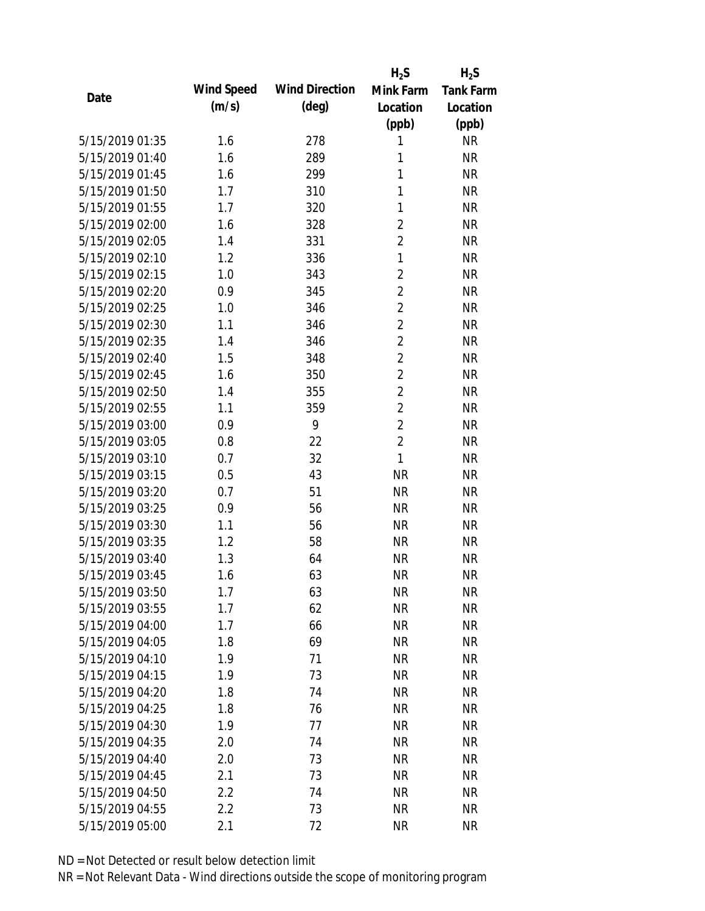|                 |            |                       | $H_2S$         | $H_2S$           |
|-----------------|------------|-----------------------|----------------|------------------|
| Date            | Wind Speed | <b>Wind Direction</b> | Mink Farm      | <b>Tank Farm</b> |
|                 | (m/s)      | $(\text{deg})$        | Location       | Location         |
|                 |            |                       | (ppb)          | (ppb)            |
| 5/15/2019 01:35 | 1.6        | 278                   | 1              | <b>NR</b>        |
| 5/15/2019 01:40 | 1.6        | 289                   | 1              | <b>NR</b>        |
| 5/15/2019 01:45 | 1.6        | 299                   | 1              | <b>NR</b>        |
| 5/15/2019 01:50 | 1.7        | 310                   | 1              | <b>NR</b>        |
| 5/15/2019 01:55 | 1.7        | 320                   | 1              | <b>NR</b>        |
| 5/15/2019 02:00 | 1.6        | 328                   | $\overline{2}$ | <b>NR</b>        |
| 5/15/2019 02:05 | 1.4        | 331                   | $\overline{2}$ | <b>NR</b>        |
| 5/15/2019 02:10 | 1.2        | 336                   | $\mathbf{1}$   | <b>NR</b>        |
| 5/15/2019 02:15 | 1.0        | 343                   | $\overline{2}$ | <b>NR</b>        |
| 5/15/2019 02:20 | 0.9        | 345                   | $\overline{2}$ | <b>NR</b>        |
| 5/15/2019 02:25 | 1.0        | 346                   | $\overline{2}$ | <b>NR</b>        |
| 5/15/2019 02:30 | 1.1        | 346                   | $\overline{2}$ | <b>NR</b>        |
| 5/15/2019 02:35 | 1.4        | 346                   | $\overline{2}$ | <b>NR</b>        |
| 5/15/2019 02:40 | 1.5        | 348                   | $\overline{2}$ | <b>NR</b>        |
| 5/15/2019 02:45 | 1.6        | 350                   | $\overline{2}$ | <b>NR</b>        |
| 5/15/2019 02:50 | 1.4        | 355                   | $\overline{2}$ | <b>NR</b>        |
| 5/15/2019 02:55 | 1.1        | 359                   | $\overline{2}$ | <b>NR</b>        |
| 5/15/2019 03:00 | 0.9        | 9                     | $\overline{2}$ | <b>NR</b>        |
| 5/15/2019 03:05 | 0.8        | 22                    | $\overline{2}$ | <b>NR</b>        |
| 5/15/2019 03:10 | 0.7        | 32                    | $\mathbf{1}$   | <b>NR</b>        |
| 5/15/2019 03:15 | 0.5        | 43                    | <b>NR</b>      | <b>NR</b>        |
| 5/15/2019 03:20 | 0.7        | 51                    | <b>NR</b>      | <b>NR</b>        |
| 5/15/2019 03:25 | 0.9        | 56                    | <b>NR</b>      | <b>NR</b>        |
| 5/15/2019 03:30 | 1.1        | 56                    | <b>NR</b>      | <b>NR</b>        |
| 5/15/2019 03:35 | 1.2        | 58                    | <b>NR</b>      | <b>NR</b>        |
| 5/15/2019 03:40 | 1.3        | 64                    | <b>NR</b>      | <b>NR</b>        |
| 5/15/2019 03:45 | 1.6        | 63                    | <b>NR</b>      | <b>NR</b>        |
| 5/15/2019 03:50 | 1.7        | 63                    | <b>NR</b>      | <b>NR</b>        |
| 5/15/2019 03:55 | 1.7        | 62                    | <b>NR</b>      | <b>NR</b>        |
| 5/15/2019 04:00 | 1.7        | 66                    | <b>NR</b>      | <b>NR</b>        |
| 5/15/2019 04:05 | 1.8        | 69                    | <b>NR</b>      | <b>NR</b>        |
| 5/15/2019 04:10 | 1.9        | 71                    | <b>NR</b>      | <b>NR</b>        |
| 5/15/2019 04:15 | 1.9        | 73                    | <b>NR</b>      | <b>NR</b>        |
| 5/15/2019 04:20 | 1.8        | 74                    | <b>NR</b>      | <b>NR</b>        |
| 5/15/2019 04:25 | 1.8        | 76                    | <b>NR</b>      | <b>NR</b>        |
| 5/15/2019 04:30 | 1.9        | 77                    | <b>NR</b>      | <b>NR</b>        |
| 5/15/2019 04:35 | 2.0        | 74                    | <b>NR</b>      | <b>NR</b>        |
| 5/15/2019 04:40 | 2.0        | 73                    | <b>NR</b>      | <b>NR</b>        |
| 5/15/2019 04:45 | 2.1        | 73                    | <b>NR</b>      | <b>NR</b>        |
| 5/15/2019 04:50 | 2.2        | 74                    | <b>NR</b>      | <b>NR</b>        |
|                 |            |                       |                |                  |
| 5/15/2019 04:55 | 2.2        | 73                    | <b>NR</b>      | <b>NR</b>        |
| 5/15/2019 05:00 | 2.1        | 72                    | <b>NR</b>      | <b>NR</b>        |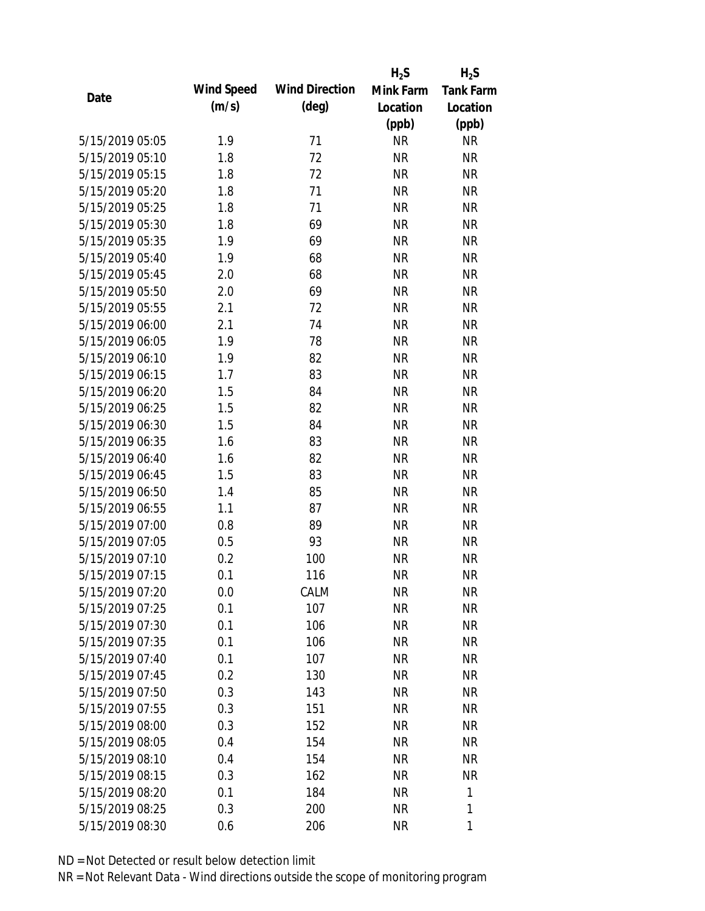|                 |            |                       | $H_2S$    | $H_2S$           |
|-----------------|------------|-----------------------|-----------|------------------|
|                 | Wind Speed | <b>Wind Direction</b> | Mink Farm | <b>Tank Farm</b> |
| Date            | (m/s)      | $(\text{deg})$        | Location  | Location         |
|                 |            |                       | (ppb)     | (ppb)            |
| 5/15/2019 05:05 | 1.9        | 71                    | <b>NR</b> | <b>NR</b>        |
| 5/15/2019 05:10 | 1.8        | 72                    | <b>NR</b> | <b>NR</b>        |
| 5/15/2019 05:15 | 1.8        | 72                    | <b>NR</b> | <b>NR</b>        |
| 5/15/2019 05:20 | 1.8        | 71                    | <b>NR</b> | <b>NR</b>        |
| 5/15/2019 05:25 | 1.8        | 71                    | <b>NR</b> | <b>NR</b>        |
| 5/15/2019 05:30 | 1.8        | 69                    | <b>NR</b> | <b>NR</b>        |
| 5/15/2019 05:35 | 1.9        | 69                    | <b>NR</b> | <b>NR</b>        |
| 5/15/2019 05:40 | 1.9        | 68                    | <b>NR</b> | <b>NR</b>        |
| 5/15/2019 05:45 | 2.0        | 68                    | <b>NR</b> | <b>NR</b>        |
| 5/15/2019 05:50 | 2.0        | 69                    | <b>NR</b> | <b>NR</b>        |
| 5/15/2019 05:55 | 2.1        | 72                    | <b>NR</b> | <b>NR</b>        |
| 5/15/2019 06:00 | 2.1        | 74                    | <b>NR</b> | <b>NR</b>        |
| 5/15/2019 06:05 | 1.9        | 78                    | <b>NR</b> | <b>NR</b>        |
| 5/15/2019 06:10 | 1.9        | 82                    | <b>NR</b> | <b>NR</b>        |
| 5/15/2019 06:15 | 1.7        | 83                    | <b>NR</b> | <b>NR</b>        |
| 5/15/2019 06:20 | 1.5        | 84                    | <b>NR</b> | <b>NR</b>        |
| 5/15/2019 06:25 | 1.5        | 82                    | <b>NR</b> | <b>NR</b>        |
| 5/15/2019 06:30 | 1.5        | 84                    | <b>NR</b> | <b>NR</b>        |
| 5/15/2019 06:35 | 1.6        | 83                    | <b>NR</b> | <b>NR</b>        |
| 5/15/2019 06:40 | 1.6        | 82                    | <b>NR</b> | <b>NR</b>        |
| 5/15/2019 06:45 | 1.5        | 83                    | <b>NR</b> | <b>NR</b>        |
| 5/15/2019 06:50 | 1.4        | 85                    | <b>NR</b> | <b>NR</b>        |
| 5/15/2019 06:55 | 1.1        | 87                    | <b>NR</b> | <b>NR</b>        |
| 5/15/2019 07:00 | 0.8        | 89                    | <b>NR</b> | <b>NR</b>        |
| 5/15/2019 07:05 | 0.5        | 93                    | <b>NR</b> | <b>NR</b>        |
| 5/15/2019 07:10 | 0.2        | 100                   | <b>NR</b> | <b>NR</b>        |
| 5/15/2019 07:15 | 0.1        | 116                   | <b>NR</b> | <b>NR</b>        |
| 5/15/2019 07:20 | 0.0        | CALM                  | <b>NR</b> | <b>NR</b>        |
| 5/15/2019 07:25 | 0.1        | 107                   | <b>NR</b> | <b>NR</b>        |
| 5/15/2019 07:30 | 0.1        | 106                   | <b>NR</b> | <b>NR</b>        |
| 5/15/2019 07:35 | 0.1        | 106                   | <b>NR</b> | <b>NR</b>        |
| 5/15/2019 07:40 | 0.1        | 107                   | <b>NR</b> | <b>NR</b>        |
| 5/15/2019 07:45 | 0.2        | 130                   | <b>NR</b> | <b>NR</b>        |
| 5/15/2019 07:50 | 0.3        | 143                   | <b>NR</b> | <b>NR</b>        |
| 5/15/2019 07:55 | 0.3        | 151                   | <b>NR</b> | <b>NR</b>        |
| 5/15/2019 08:00 | 0.3        | 152                   | <b>NR</b> | <b>NR</b>        |
| 5/15/2019 08:05 | 0.4        | 154                   | <b>NR</b> | NR               |
| 5/15/2019 08:10 | 0.4        | 154                   | <b>NR</b> | NR               |
| 5/15/2019 08:15 | 0.3        | 162                   | <b>NR</b> | <b>NR</b>        |
| 5/15/2019 08:20 | 0.1        | 184                   | <b>NR</b> | 1                |
| 5/15/2019 08:25 | 0.3        | 200                   | <b>NR</b> | 1                |
|                 |            |                       |           |                  |
| 5/15/2019 08:30 | 0.6        | 206                   | <b>NR</b> | 1                |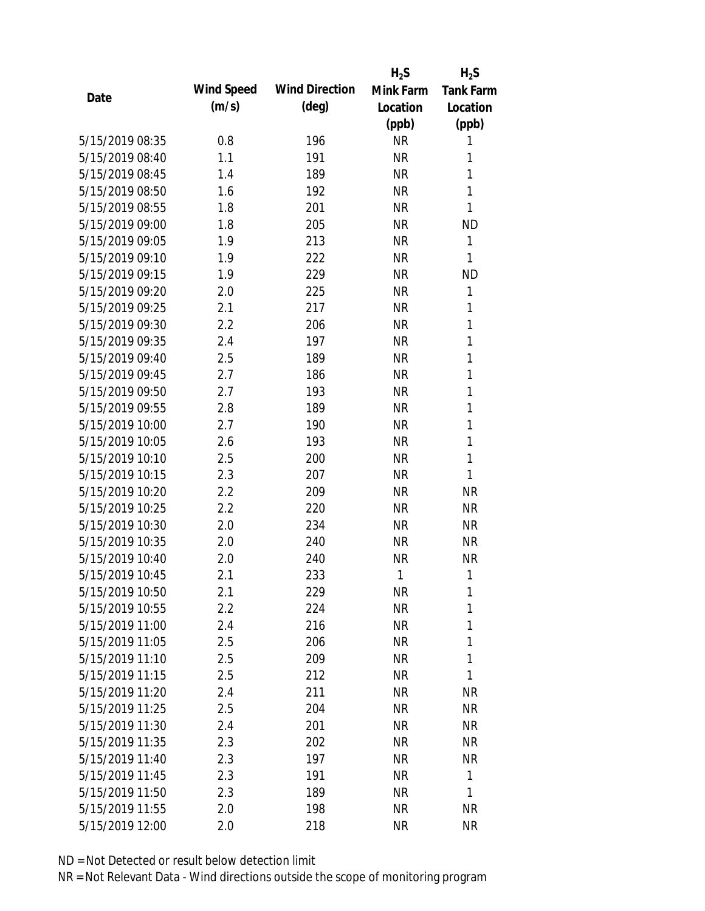|                 |            |                       | $H_2S$    | $H_2S$           |
|-----------------|------------|-----------------------|-----------|------------------|
| Date            | Wind Speed | <b>Wind Direction</b> | Mink Farm | <b>Tank Farm</b> |
|                 | (m/s)      | $(\text{deg})$        | Location  | Location         |
|                 |            |                       | (ppb)     | (ppb)            |
| 5/15/2019 08:35 | 0.8        | 196                   | <b>NR</b> | 1                |
| 5/15/2019 08:40 | 1.1        | 191                   | <b>NR</b> | 1                |
| 5/15/2019 08:45 | 1.4        | 189                   | <b>NR</b> | 1                |
| 5/15/2019 08:50 | 1.6        | 192                   | <b>NR</b> | 1                |
| 5/15/2019 08:55 | 1.8        | 201                   | <b>NR</b> | 1                |
| 5/15/2019 09:00 | 1.8        | 205                   | <b>NR</b> | <b>ND</b>        |
| 5/15/2019 09:05 | 1.9        | 213                   | <b>NR</b> | 1                |
| 5/15/2019 09:10 | 1.9        | 222                   | <b>NR</b> | 1                |
| 5/15/2019 09:15 | 1.9        | 229                   | <b>NR</b> | <b>ND</b>        |
| 5/15/2019 09:20 | 2.0        | 225                   | <b>NR</b> | 1                |
| 5/15/2019 09:25 | 2.1        | 217                   | <b>NR</b> | 1                |
| 5/15/2019 09:30 | 2.2        | 206                   | <b>NR</b> | 1                |
| 5/15/2019 09:35 | 2.4        | 197                   | <b>NR</b> | 1                |
| 5/15/2019 09:40 | 2.5        | 189                   | <b>NR</b> | 1                |
| 5/15/2019 09:45 | 2.7        | 186                   | <b>NR</b> | 1                |
| 5/15/2019 09:50 | 2.7        | 193                   | <b>NR</b> | 1                |
| 5/15/2019 09:55 | 2.8        | 189                   | <b>NR</b> | 1                |
| 5/15/2019 10:00 | 2.7        | 190                   | <b>NR</b> | 1                |
| 5/15/2019 10:05 | 2.6        | 193                   | <b>NR</b> | $\mathbf{1}$     |
| 5/15/2019 10:10 | 2.5        | 200                   | <b>NR</b> | 1                |
| 5/15/2019 10:15 | 2.3        | 207                   | <b>NR</b> | 1                |
| 5/15/2019 10:20 | 2.2        | 209                   | <b>NR</b> | <b>NR</b>        |
| 5/15/2019 10:25 | 2.2        | 220                   | <b>NR</b> | <b>NR</b>        |
| 5/15/2019 10:30 | 2.0        | 234                   | <b>NR</b> | <b>NR</b>        |
| 5/15/2019 10:35 | 2.0        | 240                   | <b>NR</b> | <b>NR</b>        |
| 5/15/2019 10:40 | 2.0        | 240                   | <b>NR</b> | <b>NR</b>        |
| 5/15/2019 10:45 | 2.1        | 233                   | 1         | 1                |
| 5/15/2019 10:50 | 2.1        | 229                   | <b>NR</b> | 1                |
| 5/15/2019 10:55 | 2.2        | 224                   | <b>NR</b> | 1                |
| 5/15/2019 11:00 | 2.4        | 216                   | <b>NR</b> | 1                |
| 5/15/2019 11:05 | 2.5        | 206                   | <b>NR</b> | 1                |
| 5/15/2019 11:10 | 2.5        | 209                   | <b>NR</b> | 1                |
| 5/15/2019 11:15 | 2.5        | 212                   | <b>NR</b> | 1                |
| 5/15/2019 11:20 | 2.4        | 211                   | <b>NR</b> | <b>NR</b>        |
| 5/15/2019 11:25 | 2.5        | 204                   | <b>NR</b> | NR               |
| 5/15/2019 11:30 | 2.4        | 201                   | <b>NR</b> | <b>NR</b>        |
| 5/15/2019 11:35 | 2.3        | 202                   | <b>NR</b> | NR               |
| 5/15/2019 11:40 | 2.3        | 197                   | NR        | NR               |
| 5/15/2019 11:45 | 2.3        | 191                   | <b>NR</b> | $\mathbf{1}$     |
| 5/15/2019 11:50 | 2.3        | 189                   | <b>NR</b> | 1                |
| 5/15/2019 11:55 | 2.0        | 198                   | <b>NR</b> | <b>NR</b>        |
| 5/15/2019 12:00 | 2.0        | 218                   | <b>NR</b> | <b>NR</b>        |
|                 |            |                       |           |                  |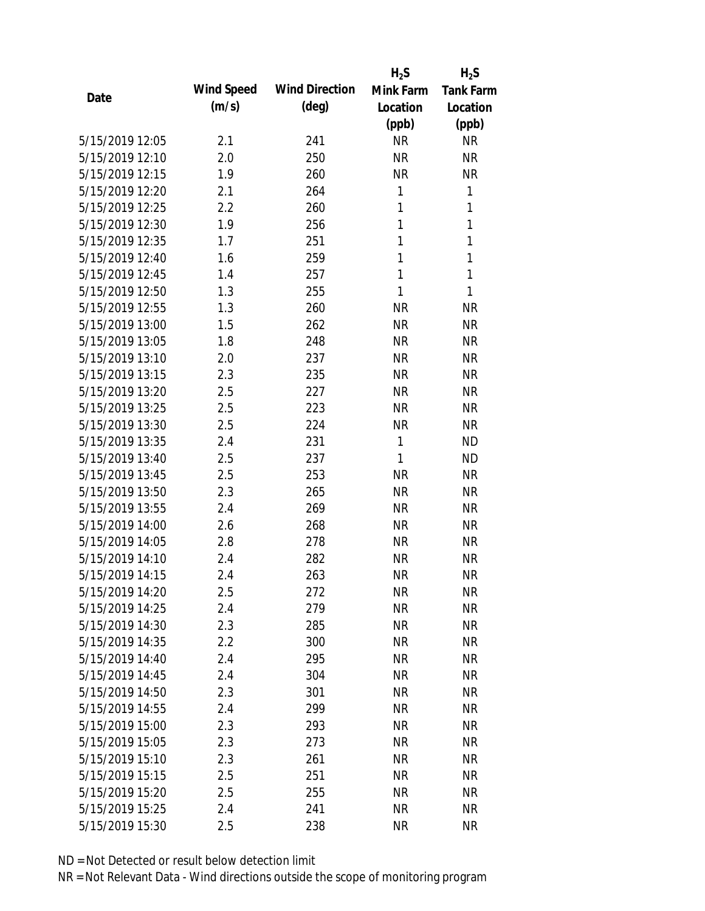|                 |            |                       | $H_2S$    | $H_2S$           |
|-----------------|------------|-----------------------|-----------|------------------|
| Date            | Wind Speed | <b>Wind Direction</b> | Mink Farm | <b>Tank Farm</b> |
|                 | (m/s)      | $(\text{deg})$        | Location  | Location         |
|                 |            |                       | (ppb)     | (ppb)            |
| 5/15/2019 12:05 | 2.1        | 241                   | <b>NR</b> | <b>NR</b>        |
| 5/15/2019 12:10 | 2.0        | 250                   | <b>NR</b> | <b>NR</b>        |
| 5/15/2019 12:15 | 1.9        | 260                   | <b>NR</b> | <b>NR</b>        |
| 5/15/2019 12:20 | 2.1        | 264                   | 1         | 1                |
| 5/15/2019 12:25 | 2.2        | 260                   | 1         | $\mathbf{1}$     |
| 5/15/2019 12:30 | 1.9        | 256                   | 1         | 1                |
| 5/15/2019 12:35 | 1.7        | 251                   | 1         | $\mathbf{1}$     |
| 5/15/2019 12:40 | 1.6        | 259                   | 1         | $\mathbf{1}$     |
| 5/15/2019 12:45 | 1.4        | 257                   | 1         | $\mathbf{1}$     |
| 5/15/2019 12:50 | 1.3        | 255                   | 1         | $\mathbf{1}$     |
| 5/15/2019 12:55 | 1.3        | 260                   | <b>NR</b> | <b>NR</b>        |
| 5/15/2019 13:00 | 1.5        | 262                   | <b>NR</b> | <b>NR</b>        |
| 5/15/2019 13:05 | 1.8        | 248                   | <b>NR</b> | <b>NR</b>        |
| 5/15/2019 13:10 | 2.0        | 237                   | <b>NR</b> | <b>NR</b>        |
| 5/15/2019 13:15 | 2.3        | 235                   | <b>NR</b> | <b>NR</b>        |
| 5/15/2019 13:20 | 2.5        | 227                   | <b>NR</b> | <b>NR</b>        |
| 5/15/2019 13:25 | 2.5        | 223                   | <b>NR</b> | <b>NR</b>        |
| 5/15/2019 13:30 | 2.5        | 224                   | <b>NR</b> | <b>NR</b>        |
| 5/15/2019 13:35 | 2.4        | 231                   | 1         | <b>ND</b>        |
| 5/15/2019 13:40 | 2.5        | 237                   | 1         | <b>ND</b>        |
| 5/15/2019 13:45 | 2.5        | 253                   | <b>NR</b> | <b>NR</b>        |
| 5/15/2019 13:50 | 2.3        | 265                   | <b>NR</b> | <b>NR</b>        |
| 5/15/2019 13:55 | 2.4        | 269                   | <b>NR</b> | <b>NR</b>        |
| 5/15/2019 14:00 | 2.6        | 268                   | <b>NR</b> | <b>NR</b>        |
| 5/15/2019 14:05 | 2.8        | 278                   | <b>NR</b> | <b>NR</b>        |
| 5/15/2019 14:10 | 2.4        | 282                   | <b>NR</b> | <b>NR</b>        |
| 5/15/2019 14:15 | 2.4        | 263                   | <b>NR</b> | <b>NR</b>        |
| 5/15/2019 14:20 | 2.5        | 272                   | <b>NR</b> | <b>NR</b>        |
| 5/15/2019 14:25 | 2.4        | 279                   | <b>NR</b> | <b>NR</b>        |
| 5/15/2019 14:30 | 2.3        | 285                   | <b>NR</b> | <b>NR</b>        |
| 5/15/2019 14:35 | 2.2        | 300                   | <b>NR</b> | <b>NR</b>        |
| 5/15/2019 14:40 | 2.4        | 295                   | <b>NR</b> | NR               |
| 5/15/2019 14:45 | 2.4        | 304                   | <b>NR</b> | <b>NR</b>        |
| 5/15/2019 14:50 | 2.3        | 301                   | <b>NR</b> | <b>NR</b>        |
| 5/15/2019 14:55 | 2.4        | 299                   | <b>NR</b> | <b>NR</b>        |
| 5/15/2019 15:00 | 2.3        | 293                   | <b>NR</b> | <b>NR</b>        |
| 5/15/2019 15:05 | 2.3        | 273                   | <b>NR</b> | <b>NR</b>        |
| 5/15/2019 15:10 | 2.3        | 261                   | NR        | <b>NR</b>        |
| 5/15/2019 15:15 | 2.5        | 251                   | <b>NR</b> | <b>NR</b>        |
| 5/15/2019 15:20 | 2.5        | 255                   | <b>NR</b> | NR               |
| 5/15/2019 15:25 | 2.4        | 241                   | <b>NR</b> | <b>NR</b>        |
| 5/15/2019 15:30 | 2.5        | 238                   | <b>NR</b> | <b>NR</b>        |
|                 |            |                       |           |                  |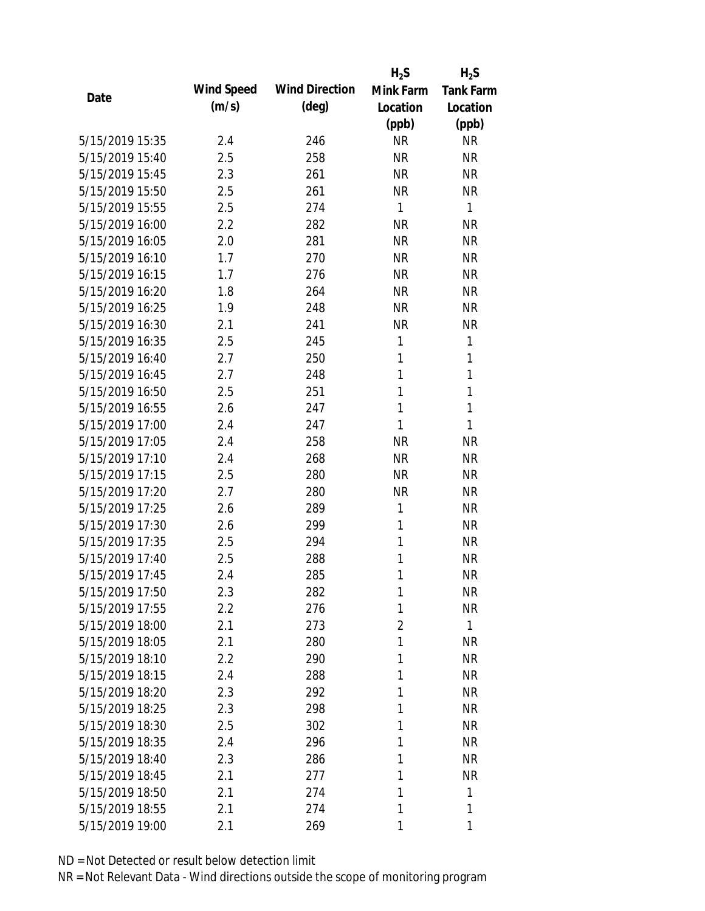|                 |            |                       | $H_2S$         | $H_2S$           |
|-----------------|------------|-----------------------|----------------|------------------|
| Date            | Wind Speed | <b>Wind Direction</b> | Mink Farm      | <b>Tank Farm</b> |
|                 | (m/s)      | $(\text{deg})$        | Location       | Location         |
|                 |            |                       | (ppb)          | (ppb)            |
| 5/15/2019 15:35 | 2.4        | 246                   | <b>NR</b>      | <b>NR</b>        |
| 5/15/2019 15:40 | 2.5        | 258                   | <b>NR</b>      | <b>NR</b>        |
| 5/15/2019 15:45 | 2.3        | 261                   | <b>NR</b>      | <b>NR</b>        |
| 5/15/2019 15:50 | 2.5        | 261                   | <b>NR</b>      | <b>NR</b>        |
| 5/15/2019 15:55 | 2.5        | 274                   | 1              | 1                |
| 5/15/2019 16:00 | 2.2        | 282                   | <b>NR</b>      | <b>NR</b>        |
| 5/15/2019 16:05 | 2.0        | 281                   | <b>NR</b>      | <b>NR</b>        |
| 5/15/2019 16:10 | 1.7        | 270                   | <b>NR</b>      | <b>NR</b>        |
| 5/15/2019 16:15 | 1.7        | 276                   | <b>NR</b>      | <b>NR</b>        |
| 5/15/2019 16:20 | 1.8        | 264                   | <b>NR</b>      | <b>NR</b>        |
| 5/15/2019 16:25 | 1.9        | 248                   | <b>NR</b>      | <b>NR</b>        |
| 5/15/2019 16:30 | 2.1        | 241                   | <b>NR</b>      | <b>NR</b>        |
| 5/15/2019 16:35 | 2.5        | 245                   | 1              | 1                |
| 5/15/2019 16:40 | 2.7        | 250                   | 1              | 1                |
| 5/15/2019 16:45 | 2.7        | 248                   | 1              | 1                |
| 5/15/2019 16:50 | 2.5        | 251                   | 1              | 1                |
| 5/15/2019 16:55 | 2.6        | 247                   | 1              | 1                |
| 5/15/2019 17:00 | 2.4        | 247                   | 1              | 1                |
| 5/15/2019 17:05 | 2.4        | 258                   | <b>NR</b>      | <b>NR</b>        |
| 5/15/2019 17:10 | 2.4        | 268                   | <b>NR</b>      | <b>NR</b>        |
| 5/15/2019 17:15 | 2.5        | 280                   | <b>NR</b>      | <b>NR</b>        |
| 5/15/2019 17:20 | 2.7        | 280                   | <b>NR</b>      | <b>NR</b>        |
| 5/15/2019 17:25 | 2.6        | 289                   | 1              | <b>NR</b>        |
| 5/15/2019 17:30 | 2.6        | 299                   | 1              | <b>NR</b>        |
| 5/15/2019 17:35 | 2.5        | 294                   | 1              | <b>NR</b>        |
| 5/15/2019 17:40 | 2.5        | 288                   | 1              | <b>NR</b>        |
| 5/15/2019 17:45 | 2.4        | 285                   | 1              | <b>NR</b>        |
| 5/15/2019 17:50 | 2.3        | 282                   | 1              | <b>NR</b>        |
| 5/15/2019 17:55 | 2.2        | 276                   | 1              | <b>NR</b>        |
| 5/15/2019 18:00 | 2.1        | 273                   | $\overline{2}$ | 1                |
| 5/15/2019 18:05 | 2.1        | 280                   | 1              | <b>NR</b>        |
| 5/15/2019 18:10 | 2.2        | 290                   | 1              | <b>NR</b>        |
| 5/15/2019 18:15 | 2.4        | 288                   | 1              | <b>NR</b>        |
| 5/15/2019 18:20 | 2.3        | 292                   | 1              | <b>NR</b>        |
| 5/15/2019 18:25 | 2.3        | 298                   | 1              | <b>NR</b>        |
| 5/15/2019 18:30 | 2.5        | 302                   | 1              | <b>NR</b>        |
| 5/15/2019 18:35 | 2.4        | 296                   | 1              | <b>NR</b>        |
| 5/15/2019 18:40 | 2.3        | 286                   | 1              | <b>NR</b>        |
| 5/15/2019 18:45 | 2.1        | 277                   | 1              | <b>NR</b>        |
| 5/15/2019 18:50 | 2.1        | 274                   | 1              | 1                |
| 5/15/2019 18:55 | 2.1        | 274                   | 1              | 1                |
| 5/15/2019 19:00 | 2.1        | 269                   | 1              | 1                |
|                 |            |                       |                |                  |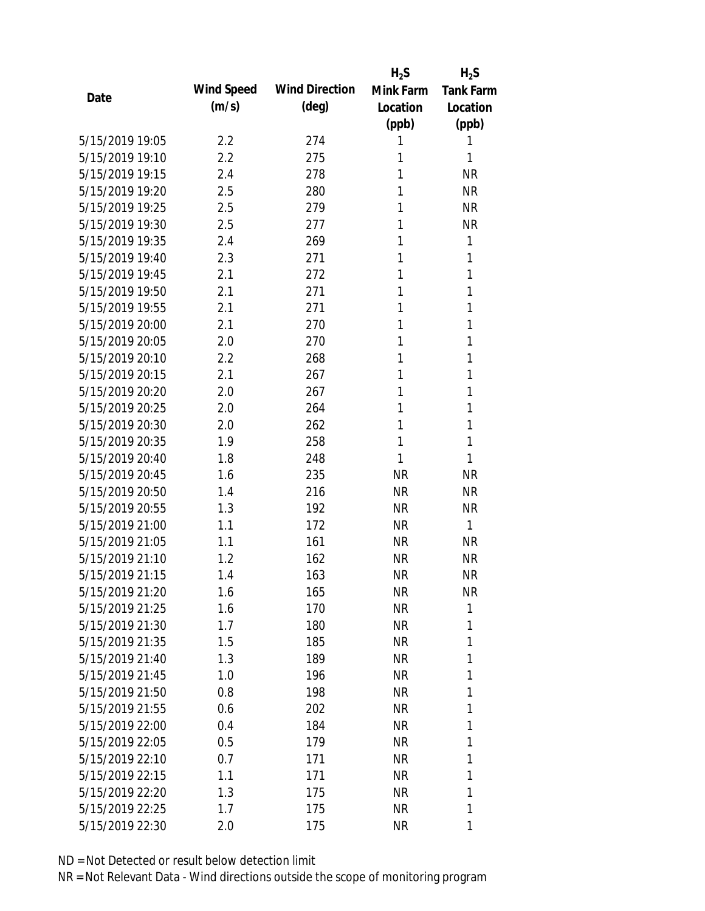|                 |            |                       | $H_2S$    | $H_2S$           |
|-----------------|------------|-----------------------|-----------|------------------|
| Date            | Wind Speed | <b>Wind Direction</b> | Mink Farm | <b>Tank Farm</b> |
|                 | (m/s)      | $(\text{deg})$        | Location  | Location         |
|                 |            |                       | (ppb)     | (ppb)            |
| 5/15/2019 19:05 | 2.2        | 274                   | 1         | 1                |
| 5/15/2019 19:10 | 2.2        | 275                   | 1         | 1                |
| 5/15/2019 19:15 | 2.4        | 278                   | 1         | <b>NR</b>        |
| 5/15/2019 19:20 | 2.5        | 280                   | 1         | <b>NR</b>        |
| 5/15/2019 19:25 | 2.5        | 279                   | 1         | <b>NR</b>        |
| 5/15/2019 19:30 | 2.5        | 277                   | 1         | <b>NR</b>        |
| 5/15/2019 19:35 | 2.4        | 269                   | 1         | 1                |
| 5/15/2019 19:40 | 2.3        | 271                   | 1         | 1                |
| 5/15/2019 19:45 | 2.1        | 272                   | 1         | 1                |
| 5/15/2019 19:50 | 2.1        | 271                   | 1         | 1                |
| 5/15/2019 19:55 | 2.1        | 271                   | 1         | 1                |
| 5/15/2019 20:00 | 2.1        | 270                   | 1         | 1                |
| 5/15/2019 20:05 | 2.0        | 270                   | 1         | 1                |
| 5/15/2019 20:10 | 2.2        | 268                   | 1         | 1                |
| 5/15/2019 20:15 | 2.1        | 267                   | 1         | 1                |
| 5/15/2019 20:20 | 2.0        | 267                   | 1         | 1                |
| 5/15/2019 20:25 | 2.0        | 264                   | 1         | 1                |
| 5/15/2019 20:30 | 2.0        | 262                   | 1         | 1                |
| 5/15/2019 20:35 | 1.9        | 258                   | 1         | 1                |
| 5/15/2019 20:40 | 1.8        | 248                   | 1         | 1                |
| 5/15/2019 20:45 | 1.6        | 235                   | <b>NR</b> | <b>NR</b>        |
| 5/15/2019 20:50 | 1.4        | 216                   | <b>NR</b> | <b>NR</b>        |
| 5/15/2019 20:55 | 1.3        | 192                   | <b>NR</b> | <b>NR</b>        |
| 5/15/2019 21:00 | 1.1        | 172                   | <b>NR</b> | $\mathbf{1}$     |
| 5/15/2019 21:05 | 1.1        | 161                   | <b>NR</b> | <b>NR</b>        |
| 5/15/2019 21:10 | 1.2        | 162                   | <b>NR</b> | <b>NR</b>        |
| 5/15/2019 21:15 | 1.4        | 163                   | <b>NR</b> | <b>NR</b>        |
| 5/15/2019 21:20 | 1.6        | 165                   | <b>NR</b> | <b>NR</b>        |
| 5/15/2019 21:25 | 1.6        | 170                   | <b>NR</b> | 1                |
| 5/15/2019 21:30 | 1.7        | 180                   | <b>NR</b> | 1                |
| 5/15/2019 21:35 | 1.5        | 185                   | NR        | 1                |
| 5/15/2019 21:40 | 1.3        | 189                   | <b>NR</b> | 1                |
| 5/15/2019 21:45 | 1.0        | 196                   | NR        | 1                |
| 5/15/2019 21:50 | 0.8        | 198                   | <b>NR</b> | 1                |
| 5/15/2019 21:55 | 0.6        | 202                   | <b>NR</b> | 1                |
| 5/15/2019 22:00 | 0.4        | 184                   | <b>NR</b> | 1                |
| 5/15/2019 22:05 | 0.5        | 179                   | NR        | 1                |
| 5/15/2019 22:10 | 0.7        | 171                   | NR        | 1                |
| 5/15/2019 22:15 | 1.1        | 171                   | NR        | 1                |
| 5/15/2019 22:20 | 1.3        | 175                   | <b>NR</b> | 1                |
| 5/15/2019 22:25 | 1.7        | 175                   | <b>NR</b> | 1                |
| 5/15/2019 22:30 | 2.0        | 175                   | <b>NR</b> | 1                |
|                 |            |                       |           |                  |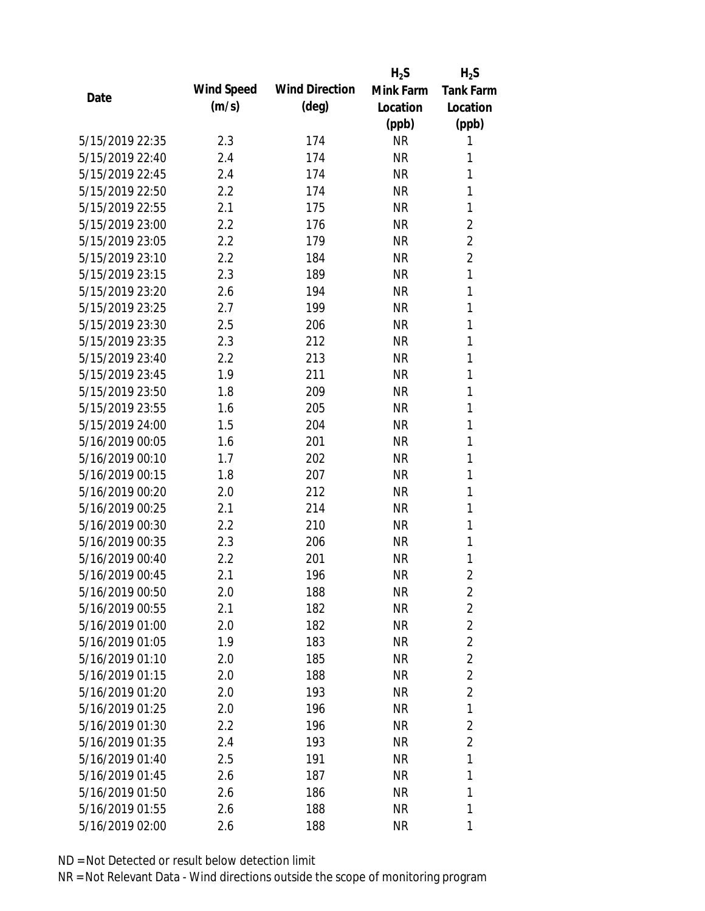|                 |            |                       | $H_2S$    | $H_2S$           |
|-----------------|------------|-----------------------|-----------|------------------|
| Date            | Wind Speed | <b>Wind Direction</b> | Mink Farm | <b>Tank Farm</b> |
|                 | (m/s)      | $(\text{deg})$        | Location  | Location         |
|                 |            |                       | (ppb)     | (ppb)            |
| 5/15/2019 22:35 | 2.3        | 174                   | <b>NR</b> | 1                |
| 5/15/2019 22:40 | 2.4        | 174                   | <b>NR</b> | 1                |
| 5/15/2019 22:45 | 2.4        | 174                   | <b>NR</b> | 1                |
| 5/15/2019 22:50 | 2.2        | 174                   | <b>NR</b> | 1                |
| 5/15/2019 22:55 | 2.1        | 175                   | <b>NR</b> | 1                |
| 5/15/2019 23:00 | 2.2        | 176                   | <b>NR</b> | $\overline{2}$   |
| 5/15/2019 23:05 | 2.2        | 179                   | <b>NR</b> | $\overline{2}$   |
| 5/15/2019 23:10 | 2.2        | 184                   | <b>NR</b> | $\overline{2}$   |
| 5/15/2019 23:15 | 2.3        | 189                   | <b>NR</b> | 1                |
| 5/15/2019 23:20 | 2.6        | 194                   | <b>NR</b> | 1                |
| 5/15/2019 23:25 | 2.7        | 199                   | <b>NR</b> | 1                |
| 5/15/2019 23:30 | 2.5        | 206                   | <b>NR</b> | 1                |
| 5/15/2019 23:35 | 2.3        | 212                   | <b>NR</b> | 1                |
| 5/15/2019 23:40 | 2.2        | 213                   | <b>NR</b> | 1                |
| 5/15/2019 23:45 | 1.9        | 211                   | <b>NR</b> | 1                |
| 5/15/2019 23:50 | 1.8        | 209                   | <b>NR</b> | 1                |
| 5/15/2019 23:55 | 1.6        | 205                   | <b>NR</b> | 1                |
| 5/15/2019 24:00 | 1.5        | 204                   | <b>NR</b> | 1                |
| 5/16/2019 00:05 | 1.6        | 201                   | <b>NR</b> | 1                |
| 5/16/2019 00:10 | 1.7        | 202                   | <b>NR</b> | 1                |
| 5/16/2019 00:15 | 1.8        | 207                   | <b>NR</b> | 1                |
| 5/16/2019 00:20 | 2.0        | 212                   | <b>NR</b> | 1                |
| 5/16/2019 00:25 | 2.1        | 214                   | <b>NR</b> | 1                |
| 5/16/2019 00:30 | 2.2        | 210                   | <b>NR</b> | 1                |
| 5/16/2019 00:35 | 2.3        | 206                   | <b>NR</b> | 1                |
| 5/16/2019 00:40 | 2.2        | 201                   | <b>NR</b> | 1                |
| 5/16/2019 00:45 | 2.1        | 196                   | <b>NR</b> | $\overline{2}$   |
| 5/16/2019 00:50 | 2.0        | 188                   | <b>NR</b> | $\overline{2}$   |
| 5/16/2019 00:55 | 2.1        | 182                   | <b>NR</b> | $\overline{2}$   |
| 5/16/2019 01:00 | 2.0        | 182                   | <b>NR</b> | $\overline{2}$   |
| 5/16/2019 01:05 | 1.9        | 183                   | <b>NR</b> | $\overline{2}$   |
| 5/16/2019 01:10 | 2.0        | 185                   | <b>NR</b> | $\overline{2}$   |
| 5/16/2019 01:15 | 2.0        | 188                   | <b>NR</b> | $\overline{2}$   |
| 5/16/2019 01:20 | 2.0        | 193                   | <b>NR</b> | $\overline{2}$   |
| 5/16/2019 01:25 | 2.0        | 196                   | <b>NR</b> | 1                |
| 5/16/2019 01:30 | $2.2\,$    | 196                   | <b>NR</b> | $\overline{2}$   |
| 5/16/2019 01:35 | 2.4        | 193                   | <b>NR</b> | $\overline{2}$   |
| 5/16/2019 01:40 | 2.5        | 191                   | NR        | 1                |
| 5/16/2019 01:45 | 2.6        | 187                   | <b>NR</b> | 1                |
| 5/16/2019 01:50 | 2.6        | 186                   | <b>NR</b> | 1                |
| 5/16/2019 01:55 | 2.6        | 188                   | <b>NR</b> | 1                |
|                 |            |                       |           |                  |
| 5/16/2019 02:00 | 2.6        | 188                   | <b>NR</b> | 1                |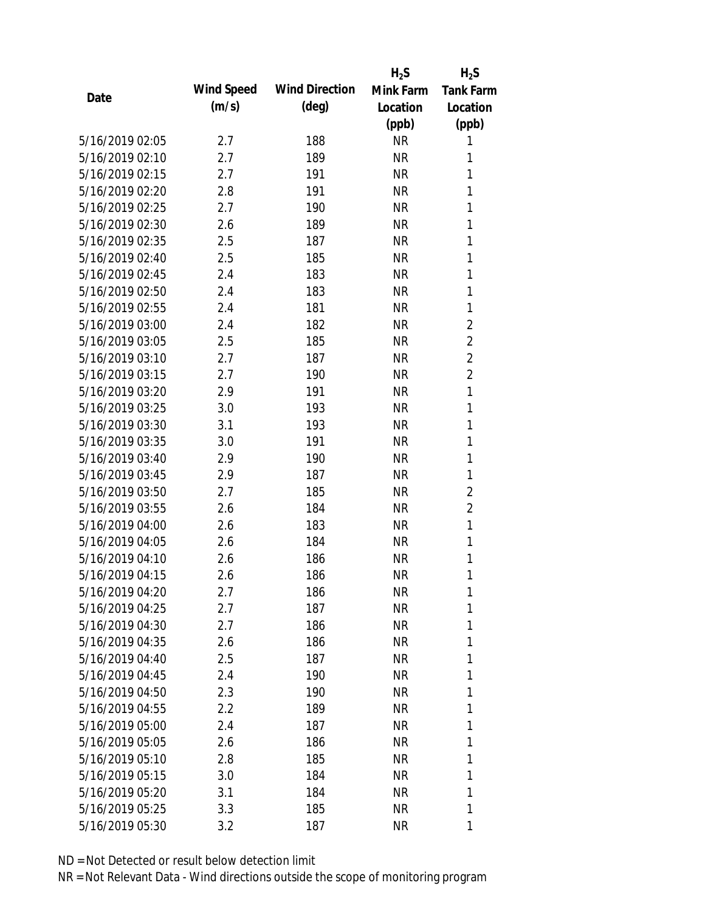|                 |            |                       | $H_2S$    | $H_2S$           |
|-----------------|------------|-----------------------|-----------|------------------|
| Date            | Wind Speed | <b>Wind Direction</b> | Mink Farm | <b>Tank Farm</b> |
|                 | (m/s)      | $(\text{deg})$        | Location  | Location         |
|                 |            |                       | (ppb)     | (ppb)            |
| 5/16/2019 02:05 | 2.7        | 188                   | <b>NR</b> | 1                |
| 5/16/2019 02:10 | 2.7        | 189                   | <b>NR</b> | 1                |
| 5/16/2019 02:15 | 2.7        | 191                   | <b>NR</b> | 1                |
| 5/16/2019 02:20 | 2.8        | 191                   | <b>NR</b> | 1                |
| 5/16/2019 02:25 | 2.7        | 190                   | <b>NR</b> | 1                |
| 5/16/2019 02:30 | 2.6        | 189                   | <b>NR</b> | $\mathbf{1}$     |
| 5/16/2019 02:35 | 2.5        | 187                   | <b>NR</b> | 1                |
| 5/16/2019 02:40 | 2.5        | 185                   | <b>NR</b> | $\mathbf{1}$     |
| 5/16/2019 02:45 | 2.4        | 183                   | <b>NR</b> | 1                |
| 5/16/2019 02:50 | 2.4        | 183                   | <b>NR</b> | 1                |
| 5/16/2019 02:55 | 2.4        | 181                   | <b>NR</b> | $\mathbf{1}$     |
| 5/16/2019 03:00 | 2.4        | 182                   | <b>NR</b> | $\overline{2}$   |
| 5/16/2019 03:05 | 2.5        | 185                   | <b>NR</b> | $\overline{2}$   |
| 5/16/2019 03:10 | 2.7        | 187                   | <b>NR</b> | $\overline{2}$   |
| 5/16/2019 03:15 | 2.7        | 190                   | <b>NR</b> | $\overline{2}$   |
| 5/16/2019 03:20 | 2.9        | 191                   | <b>NR</b> | $\mathbf{1}$     |
| 5/16/2019 03:25 | 3.0        | 193                   | <b>NR</b> | 1                |
| 5/16/2019 03:30 | 3.1        | 193                   | <b>NR</b> | $\mathbf{1}$     |
| 5/16/2019 03:35 | 3.0        | 191                   | <b>NR</b> | 1                |
| 5/16/2019 03:40 | 2.9        | 190                   | <b>NR</b> | 1                |
| 5/16/2019 03:45 | 2.9        | 187                   | <b>NR</b> | 1                |
| 5/16/2019 03:50 | 2.7        | 185                   | <b>NR</b> | 2                |
| 5/16/2019 03:55 | 2.6        | 184                   | <b>NR</b> | $\overline{2}$   |
| 5/16/2019 04:00 | 2.6        | 183                   | <b>NR</b> | 1                |
| 5/16/2019 04:05 | 2.6        | 184                   | <b>NR</b> | $\mathbf{1}$     |
| 5/16/2019 04:10 | 2.6        | 186                   | <b>NR</b> | 1                |
| 5/16/2019 04:15 | 2.6        | 186                   | <b>NR</b> | 1                |
| 5/16/2019 04:20 | 2.7        | 186                   | <b>NR</b> | 1                |
| 5/16/2019 04:25 | 2.7        | 187                   | <b>NR</b> | 1                |
| 5/16/2019 04:30 | 2.7        | 186                   | NR        | 1                |
| 5/16/2019 04:35 | 2.6        | 186                   | NR        | 1                |
| 5/16/2019 04:40 | 2.5        | 187                   | <b>NR</b> | 1                |
| 5/16/2019 04:45 | 2.4        | 190                   | NR        | 1                |
| 5/16/2019 04:50 | 2.3        | 190                   | <b>NR</b> | 1                |
| 5/16/2019 04:55 | 2.2        | 189                   | <b>NR</b> | 1                |
| 5/16/2019 05:00 | 2.4        | 187                   | NR        | 1                |
| 5/16/2019 05:05 | 2.6        | 186                   | NR        | 1                |
| 5/16/2019 05:10 | 2.8        | 185                   | NR        | 1                |
| 5/16/2019 05:15 | 3.0        | 184                   | NR        | 1                |
| 5/16/2019 05:20 | 3.1        | 184                   | <b>NR</b> | 1                |
| 5/16/2019 05:25 | 3.3        | 185                   | <b>NR</b> | 1                |
| 5/16/2019 05:30 | 3.2        | 187                   | <b>NR</b> | 1                |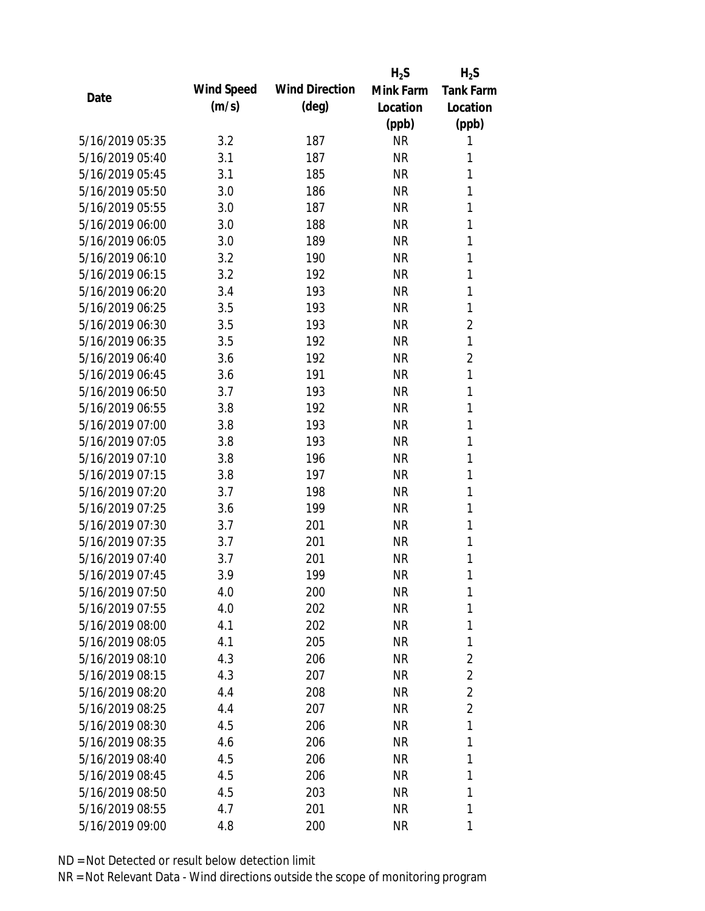|                 |            |                       | $H_2S$    | $H_2S$           |
|-----------------|------------|-----------------------|-----------|------------------|
|                 | Wind Speed | <b>Wind Direction</b> | Mink Farm | <b>Tank Farm</b> |
| Date            | (m/s)      | $(\text{deg})$        | Location  | Location         |
|                 |            |                       | (ppb)     | (ppb)            |
| 5/16/2019 05:35 | 3.2        | 187                   | <b>NR</b> | 1                |
| 5/16/2019 05:40 | 3.1        | 187                   | <b>NR</b> | 1                |
| 5/16/2019 05:45 | 3.1        | 185                   | <b>NR</b> | 1                |
| 5/16/2019 05:50 | 3.0        | 186                   | <b>NR</b> | $\mathbf{1}$     |
| 5/16/2019 05:55 | 3.0        | 187                   | <b>NR</b> | 1                |
| 5/16/2019 06:00 | 3.0        | 188                   | <b>NR</b> | 1                |
| 5/16/2019 06:05 | 3.0        | 189                   | <b>NR</b> | 1                |
| 5/16/2019 06:10 | 3.2        | 190                   | <b>NR</b> | 1                |
| 5/16/2019 06:15 | 3.2        | 192                   | <b>NR</b> | 1                |
| 5/16/2019 06:20 | 3.4        | 193                   | <b>NR</b> | 1                |
| 5/16/2019 06:25 | 3.5        | 193                   | <b>NR</b> | $\mathbf{1}$     |
| 5/16/2019 06:30 | 3.5        | 193                   | <b>NR</b> | 2                |
| 5/16/2019 06:35 | 3.5        | 192                   | <b>NR</b> | 1                |
| 5/16/2019 06:40 | 3.6        | 192                   | <b>NR</b> | $\overline{2}$   |
| 5/16/2019 06:45 | 3.6        | 191                   | <b>NR</b> | $\mathbf{1}$     |
| 5/16/2019 06:50 | 3.7        | 193                   | <b>NR</b> | 1                |
| 5/16/2019 06:55 | 3.8        | 192                   | <b>NR</b> | 1                |
| 5/16/2019 07:00 | 3.8        | 193                   | <b>NR</b> | $\mathbf{1}$     |
| 5/16/2019 07:05 | 3.8        | 193                   | <b>NR</b> | 1                |
| 5/16/2019 07:10 | 3.8        | 196                   | <b>NR</b> | 1                |
| 5/16/2019 07:15 | 3.8        | 197                   | <b>NR</b> | 1                |
| 5/16/2019 07:20 | 3.7        | 198                   | <b>NR</b> | 1                |
| 5/16/2019 07:25 | 3.6        | 199                   | <b>NR</b> | $\mathbf{1}$     |
| 5/16/2019 07:30 | 3.7        | 201                   | <b>NR</b> | 1                |
| 5/16/2019 07:35 | 3.7        | 201                   | <b>NR</b> | 1                |
| 5/16/2019 07:40 | 3.7        | 201                   | <b>NR</b> | 1                |
| 5/16/2019 07:45 | 3.9        | 199                   | <b>NR</b> | 1                |
| 5/16/2019 07:50 | 4.0        | 200                   | <b>NR</b> | 1                |
| 5/16/2019 07:55 | 4.0        | 202                   | <b>NR</b> | 1                |
| 5/16/2019 08:00 | 4.1        | 202                   | NR        | 1                |
| 5/16/2019 08:05 | 4.1        | 205                   | NR        | 1                |
| 5/16/2019 08:10 | 4.3        | 206                   | <b>NR</b> | $\overline{2}$   |
| 5/16/2019 08:15 | 4.3        | 207                   | <b>NR</b> | $\overline{2}$   |
| 5/16/2019 08:20 | 4.4        | 208                   | <b>NR</b> | $\overline{2}$   |
| 5/16/2019 08:25 | 4.4        | 207                   | <b>NR</b> | $\overline{2}$   |
| 5/16/2019 08:30 | 4.5        | 206                   | NR        | 1                |
| 5/16/2019 08:35 | 4.6        | 206                   | <b>NR</b> | 1                |
| 5/16/2019 08:40 | 4.5        | 206                   | NR        | 1                |
| 5/16/2019 08:45 | 4.5        | 206                   | <b>NR</b> | 1                |
| 5/16/2019 08:50 | 4.5        | 203                   | <b>NR</b> | 1                |
| 5/16/2019 08:55 | 4.7        | 201                   | <b>NR</b> | 1                |
|                 |            |                       |           |                  |
| 5/16/2019 09:00 | 4.8        | 200                   | <b>NR</b> | 1                |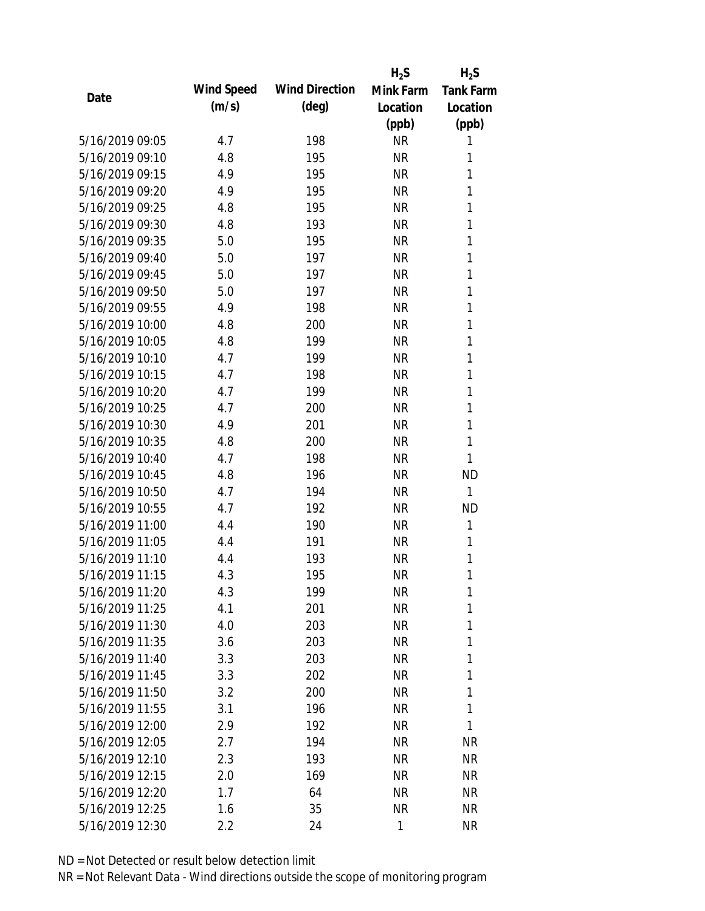|                 |            |                       | $H_2S$    | $H_2S$           |
|-----------------|------------|-----------------------|-----------|------------------|
|                 | Wind Speed | <b>Wind Direction</b> | Mink Farm | <b>Tank Farm</b> |
| Date            | (m/s)      | $(\text{deg})$        | Location  | Location         |
|                 |            |                       | (ppb)     | (ppb)            |
| 5/16/2019 09:05 | 4.7        | 198                   | <b>NR</b> | 1                |
| 5/16/2019 09:10 | 4.8        | 195                   | <b>NR</b> | 1                |
| 5/16/2019 09:15 | 4.9        | 195                   | <b>NR</b> | 1                |
| 5/16/2019 09:20 | 4.9        | 195                   | <b>NR</b> | 1                |
| 5/16/2019 09:25 | 4.8        | 195                   | <b>NR</b> | 1                |
| 5/16/2019 09:30 | 4.8        | 193                   | <b>NR</b> | 1                |
| 5/16/2019 09:35 | 5.0        | 195                   | <b>NR</b> | 1                |
| 5/16/2019 09:40 | 5.0        | 197                   | <b>NR</b> | 1                |
| 5/16/2019 09:45 | 5.0        | 197                   | <b>NR</b> | 1                |
| 5/16/2019 09:50 | 5.0        | 197                   | <b>NR</b> | 1                |
| 5/16/2019 09:55 | 4.9        | 198                   | <b>NR</b> | 1                |
| 5/16/2019 10:00 | 4.8        | 200                   | <b>NR</b> | 1                |
| 5/16/2019 10:05 | 4.8        | 199                   | <b>NR</b> | 1                |
| 5/16/2019 10:10 | 4.7        | 199                   | <b>NR</b> | 1                |
| 5/16/2019 10:15 | 4.7        | 198                   | <b>NR</b> | 1                |
| 5/16/2019 10:20 | 4.7        | 199                   | <b>NR</b> | 1                |
| 5/16/2019 10:25 | 4.7        | 200                   | <b>NR</b> | 1                |
| 5/16/2019 10:30 | 4.9        | 201                   | <b>NR</b> | 1                |
| 5/16/2019 10:35 | 4.8        | 200                   | <b>NR</b> | 1                |
| 5/16/2019 10:40 | 4.7        | 198                   | <b>NR</b> | 1                |
| 5/16/2019 10:45 | 4.8        | 196                   | <b>NR</b> | <b>ND</b>        |
| 5/16/2019 10:50 | 4.7        | 194                   | <b>NR</b> | $\mathbf{1}$     |
| 5/16/2019 10:55 | 4.7        | 192                   | <b>NR</b> | <b>ND</b>        |
| 5/16/2019 11:00 | 4.4        | 190                   | <b>NR</b> | 1                |
| 5/16/2019 11:05 | 4.4        | 191                   | <b>NR</b> | 1                |
| 5/16/2019 11:10 | 4.4        | 193                   | <b>NR</b> | 1                |
| 5/16/2019 11:15 | 4.3        | 195                   | <b>NR</b> | 1                |
| 5/16/2019 11:20 | 4.3        | 199                   | <b>NR</b> | 1                |
| 5/16/2019 11:25 | 4.1        | 201                   | <b>NR</b> | 1                |
| 5/16/2019 11:30 | 4.0        | 203                   | <b>NR</b> | 1                |
| 5/16/2019 11:35 | 3.6        | 203                   | <b>NR</b> | 1                |
| 5/16/2019 11:40 | 3.3        | 203                   | <b>NR</b> | 1                |
| 5/16/2019 11:45 | 3.3        | 202                   | <b>NR</b> | 1                |
| 5/16/2019 11:50 | 3.2        | 200                   | <b>NR</b> | 1                |
| 5/16/2019 11:55 | 3.1        | 196                   | <b>NR</b> | 1                |
| 5/16/2019 12:00 | 2.9        | 192                   | <b>NR</b> | 1                |
| 5/16/2019 12:05 | 2.7        | 194                   | <b>NR</b> | <b>NR</b>        |
| 5/16/2019 12:10 | 2.3        | 193                   | <b>NR</b> | <b>NR</b>        |
| 5/16/2019 12:15 | 2.0        | 169                   | <b>NR</b> | NR               |
| 5/16/2019 12:20 | 1.7        | 64                    | <b>NR</b> | NR               |
| 5/16/2019 12:25 | 1.6        | 35                    | <b>NR</b> | <b>NR</b>        |
|                 |            |                       |           |                  |
| 5/16/2019 12:30 | 2.2        | 24                    | 1         | <b>NR</b>        |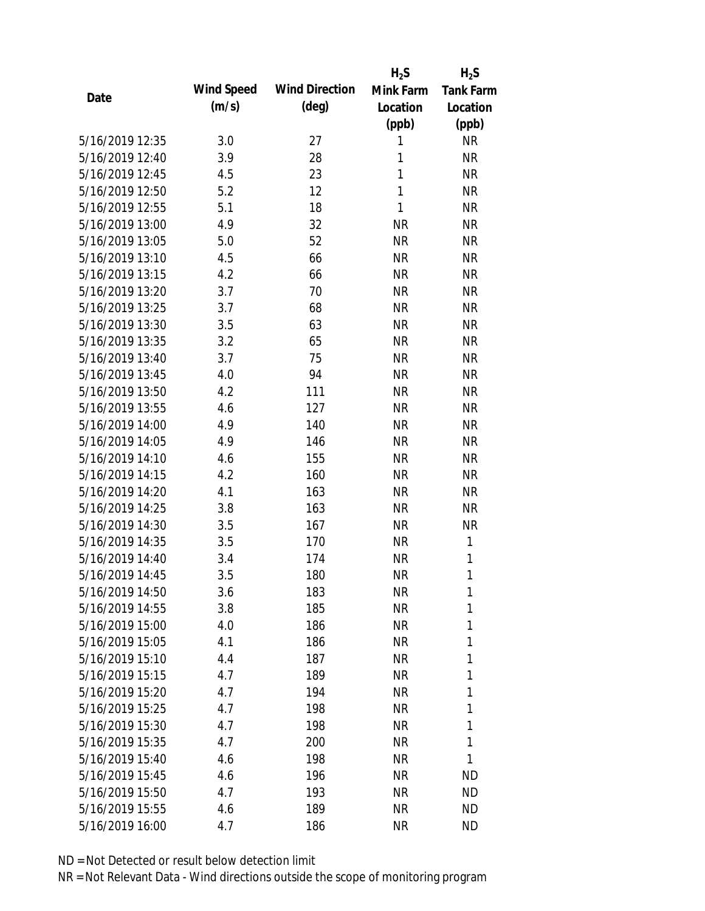|                 |            |                       | $H_2S$       | $H_2S$           |
|-----------------|------------|-----------------------|--------------|------------------|
|                 | Wind Speed | <b>Wind Direction</b> | Mink Farm    | <b>Tank Farm</b> |
| Date            | (m/s)      | $(\text{deg})$        | Location     | Location         |
|                 |            |                       | (ppb)        | (ppb)            |
| 5/16/2019 12:35 | 3.0        | 27                    | 1            | <b>NR</b>        |
| 5/16/2019 12:40 | 3.9        | 28                    | 1            | <b>NR</b>        |
| 5/16/2019 12:45 | 4.5        | 23                    | $\mathbf{1}$ | <b>NR</b>        |
| 5/16/2019 12:50 | 5.2        | 12                    | $\mathbf{1}$ | <b>NR</b>        |
| 5/16/2019 12:55 | 5.1        | 18                    | 1            | <b>NR</b>        |
| 5/16/2019 13:00 | 4.9        | 32                    | <b>NR</b>    | <b>NR</b>        |
| 5/16/2019 13:05 | 5.0        | 52                    | <b>NR</b>    | <b>NR</b>        |
| 5/16/2019 13:10 | 4.5        | 66                    | <b>NR</b>    | <b>NR</b>        |
| 5/16/2019 13:15 | 4.2        | 66                    | <b>NR</b>    | <b>NR</b>        |
| 5/16/2019 13:20 | 3.7        | 70                    | <b>NR</b>    | <b>NR</b>        |
| 5/16/2019 13:25 | 3.7        | 68                    | <b>NR</b>    | <b>NR</b>        |
| 5/16/2019 13:30 | 3.5        | 63                    | <b>NR</b>    | <b>NR</b>        |
| 5/16/2019 13:35 | 3.2        | 65                    | <b>NR</b>    | <b>NR</b>        |
| 5/16/2019 13:40 | 3.7        | 75                    | <b>NR</b>    | <b>NR</b>        |
| 5/16/2019 13:45 | 4.0        | 94                    | <b>NR</b>    | <b>NR</b>        |
| 5/16/2019 13:50 | 4.2        | 111                   | <b>NR</b>    | <b>NR</b>        |
| 5/16/2019 13:55 | 4.6        | 127                   | <b>NR</b>    | <b>NR</b>        |
| 5/16/2019 14:00 | 4.9        | 140                   | <b>NR</b>    | <b>NR</b>        |
| 5/16/2019 14:05 | 4.9        | 146                   | <b>NR</b>    | <b>NR</b>        |
| 5/16/2019 14:10 | 4.6        | 155                   | <b>NR</b>    | <b>NR</b>        |
| 5/16/2019 14:15 | 4.2        | 160                   | <b>NR</b>    | <b>NR</b>        |
| 5/16/2019 14:20 | 4.1        | 163                   | <b>NR</b>    | <b>NR</b>        |
| 5/16/2019 14:25 | 3.8        | 163                   | <b>NR</b>    | <b>NR</b>        |
| 5/16/2019 14:30 | 3.5        | 167                   | <b>NR</b>    | <b>NR</b>        |
| 5/16/2019 14:35 | 3.5        | 170                   | <b>NR</b>    | 1                |
| 5/16/2019 14:40 | 3.4        | 174                   | <b>NR</b>    | $\mathbf{1}$     |
| 5/16/2019 14:45 | 3.5        | 180                   | <b>NR</b>    | 1                |
| 5/16/2019 14:50 | 3.6        | 183                   | <b>NR</b>    | 1                |
| 5/16/2019 14:55 | 3.8        | 185                   | <b>NR</b>    | 1                |
| 5/16/2019 15:00 | 4.0        | 186                   | <b>NR</b>    | 1                |
| 5/16/2019 15:05 | 4.1        | 186                   | <b>NR</b>    | 1                |
| 5/16/2019 15:10 | 4.4        | 187                   | <b>NR</b>    | 1                |
| 5/16/2019 15:15 | 4.7        | 189                   | <b>NR</b>    | 1                |
| 5/16/2019 15:20 | 4.7        | 194                   | <b>NR</b>    | 1                |
| 5/16/2019 15:25 | 4.7        | 198                   | <b>NR</b>    | 1                |
| 5/16/2019 15:30 | 4.7        | 198                   | <b>NR</b>    | 1                |
| 5/16/2019 15:35 | 4.7        | 200                   | <b>NR</b>    | 1                |
| 5/16/2019 15:40 | 4.6        | 198                   | <b>NR</b>    | 1                |
| 5/16/2019 15:45 | 4.6        | 196                   | <b>NR</b>    | <b>ND</b>        |
| 5/16/2019 15:50 | 4.7        | 193                   | <b>NR</b>    | <b>ND</b>        |
| 5/16/2019 15:55 | 4.6        | 189                   | <b>NR</b>    | <b>ND</b>        |
|                 | 4.7        |                       | <b>NR</b>    | <b>ND</b>        |
| 5/16/2019 16:00 |            | 186                   |              |                  |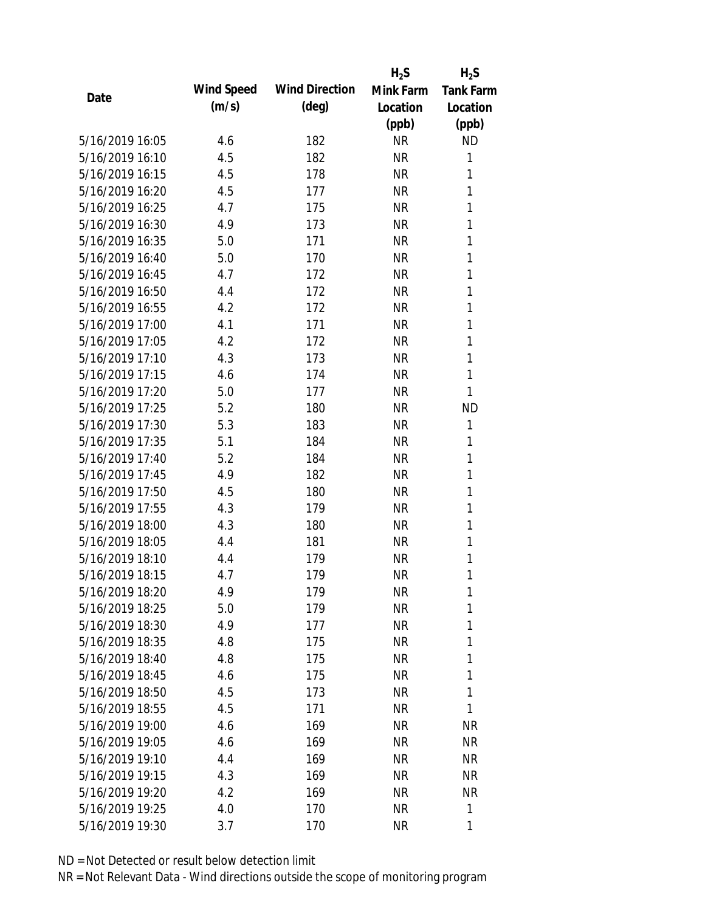|                 |            |                       | $H_2S$    | $H_2S$           |
|-----------------|------------|-----------------------|-----------|------------------|
|                 | Wind Speed | <b>Wind Direction</b> | Mink Farm | <b>Tank Farm</b> |
| Date            | (m/s)      | $(\text{deg})$        | Location  | Location         |
|                 |            |                       | (ppb)     | (ppb)            |
| 5/16/2019 16:05 | 4.6        | 182                   | <b>NR</b> | <b>ND</b>        |
| 5/16/2019 16:10 | 4.5        | 182                   | <b>NR</b> | 1                |
| 5/16/2019 16:15 | 4.5        | 178                   | <b>NR</b> | 1                |
| 5/16/2019 16:20 | 4.5        | 177                   | <b>NR</b> | 1                |
| 5/16/2019 16:25 | 4.7        | 175                   | <b>NR</b> | 1                |
| 5/16/2019 16:30 | 4.9        | 173                   | <b>NR</b> | 1                |
| 5/16/2019 16:35 | 5.0        | 171                   | <b>NR</b> | 1                |
| 5/16/2019 16:40 | 5.0        | 170                   | <b>NR</b> | 1                |
| 5/16/2019 16:45 | 4.7        | 172                   | <b>NR</b> | 1                |
| 5/16/2019 16:50 | 4.4        | 172                   | <b>NR</b> | 1                |
| 5/16/2019 16:55 | 4.2        | 172                   | <b>NR</b> | 1                |
| 5/16/2019 17:00 | 4.1        | 171                   | <b>NR</b> | 1                |
| 5/16/2019 17:05 | 4.2        | 172                   | <b>NR</b> | 1                |
| 5/16/2019 17:10 | 4.3        | 173                   | <b>NR</b> | $\mathbf{1}$     |
| 5/16/2019 17:15 | 4.6        | 174                   | <b>NR</b> | $\mathbf{1}$     |
| 5/16/2019 17:20 | 5.0        | 177                   | <b>NR</b> | 1                |
| 5/16/2019 17:25 | 5.2        | 180                   | <b>NR</b> | <b>ND</b>        |
| 5/16/2019 17:30 | 5.3        | 183                   | <b>NR</b> | 1                |
| 5/16/2019 17:35 | 5.1        | 184                   | <b>NR</b> | 1                |
| 5/16/2019 17:40 | 5.2        | 184                   | <b>NR</b> | 1                |
| 5/16/2019 17:45 | 4.9        | 182                   | <b>NR</b> | 1                |
| 5/16/2019 17:50 | 4.5        | 180                   | <b>NR</b> | 1                |
| 5/16/2019 17:55 | 4.3        | 179                   | <b>NR</b> | 1                |
| 5/16/2019 18:00 | 4.3        | 180                   | <b>NR</b> | 1                |
| 5/16/2019 18:05 | 4.4        | 181                   | <b>NR</b> | 1                |
| 5/16/2019 18:10 | 4.4        | 179                   | <b>NR</b> | 1                |
| 5/16/2019 18:15 | 4.7        | 179                   | <b>NR</b> | 1                |
| 5/16/2019 18:20 | 4.9        | 179                   | <b>NR</b> | 1                |
| 5/16/2019 18:25 | 5.0        | 179                   | <b>NR</b> | 1                |
| 5/16/2019 18:30 | 4.9        | 177                   | <b>NR</b> | 1                |
| 5/16/2019 18:35 | 4.8        | 175                   | <b>NR</b> | 1                |
| 5/16/2019 18:40 | 4.8        | 175                   | <b>NR</b> | 1                |
| 5/16/2019 18:45 | 4.6        | 175                   | <b>NR</b> | 1                |
| 5/16/2019 18:50 | 4.5        | 173                   | <b>NR</b> | 1                |
| 5/16/2019 18:55 | 4.5        | 171                   | <b>NR</b> | 1                |
| 5/16/2019 19:00 | 4.6        | 169                   | <b>NR</b> | <b>NR</b>        |
| 5/16/2019 19:05 | 4.6        | 169                   | <b>NR</b> | <b>NR</b>        |
| 5/16/2019 19:10 | 4.4        | 169                   | <b>NR</b> | NR               |
| 5/16/2019 19:15 | 4.3        | 169                   | <b>NR</b> | NR               |
| 5/16/2019 19:20 | 4.2        | 169                   | <b>NR</b> | NR               |
| 5/16/2019 19:25 | 4.0        | 170                   | <b>NR</b> | 1                |
|                 |            |                       |           |                  |
| 5/16/2019 19:30 | 3.7        | 170                   | <b>NR</b> | 1                |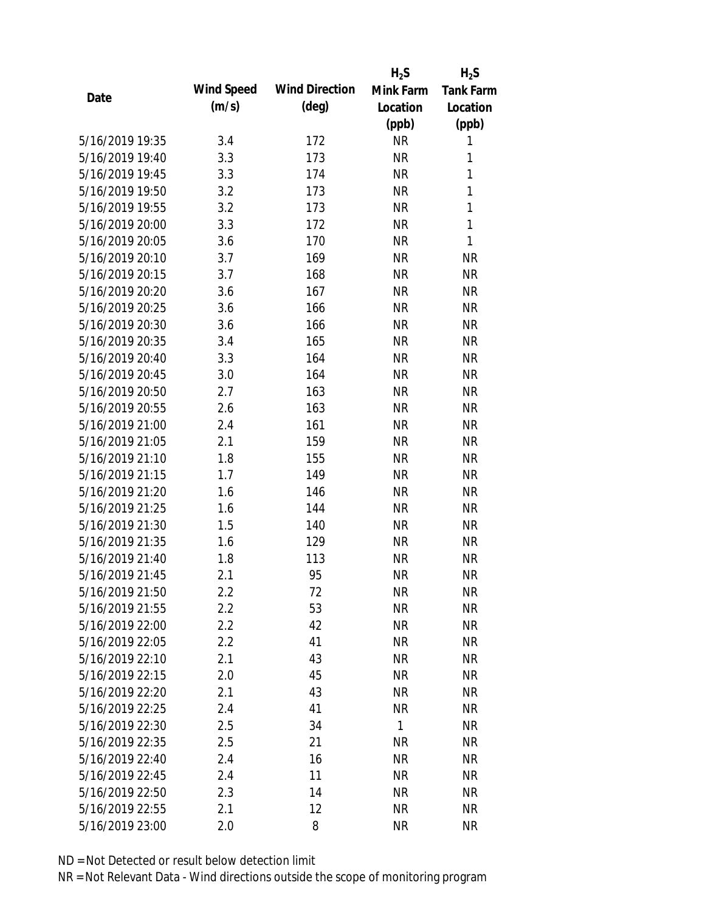|                 |            |                       | $H_2S$       | $H_2S$           |
|-----------------|------------|-----------------------|--------------|------------------|
| Date            | Wind Speed | <b>Wind Direction</b> | Mink Farm    | <b>Tank Farm</b> |
|                 | (m/s)      | $(\text{deg})$        | Location     | Location         |
|                 |            |                       | (ppb)        | (ppb)            |
| 5/16/2019 19:35 | 3.4        | 172                   | <b>NR</b>    | 1                |
| 5/16/2019 19:40 | 3.3        | 173                   | <b>NR</b>    | 1                |
| 5/16/2019 19:45 | 3.3        | 174                   | <b>NR</b>    | 1                |
| 5/16/2019 19:50 | 3.2        | 173                   | <b>NR</b>    | 1                |
| 5/16/2019 19:55 | 3.2        | 173                   | <b>NR</b>    | 1                |
| 5/16/2019 20:00 | 3.3        | 172                   | <b>NR</b>    | 1                |
| 5/16/2019 20:05 | 3.6        | 170                   | <b>NR</b>    | 1                |
| 5/16/2019 20:10 | 3.7        | 169                   | <b>NR</b>    | <b>NR</b>        |
| 5/16/2019 20:15 | 3.7        | 168                   | <b>NR</b>    | <b>NR</b>        |
| 5/16/2019 20:20 | 3.6        | 167                   | <b>NR</b>    | <b>NR</b>        |
| 5/16/2019 20:25 | 3.6        | 166                   | <b>NR</b>    | <b>NR</b>        |
| 5/16/2019 20:30 | 3.6        | 166                   | <b>NR</b>    | <b>NR</b>        |
| 5/16/2019 20:35 | 3.4        | 165                   | <b>NR</b>    | <b>NR</b>        |
| 5/16/2019 20:40 | 3.3        | 164                   | <b>NR</b>    | <b>NR</b>        |
| 5/16/2019 20:45 | 3.0        | 164                   | <b>NR</b>    | <b>NR</b>        |
| 5/16/2019 20:50 | 2.7        | 163                   | <b>NR</b>    | <b>NR</b>        |
| 5/16/2019 20:55 | 2.6        | 163                   | <b>NR</b>    | <b>NR</b>        |
| 5/16/2019 21:00 | 2.4        | 161                   | <b>NR</b>    | <b>NR</b>        |
| 5/16/2019 21:05 | 2.1        | 159                   | <b>NR</b>    | <b>NR</b>        |
| 5/16/2019 21:10 | 1.8        | 155                   | <b>NR</b>    | <b>NR</b>        |
| 5/16/2019 21:15 | 1.7        | 149                   | <b>NR</b>    | <b>NR</b>        |
| 5/16/2019 21:20 | 1.6        | 146                   | <b>NR</b>    | <b>NR</b>        |
| 5/16/2019 21:25 | 1.6        | 144                   | <b>NR</b>    | <b>NR</b>        |
| 5/16/2019 21:30 | 1.5        | 140                   | <b>NR</b>    | <b>NR</b>        |
| 5/16/2019 21:35 | 1.6        | 129                   | <b>NR</b>    | <b>NR</b>        |
| 5/16/2019 21:40 | 1.8        | 113                   | <b>NR</b>    | <b>NR</b>        |
| 5/16/2019 21:45 | 2.1        | 95                    | <b>NR</b>    | <b>NR</b>        |
| 5/16/2019 21:50 | 2.2        | 72                    | <b>NR</b>    | <b>NR</b>        |
| 5/16/2019 21:55 | 2.2        | 53                    | <b>NR</b>    | <b>NR</b>        |
| 5/16/2019 22:00 | 2.2        | 42                    | <b>NR</b>    | <b>NR</b>        |
| 5/16/2019 22:05 | 2.2        | 41                    | <b>NR</b>    | <b>NR</b>        |
| 5/16/2019 22:10 | 2.1        | 43                    | <b>NR</b>    | <b>NR</b>        |
| 5/16/2019 22:15 | 2.0        | 45                    | <b>NR</b>    | <b>NR</b>        |
| 5/16/2019 22:20 | 2.1        | 43                    | <b>NR</b>    | <b>NR</b>        |
| 5/16/2019 22:25 | 2.4        | 41                    | <b>NR</b>    | <b>NR</b>        |
| 5/16/2019 22:30 | 2.5        | 34                    | $\mathbf{1}$ | <b>NR</b>        |
| 5/16/2019 22:35 | 2.5        | 21                    | <b>NR</b>    | <b>NR</b>        |
| 5/16/2019 22:40 | 2.4        | 16                    | <b>NR</b>    | <b>NR</b>        |
| 5/16/2019 22:45 | 2.4        | 11                    | <b>NR</b>    | <b>NR</b>        |
| 5/16/2019 22:50 | 2.3        | 14                    | <b>NR</b>    | <b>NR</b>        |
| 5/16/2019 22:55 | 2.1        | 12                    | <b>NR</b>    | <b>NR</b>        |
| 5/16/2019 23:00 | 2.0        | 8                     | <b>NR</b>    | <b>NR</b>        |
|                 |            |                       |              |                  |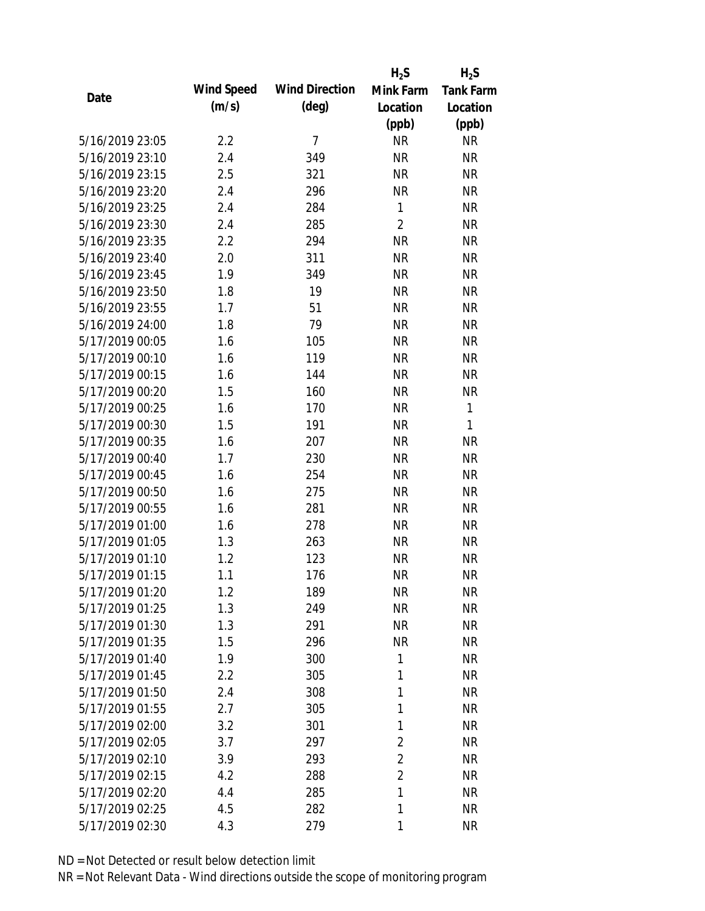|                 |            |                       | $H_2S$         | $H_2S$           |
|-----------------|------------|-----------------------|----------------|------------------|
| Date            | Wind Speed | <b>Wind Direction</b> | Mink Farm      | <b>Tank Farm</b> |
|                 | (m/s)      | $(\text{deg})$        | Location       | Location         |
|                 |            |                       | (ppb)          | (ppb)            |
| 5/16/2019 23:05 | 2.2        | $\overline{7}$        | <b>NR</b>      | <b>NR</b>        |
| 5/16/2019 23:10 | 2.4        | 349                   | <b>NR</b>      | <b>NR</b>        |
| 5/16/2019 23:15 | 2.5        | 321                   | <b>NR</b>      | <b>NR</b>        |
| 5/16/2019 23:20 | 2.4        | 296                   | <b>NR</b>      | <b>NR</b>        |
| 5/16/2019 23:25 | 2.4        | 284                   | 1              | <b>NR</b>        |
| 5/16/2019 23:30 | 2.4        | 285                   | $\overline{2}$ | <b>NR</b>        |
| 5/16/2019 23:35 | 2.2        | 294                   | <b>NR</b>      | <b>NR</b>        |
| 5/16/2019 23:40 | 2.0        | 311                   | <b>NR</b>      | <b>NR</b>        |
| 5/16/2019 23:45 | 1.9        | 349                   | <b>NR</b>      | <b>NR</b>        |
| 5/16/2019 23:50 | 1.8        | 19                    | <b>NR</b>      | <b>NR</b>        |
| 5/16/2019 23:55 | 1.7        | 51                    | <b>NR</b>      | <b>NR</b>        |
| 5/16/2019 24:00 | 1.8        | 79                    | <b>NR</b>      | <b>NR</b>        |
| 5/17/2019 00:05 | 1.6        | 105                   | <b>NR</b>      | <b>NR</b>        |
| 5/17/2019 00:10 | 1.6        | 119                   | <b>NR</b>      | <b>NR</b>        |
| 5/17/2019 00:15 | 1.6        | 144                   | <b>NR</b>      | <b>NR</b>        |
| 5/17/2019 00:20 | 1.5        | 160                   | <b>NR</b>      | <b>NR</b>        |
| 5/17/2019 00:25 | 1.6        | 170                   | <b>NR</b>      | $\mathbf{1}$     |
| 5/17/2019 00:30 | 1.5        | 191                   | <b>NR</b>      | 1                |
| 5/17/2019 00:35 | 1.6        | 207                   | <b>NR</b>      | <b>NR</b>        |
| 5/17/2019 00:40 | 1.7        | 230                   | <b>NR</b>      | <b>NR</b>        |
| 5/17/2019 00:45 | 1.6        | 254                   | <b>NR</b>      | <b>NR</b>        |
| 5/17/2019 00:50 | 1.6        | 275                   | <b>NR</b>      | <b>NR</b>        |
| 5/17/2019 00:55 | 1.6        | 281                   | <b>NR</b>      | <b>NR</b>        |
| 5/17/2019 01:00 | 1.6        | 278                   | <b>NR</b>      | <b>NR</b>        |
| 5/17/2019 01:05 | 1.3        | 263                   | <b>NR</b>      | <b>NR</b>        |
| 5/17/2019 01:10 | 1.2        | 123                   | <b>NR</b>      | <b>NR</b>        |
| 5/17/2019 01:15 | 1.1        | 176                   | <b>NR</b>      | <b>NR</b>        |
| 5/17/2019 01:20 | 1.2        | 189                   | <b>NR</b>      | <b>NR</b>        |
| 5/17/2019 01:25 | 1.3        | 249                   | <b>NR</b>      | <b>NR</b>        |
| 5/17/2019 01:30 | 1.3        | 291                   | <b>NR</b>      | <b>NR</b>        |
| 5/17/2019 01:35 | 1.5        | 296                   | <b>NR</b>      | <b>NR</b>        |
| 5/17/2019 01:40 | 1.9        | 300                   | 1              | NR               |
| 5/17/2019 01:45 | 2.2        | 305                   | 1              | <b>NR</b>        |
| 5/17/2019 01:50 | 2.4        | 308                   | 1              | <b>NR</b>        |
| 5/17/2019 01:55 | 2.7        | 305                   | 1              | <b>NR</b>        |
| 5/17/2019 02:00 | 3.2        | 301                   | 1              | <b>NR</b>        |
| 5/17/2019 02:05 | 3.7        | 297                   | 2              | <b>NR</b>        |
| 5/17/2019 02:10 | 3.9        | 293                   | $\overline{2}$ | <b>NR</b>        |
| 5/17/2019 02:15 | 4.2        | 288                   | $\overline{2}$ | <b>NR</b>        |
| 5/17/2019 02:20 | 4.4        | 285                   | 1              | <b>NR</b>        |
| 5/17/2019 02:25 | 4.5        | 282                   | 1              | <b>NR</b>        |
| 5/17/2019 02:30 | 4.3        | 279                   | 1              | <b>NR</b>        |
|                 |            |                       |                |                  |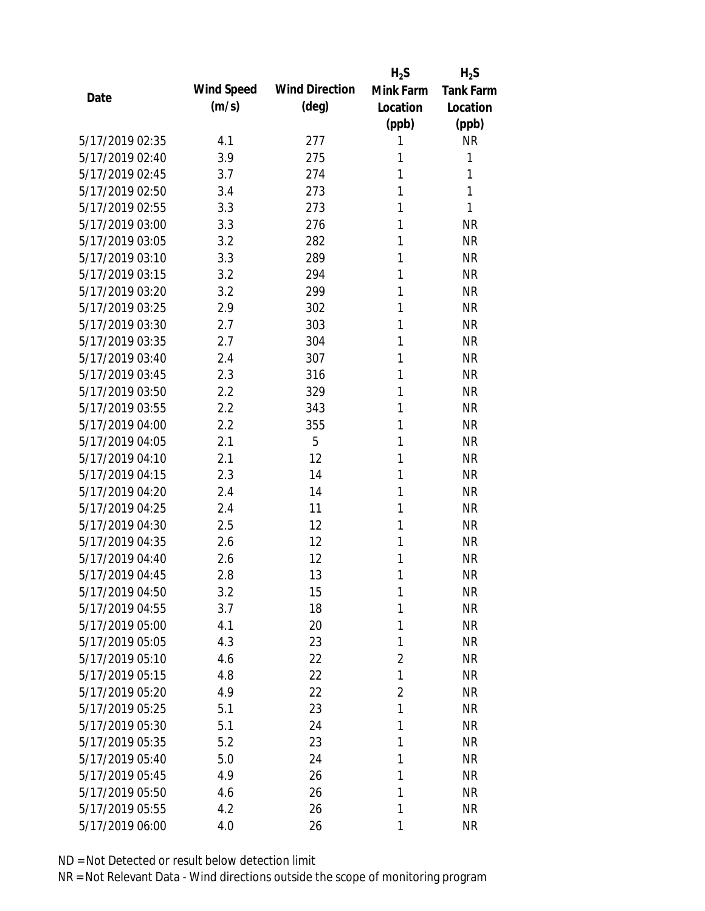|                 |            |                       | $H_2S$         | $H_2S$           |
|-----------------|------------|-----------------------|----------------|------------------|
| Date            | Wind Speed | <b>Wind Direction</b> | Mink Farm      | <b>Tank Farm</b> |
|                 | (m/s)      | $(\text{deg})$        | Location       | Location         |
|                 |            |                       | (ppb)          | (ppb)            |
| 5/17/2019 02:35 | 4.1        | 277                   | 1              | <b>NR</b>        |
| 5/17/2019 02:40 | 3.9        | 275                   | 1              | 1                |
| 5/17/2019 02:45 | 3.7        | 274                   | 1              | 1                |
| 5/17/2019 02:50 | 3.4        | 273                   | 1              | 1                |
| 5/17/2019 02:55 | 3.3        | 273                   | 1              | 1                |
| 5/17/2019 03:00 | 3.3        | 276                   | 1              | <b>NR</b>        |
| 5/17/2019 03:05 | 3.2        | 282                   | 1              | <b>NR</b>        |
| 5/17/2019 03:10 | 3.3        | 289                   | 1              | <b>NR</b>        |
| 5/17/2019 03:15 | 3.2        | 294                   | 1              | <b>NR</b>        |
| 5/17/2019 03:20 | 3.2        | 299                   | 1              | <b>NR</b>        |
| 5/17/2019 03:25 | 2.9        | 302                   | 1              | <b>NR</b>        |
| 5/17/2019 03:30 | 2.7        | 303                   | 1              | <b>NR</b>        |
| 5/17/2019 03:35 | 2.7        | 304                   | 1              | <b>NR</b>        |
| 5/17/2019 03:40 | 2.4        | 307                   | 1              | <b>NR</b>        |
| 5/17/2019 03:45 | 2.3        | 316                   | 1              | <b>NR</b>        |
| 5/17/2019 03:50 | 2.2        | 329                   | 1              | <b>NR</b>        |
| 5/17/2019 03:55 | 2.2        | 343                   | 1              | <b>NR</b>        |
| 5/17/2019 04:00 | 2.2        | 355                   | 1              | <b>NR</b>        |
| 5/17/2019 04:05 | 2.1        | 5                     | 1              | <b>NR</b>        |
| 5/17/2019 04:10 | 2.1        | 12                    | 1              | <b>NR</b>        |
| 5/17/2019 04:15 | 2.3        | 14                    | 1              | <b>NR</b>        |
| 5/17/2019 04:20 | 2.4        | 14                    | 1              | <b>NR</b>        |
| 5/17/2019 04:25 | 2.4        | 11                    | 1              | <b>NR</b>        |
| 5/17/2019 04:30 | 2.5        | 12                    | 1              | <b>NR</b>        |
| 5/17/2019 04:35 | 2.6        | 12                    | 1              | <b>NR</b>        |
| 5/17/2019 04:40 | 2.6        | 12                    | 1              | <b>NR</b>        |
| 5/17/2019 04:45 | 2.8        | 13                    | 1              | <b>NR</b>        |
| 5/17/2019 04:50 | 3.2        | 15                    | 1              | <b>NR</b>        |
| 5/17/2019 04:55 | 3.7        | 18                    | 1              | <b>NR</b>        |
| 5/17/2019 05:00 | 4.1        | 20                    | 1              | <b>NR</b>        |
| 5/17/2019 05:05 | 4.3        | 23                    | 1              | <b>NR</b>        |
| 5/17/2019 05:10 | 4.6        | 22                    | $\overline{2}$ | <b>NR</b>        |
| 5/17/2019 05:15 | 4.8        | 22                    | 1              | <b>NR</b>        |
| 5/17/2019 05:20 | 4.9        | 22                    | $\overline{2}$ | <b>NR</b>        |
| 5/17/2019 05:25 | 5.1        | 23                    | 1              | <b>NR</b>        |
| 5/17/2019 05:30 | 5.1        | 24                    | 1              | <b>NR</b>        |
| 5/17/2019 05:35 | 5.2        | 23                    | 1              | <b>NR</b>        |
| 5/17/2019 05:40 | 5.0        | 24                    | 1              | <b>NR</b>        |
| 5/17/2019 05:45 | 4.9        | 26                    | 1              | <b>NR</b>        |
| 5/17/2019 05:50 | 4.6        | 26                    | 1              | <b>NR</b>        |
| 5/17/2019 05:55 | 4.2        | 26                    | 1              | <b>NR</b>        |
| 5/17/2019 06:00 | 4.0        | 26                    | 1              | <b>NR</b>        |
|                 |            |                       |                |                  |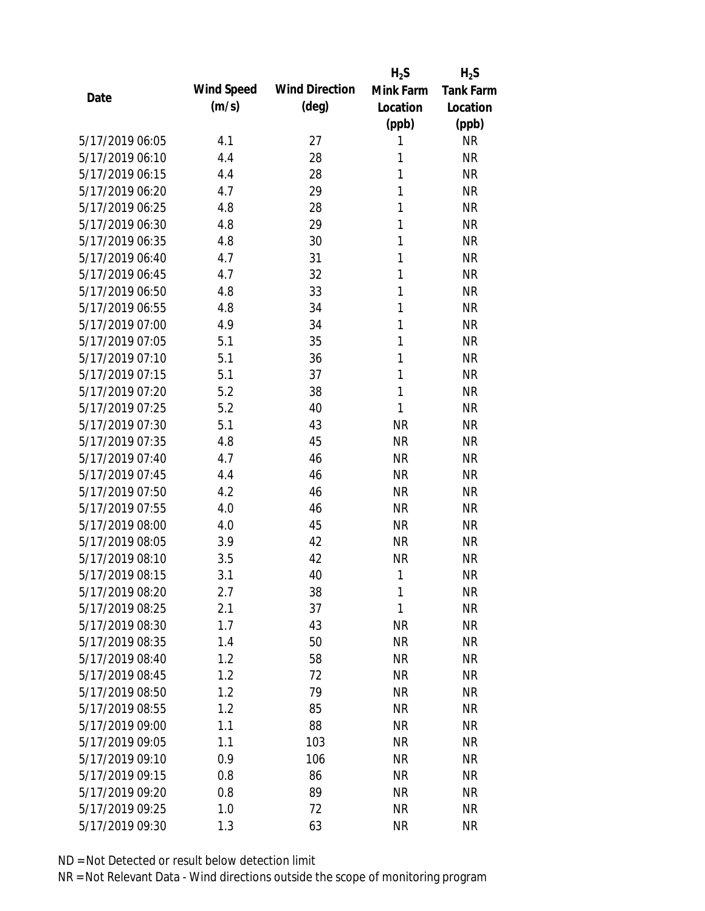|                 |            |                       | $H_2S$    | $H_2S$           |
|-----------------|------------|-----------------------|-----------|------------------|
| Date            | Wind Speed | <b>Wind Direction</b> | Mink Farm | <b>Tank Farm</b> |
|                 | (m/s)      | $(\text{deg})$        | Location  | Location         |
|                 |            |                       | (ppb)     | (ppb)            |
| 5/17/2019 06:05 | 4.1        | 27                    | 1         | <b>NR</b>        |
| 5/17/2019 06:10 | 4.4        | 28                    | 1         | <b>NR</b>        |
| 5/17/2019 06:15 | 4.4        | 28                    | 1         | <b>NR</b>        |
| 5/17/2019 06:20 | 4.7        | 29                    | 1         | <b>NR</b>        |
| 5/17/2019 06:25 | 4.8        | 28                    | 1         | <b>NR</b>        |
| 5/17/2019 06:30 | 4.8        | 29                    | 1         | <b>NR</b>        |
| 5/17/2019 06:35 | 4.8        | 30                    | 1         | <b>NR</b>        |
| 5/17/2019 06:40 | 4.7        | 31                    | 1         | <b>NR</b>        |
| 5/17/2019 06:45 | 4.7        | 32                    | 1         | <b>NR</b>        |
| 5/17/2019 06:50 | 4.8        | 33                    | 1         | <b>NR</b>        |
| 5/17/2019 06:55 | 4.8        | 34                    | 1         | <b>NR</b>        |
| 5/17/2019 07:00 | 4.9        | 34                    | 1         | <b>NR</b>        |
| 5/17/2019 07:05 | 5.1        | 35                    | 1         | <b>NR</b>        |
| 5/17/2019 07:10 | 5.1        | 36                    | 1         | <b>NR</b>        |
| 5/17/2019 07:15 | 5.1        | 37                    | 1         | <b>NR</b>        |
| 5/17/2019 07:20 | 5.2        | 38                    | 1         | <b>NR</b>        |
| 5/17/2019 07:25 | 5.2        | 40                    | 1         | <b>NR</b>        |
| 5/17/2019 07:30 | 5.1        | 43                    | <b>NR</b> | <b>NR</b>        |
| 5/17/2019 07:35 | 4.8        | 45                    | <b>NR</b> | <b>NR</b>        |
| 5/17/2019 07:40 | 4.7        | 46                    | <b>NR</b> | <b>NR</b>        |
| 5/17/2019 07:45 | 4.4        | 46                    | <b>NR</b> | <b>NR</b>        |
| 5/17/2019 07:50 | 4.2        | 46                    | <b>NR</b> | <b>NR</b>        |
| 5/17/2019 07:55 | 4.0        | 46                    | <b>NR</b> | <b>NR</b>        |
| 5/17/2019 08:00 | 4.0        | 45                    | <b>NR</b> | <b>NR</b>        |
| 5/17/2019 08:05 | 3.9        | 42                    | <b>NR</b> | <b>NR</b>        |
| 5/17/2019 08:10 | 3.5        | 42                    | <b>NR</b> | <b>NR</b>        |
| 5/17/2019 08:15 | 3.1        | 40                    | 1         | <b>NR</b>        |
| 5/17/2019 08:20 | 2.7        | 38                    | 1         | <b>NR</b>        |
| 5/17/2019 08:25 | 2.1        | 37                    | 1         | <b>NR</b>        |
| 5/17/2019 08:30 | 1.7        | 43                    | <b>NR</b> | <b>NR</b>        |
| 5/17/2019 08:35 | 1.4        | 50                    | <b>NR</b> | <b>NR</b>        |
| 5/17/2019 08:40 | 1.2        | 58                    | <b>NR</b> | <b>NR</b>        |
| 5/17/2019 08:45 | 1.2        | 72                    | <b>NR</b> | <b>NR</b>        |
| 5/17/2019 08:50 | 1.2        | 79                    | <b>NR</b> | <b>NR</b>        |
| 5/17/2019 08:55 | 1.2        | 85                    | <b>NR</b> | <b>NR</b>        |
| 5/17/2019 09:00 | 1.1        | 88                    | <b>NR</b> | <b>NR</b>        |
| 5/17/2019 09:05 | 1.1        | 103                   | <b>NR</b> | <b>NR</b>        |
| 5/17/2019 09:10 | 0.9        | 106                   | <b>NR</b> | <b>NR</b>        |
| 5/17/2019 09:15 | 0.8        | 86                    | <b>NR</b> | <b>NR</b>        |
| 5/17/2019 09:20 | 0.8        | 89                    | <b>NR</b> | <b>NR</b>        |
| 5/17/2019 09:25 | 1.0        | 72                    | <b>NR</b> | <b>NR</b>        |
| 5/17/2019 09:30 | 1.3        | 63                    | <b>NR</b> | <b>NR</b>        |
|                 |            |                       |           |                  |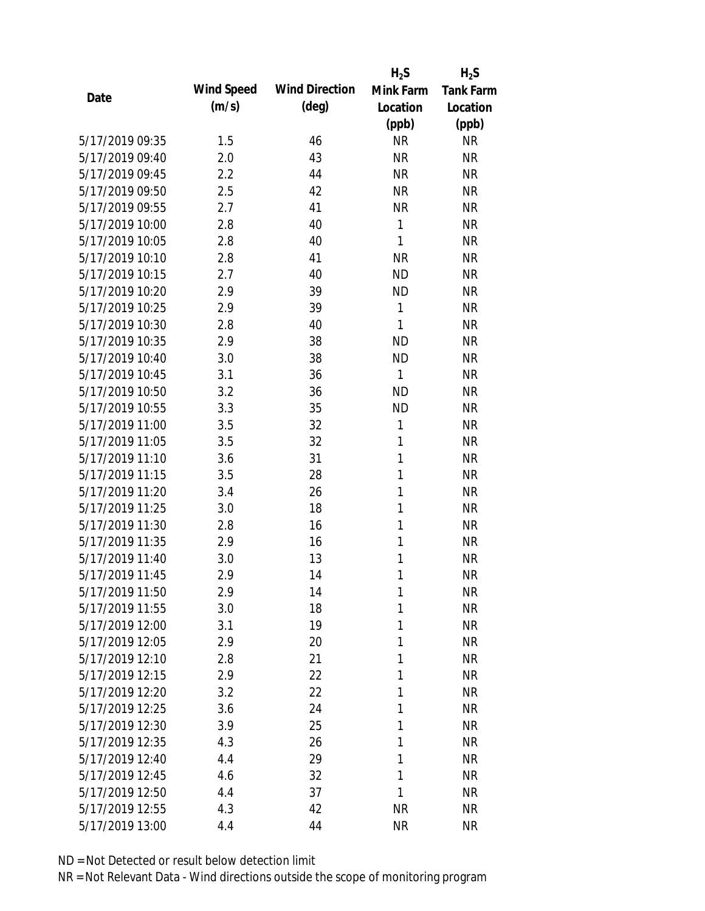|                 |            |                       | $H_2S$    | $H_2S$           |
|-----------------|------------|-----------------------|-----------|------------------|
| Date            | Wind Speed | <b>Wind Direction</b> | Mink Farm | <b>Tank Farm</b> |
|                 | (m/s)      | $(\text{deg})$        | Location  | Location         |
|                 |            |                       | (ppb)     | (ppb)            |
| 5/17/2019 09:35 | 1.5        | 46                    | <b>NR</b> | <b>NR</b>        |
| 5/17/2019 09:40 | 2.0        | 43                    | <b>NR</b> | <b>NR</b>        |
| 5/17/2019 09:45 | 2.2        | 44                    | <b>NR</b> | <b>NR</b>        |
| 5/17/2019 09:50 | 2.5        | 42                    | <b>NR</b> | <b>NR</b>        |
| 5/17/2019 09:55 | 2.7        | 41                    | <b>NR</b> | <b>NR</b>        |
| 5/17/2019 10:00 | 2.8        | 40                    | 1         | <b>NR</b>        |
| 5/17/2019 10:05 | 2.8        | 40                    | 1         | <b>NR</b>        |
| 5/17/2019 10:10 | 2.8        | 41                    | <b>NR</b> | <b>NR</b>        |
| 5/17/2019 10:15 | 2.7        | 40                    | <b>ND</b> | <b>NR</b>        |
| 5/17/2019 10:20 | 2.9        | 39                    | <b>ND</b> | <b>NR</b>        |
| 5/17/2019 10:25 | 2.9        | 39                    | 1         | <b>NR</b>        |
| 5/17/2019 10:30 | 2.8        | 40                    | 1         | <b>NR</b>        |
| 5/17/2019 10:35 | 2.9        | 38                    | <b>ND</b> | <b>NR</b>        |
| 5/17/2019 10:40 | 3.0        | 38                    | <b>ND</b> | <b>NR</b>        |
| 5/17/2019 10:45 | 3.1        | 36                    | 1         | <b>NR</b>        |
| 5/17/2019 10:50 | 3.2        | 36                    | <b>ND</b> | <b>NR</b>        |
| 5/17/2019 10:55 | 3.3        | 35                    | <b>ND</b> | <b>NR</b>        |
| 5/17/2019 11:00 | 3.5        | 32                    | 1         | <b>NR</b>        |
| 5/17/2019 11:05 | 3.5        | 32                    | 1         | <b>NR</b>        |
| 5/17/2019 11:10 | 3.6        | 31                    | 1         | <b>NR</b>        |
| 5/17/2019 11:15 | 3.5        | 28                    | 1         | <b>NR</b>        |
| 5/17/2019 11:20 | 3.4        | 26                    | 1         | <b>NR</b>        |
| 5/17/2019 11:25 | 3.0        | 18                    | 1         | <b>NR</b>        |
| 5/17/2019 11:30 | 2.8        | 16                    | 1         | <b>NR</b>        |
| 5/17/2019 11:35 | 2.9        | 16                    | 1         | <b>NR</b>        |
| 5/17/2019 11:40 | 3.0        | 13                    | 1         | <b>NR</b>        |
| 5/17/2019 11:45 | 2.9        | 14                    | 1         | <b>NR</b>        |
| 5/17/2019 11:50 | 2.9        | 14                    | 1         | <b>NR</b>        |
| 5/17/2019 11:55 | 3.0        | 18                    | 1         | <b>NR</b>        |
| 5/17/2019 12:00 | 3.1        | 19                    | 1         | <b>NR</b>        |
| 5/17/2019 12:05 | 2.9        | 20                    | 1         | <b>NR</b>        |
| 5/17/2019 12:10 | 2.8        | 21                    | 1         | <b>NR</b>        |
| 5/17/2019 12:15 | 2.9        | 22                    | 1         | <b>NR</b>        |
| 5/17/2019 12:20 | 3.2        | 22                    | 1         | <b>NR</b>        |
| 5/17/2019 12:25 | 3.6        | 24                    | 1         | <b>NR</b>        |
| 5/17/2019 12:30 | 3.9        | 25                    | 1         | <b>NR</b>        |
| 5/17/2019 12:35 | 4.3        | 26                    | 1         | <b>NR</b>        |
| 5/17/2019 12:40 | 4.4        | 29                    | 1         | <b>NR</b>        |
| 5/17/2019 12:45 | 4.6        | 32                    | 1         | <b>NR</b>        |
| 5/17/2019 12:50 | 4.4        | 37                    | 1         | <b>NR</b>        |
| 5/17/2019 12:55 | 4.3        | 42                    | <b>NR</b> | <b>NR</b>        |
| 5/17/2019 13:00 | 4.4        | 44                    | <b>NR</b> | <b>NR</b>        |
|                 |            |                       |           |                  |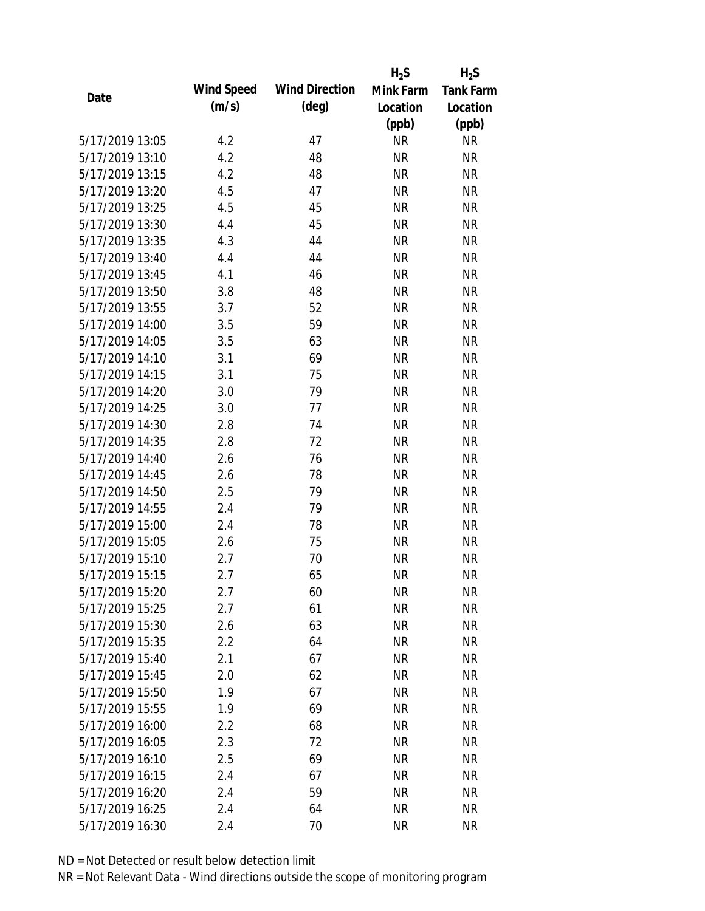|                 |            |                       | $H_2S$    | $H_2S$           |
|-----------------|------------|-----------------------|-----------|------------------|
| Date            | Wind Speed | <b>Wind Direction</b> | Mink Farm | <b>Tank Farm</b> |
|                 | (m/s)      | $(\text{deg})$        | Location  | Location         |
|                 |            |                       | (ppb)     | (ppb)            |
| 5/17/2019 13:05 | 4.2        | 47                    | <b>NR</b> | <b>NR</b>        |
| 5/17/2019 13:10 | 4.2        | 48                    | <b>NR</b> | <b>NR</b>        |
| 5/17/2019 13:15 | 4.2        | 48                    | <b>NR</b> | <b>NR</b>        |
| 5/17/2019 13:20 | 4.5        | 47                    | <b>NR</b> | <b>NR</b>        |
| 5/17/2019 13:25 | 4.5        | 45                    | <b>NR</b> | <b>NR</b>        |
| 5/17/2019 13:30 | 4.4        | 45                    | <b>NR</b> | <b>NR</b>        |
| 5/17/2019 13:35 | 4.3        | 44                    | <b>NR</b> | <b>NR</b>        |
| 5/17/2019 13:40 | 4.4        | 44                    | <b>NR</b> | <b>NR</b>        |
| 5/17/2019 13:45 | 4.1        | 46                    | <b>NR</b> | <b>NR</b>        |
| 5/17/2019 13:50 | 3.8        | 48                    | <b>NR</b> | <b>NR</b>        |
| 5/17/2019 13:55 | 3.7        | 52                    | <b>NR</b> | <b>NR</b>        |
| 5/17/2019 14:00 | 3.5        | 59                    | <b>NR</b> | <b>NR</b>        |
| 5/17/2019 14:05 | 3.5        | 63                    | <b>NR</b> | <b>NR</b>        |
| 5/17/2019 14:10 | 3.1        | 69                    | <b>NR</b> | <b>NR</b>        |
| 5/17/2019 14:15 | 3.1        | 75                    | <b>NR</b> | <b>NR</b>        |
| 5/17/2019 14:20 | 3.0        | 79                    | <b>NR</b> | <b>NR</b>        |
| 5/17/2019 14:25 | 3.0        | 77                    | <b>NR</b> | <b>NR</b>        |
| 5/17/2019 14:30 | 2.8        | 74                    | <b>NR</b> | <b>NR</b>        |
| 5/17/2019 14:35 | 2.8        | 72                    | <b>NR</b> | <b>NR</b>        |
| 5/17/2019 14:40 | 2.6        | 76                    | <b>NR</b> | <b>NR</b>        |
| 5/17/2019 14:45 | 2.6        | 78                    | <b>NR</b> | <b>NR</b>        |
| 5/17/2019 14:50 | 2.5        | 79                    | <b>NR</b> | <b>NR</b>        |
| 5/17/2019 14:55 | 2.4        | 79                    | <b>NR</b> | <b>NR</b>        |
| 5/17/2019 15:00 | 2.4        | 78                    | <b>NR</b> | <b>NR</b>        |
| 5/17/2019 15:05 | 2.6        | 75                    | <b>NR</b> | <b>NR</b>        |
| 5/17/2019 15:10 | 2.7        | 70                    | <b>NR</b> | <b>NR</b>        |
| 5/17/2019 15:15 | 2.7        | 65                    | <b>NR</b> | <b>NR</b>        |
| 5/17/2019 15:20 | 2.7        | 60                    | <b>NR</b> | <b>NR</b>        |
| 5/17/2019 15:25 | 2.7        | 61                    | <b>NR</b> | <b>NR</b>        |
| 5/17/2019 15:30 | 2.6        | 63                    | <b>NR</b> | <b>NR</b>        |
| 5/17/2019 15:35 | 2.2        | 64                    | <b>NR</b> | <b>NR</b>        |
| 5/17/2019 15:40 | 2.1        | 67                    | <b>NR</b> | NR               |
| 5/17/2019 15:45 | 2.0        | 62                    | <b>NR</b> | <b>NR</b>        |
| 5/17/2019 15:50 | 1.9        | 67                    | <b>NR</b> | <b>NR</b>        |
| 5/17/2019 15:55 | 1.9        | 69                    | <b>NR</b> | NR               |
| 5/17/2019 16:00 | 2.2        | 68                    | <b>NR</b> | <b>NR</b>        |
| 5/17/2019 16:05 | 2.3        | 72                    | <b>NR</b> | <b>NR</b>        |
| 5/17/2019 16:10 | 2.5        | 69                    | <b>NR</b> | <b>NR</b>        |
| 5/17/2019 16:15 | 2.4        | 67                    | <b>NR</b> | NR               |
| 5/17/2019 16:20 | 2.4        | 59                    | <b>NR</b> | NR               |
| 5/17/2019 16:25 | 2.4        | 64                    | <b>NR</b> | <b>NR</b>        |
| 5/17/2019 16:30 | 2.4        | 70                    | <b>NR</b> | <b>NR</b>        |
|                 |            |                       |           |                  |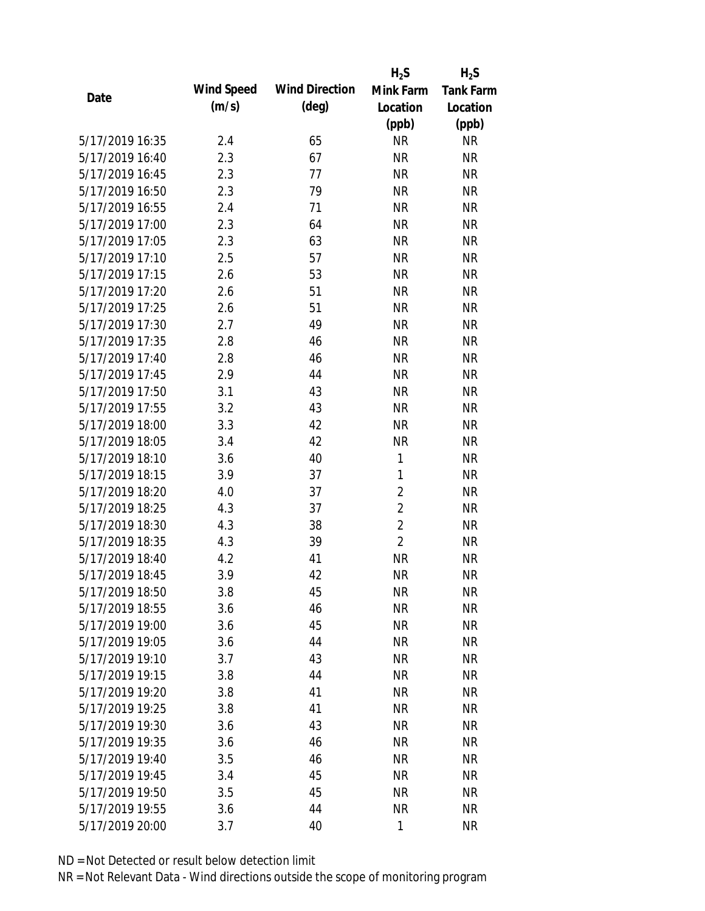|                 |            |                       | $H_2S$         | $H_2S$           |
|-----------------|------------|-----------------------|----------------|------------------|
| Date            | Wind Speed | <b>Wind Direction</b> | Mink Farm      | <b>Tank Farm</b> |
|                 | (m/s)      | $(\text{deg})$        | Location       | Location         |
|                 |            |                       | (ppb)          | (ppb)            |
| 5/17/2019 16:35 | 2.4        | 65                    | <b>NR</b>      | <b>NR</b>        |
| 5/17/2019 16:40 | 2.3        | 67                    | <b>NR</b>      | <b>NR</b>        |
| 5/17/2019 16:45 | 2.3        | 77                    | <b>NR</b>      | <b>NR</b>        |
| 5/17/2019 16:50 | 2.3        | 79                    | <b>NR</b>      | <b>NR</b>        |
| 5/17/2019 16:55 | 2.4        | 71                    | <b>NR</b>      | <b>NR</b>        |
| 5/17/2019 17:00 | 2.3        | 64                    | <b>NR</b>      | <b>NR</b>        |
| 5/17/2019 17:05 | 2.3        | 63                    | <b>NR</b>      | <b>NR</b>        |
| 5/17/2019 17:10 | 2.5        | 57                    | <b>NR</b>      | <b>NR</b>        |
| 5/17/2019 17:15 | 2.6        | 53                    | <b>NR</b>      | <b>NR</b>        |
| 5/17/2019 17:20 | 2.6        | 51                    | <b>NR</b>      | <b>NR</b>        |
| 5/17/2019 17:25 | 2.6        | 51                    | <b>NR</b>      | <b>NR</b>        |
| 5/17/2019 17:30 | 2.7        | 49                    | <b>NR</b>      | <b>NR</b>        |
| 5/17/2019 17:35 | 2.8        | 46                    | <b>NR</b>      | <b>NR</b>        |
| 5/17/2019 17:40 | 2.8        | 46                    | <b>NR</b>      | <b>NR</b>        |
| 5/17/2019 17:45 | 2.9        | 44                    | <b>NR</b>      | <b>NR</b>        |
| 5/17/2019 17:50 | 3.1        | 43                    | <b>NR</b>      | <b>NR</b>        |
| 5/17/2019 17:55 | 3.2        | 43                    | <b>NR</b>      | <b>NR</b>        |
| 5/17/2019 18:00 | 3.3        | 42                    | <b>NR</b>      | <b>NR</b>        |
| 5/17/2019 18:05 | 3.4        | 42                    | <b>NR</b>      | <b>NR</b>        |
| 5/17/2019 18:10 | 3.6        | 40                    | 1              | <b>NR</b>        |
| 5/17/2019 18:15 | 3.9        | 37                    | 1              | <b>NR</b>        |
| 5/17/2019 18:20 | 4.0        | 37                    | $\overline{2}$ | <b>NR</b>        |
| 5/17/2019 18:25 | 4.3        | 37                    | $\overline{2}$ | <b>NR</b>        |
| 5/17/2019 18:30 | 4.3        | 38                    | $\overline{2}$ | <b>NR</b>        |
| 5/17/2019 18:35 | 4.3        | 39                    | $\overline{2}$ | <b>NR</b>        |
| 5/17/2019 18:40 | 4.2        | 41                    | <b>NR</b>      | <b>NR</b>        |
| 5/17/2019 18:45 | 3.9        | 42                    | <b>NR</b>      | <b>NR</b>        |
| 5/17/2019 18:50 | 3.8        | 45                    | <b>NR</b>      | <b>NR</b>        |
| 5/17/2019 18:55 | 3.6        | 46                    | <b>NR</b>      | <b>NR</b>        |
| 5/17/2019 19:00 | 3.6        | 45                    | <b>NR</b>      | <b>NR</b>        |
| 5/17/2019 19:05 | 3.6        | 44                    | <b>NR</b>      | <b>NR</b>        |
| 5/17/2019 19:10 | 3.7        | 43                    | <b>NR</b>      | NR               |
| 5/17/2019 19:15 | 3.8        | 44                    | <b>NR</b>      | <b>NR</b>        |
| 5/17/2019 19:20 | 3.8        | 41                    | <b>NR</b>      | <b>NR</b>        |
| 5/17/2019 19:25 | 3.8        | 41                    | <b>NR</b>      | NR               |
| 5/17/2019 19:30 | 3.6        | 43                    | <b>NR</b>      | <b>NR</b>        |
| 5/17/2019 19:35 | 3.6        | 46                    | <b>NR</b>      | <b>NR</b>        |
| 5/17/2019 19:40 | 3.5        | 46                    | <b>NR</b>      | <b>NR</b>        |
| 5/17/2019 19:45 | 3.4        | 45                    | <b>NR</b>      | NR               |
| 5/17/2019 19:50 | 3.5        | 45                    | <b>NR</b>      | NR               |
| 5/17/2019 19:55 | 3.6        | 44                    | <b>NR</b>      | <b>NR</b>        |
| 5/17/2019 20:00 | 3.7        | 40                    | $\mathbf{1}$   | <b>NR</b>        |
|                 |            |                       |                |                  |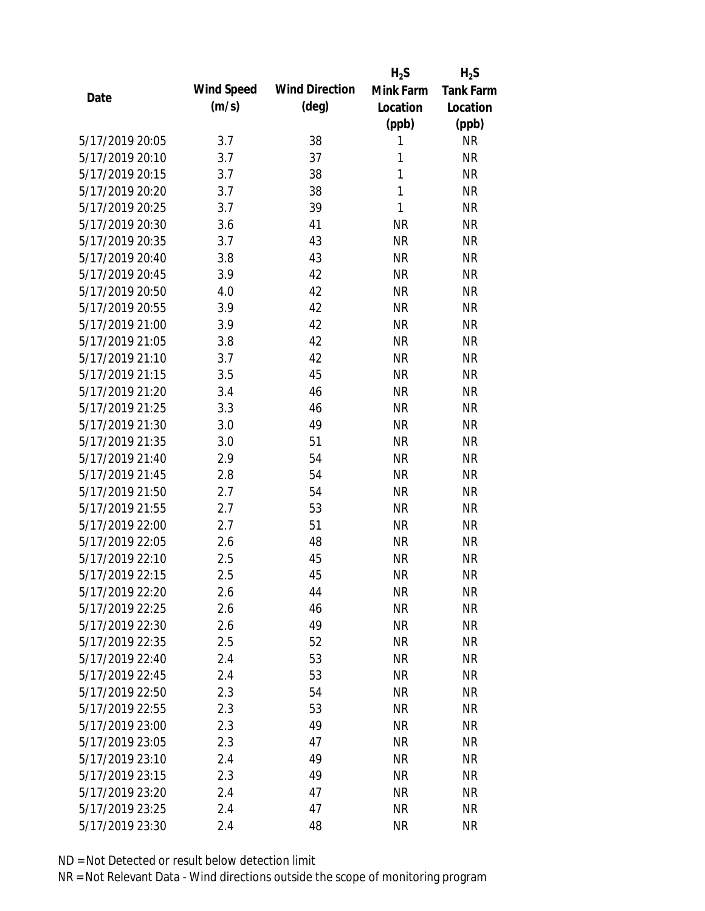|                 |            |                       | $H_2S$    | $H_2S$           |
|-----------------|------------|-----------------------|-----------|------------------|
| Date            | Wind Speed | <b>Wind Direction</b> | Mink Farm | <b>Tank Farm</b> |
|                 | (m/s)      | $(\text{deg})$        | Location  | Location         |
|                 |            |                       | (ppb)     | (ppb)            |
| 5/17/2019 20:05 | 3.7        | 38                    | 1         | <b>NR</b>        |
| 5/17/2019 20:10 | 3.7        | 37                    | 1         | <b>NR</b>        |
| 5/17/2019 20:15 | 3.7        | 38                    | 1         | <b>NR</b>        |
| 5/17/2019 20:20 | 3.7        | 38                    | 1         | <b>NR</b>        |
| 5/17/2019 20:25 | 3.7        | 39                    | 1         | <b>NR</b>        |
| 5/17/2019 20:30 | 3.6        | 41                    | <b>NR</b> | <b>NR</b>        |
| 5/17/2019 20:35 | 3.7        | 43                    | <b>NR</b> | <b>NR</b>        |
| 5/17/2019 20:40 | 3.8        | 43                    | <b>NR</b> | <b>NR</b>        |
| 5/17/2019 20:45 | 3.9        | 42                    | <b>NR</b> | <b>NR</b>        |
| 5/17/2019 20:50 | 4.0        | 42                    | <b>NR</b> | <b>NR</b>        |
| 5/17/2019 20:55 | 3.9        | 42                    | <b>NR</b> | <b>NR</b>        |
| 5/17/2019 21:00 | 3.9        | 42                    | <b>NR</b> | <b>NR</b>        |
| 5/17/2019 21:05 | 3.8        | 42                    | <b>NR</b> | <b>NR</b>        |
| 5/17/2019 21:10 | 3.7        | 42                    | <b>NR</b> | <b>NR</b>        |
| 5/17/2019 21:15 | 3.5        | 45                    | <b>NR</b> | <b>NR</b>        |
| 5/17/2019 21:20 | 3.4        | 46                    | <b>NR</b> | <b>NR</b>        |
| 5/17/2019 21:25 | 3.3        | 46                    | <b>NR</b> | <b>NR</b>        |
| 5/17/2019 21:30 | 3.0        | 49                    | <b>NR</b> | <b>NR</b>        |
| 5/17/2019 21:35 | 3.0        | 51                    | <b>NR</b> | <b>NR</b>        |
| 5/17/2019 21:40 | 2.9        | 54                    | <b>NR</b> | <b>NR</b>        |
| 5/17/2019 21:45 | 2.8        | 54                    | <b>NR</b> | <b>NR</b>        |
| 5/17/2019 21:50 | 2.7        | 54                    | <b>NR</b> | <b>NR</b>        |
| 5/17/2019 21:55 | 2.7        | 53                    | <b>NR</b> | <b>NR</b>        |
| 5/17/2019 22:00 | 2.7        | 51                    | <b>NR</b> | <b>NR</b>        |
| 5/17/2019 22:05 | 2.6        | 48                    | <b>NR</b> | <b>NR</b>        |
| 5/17/2019 22:10 | 2.5        | 45                    | <b>NR</b> | <b>NR</b>        |
| 5/17/2019 22:15 | 2.5        | 45                    | <b>NR</b> | <b>NR</b>        |
| 5/17/2019 22:20 | 2.6        | 44                    | <b>NR</b> | <b>NR</b>        |
| 5/17/2019 22:25 | 2.6        | 46                    | <b>NR</b> | <b>NR</b>        |
| 5/17/2019 22:30 | 2.6        | 49                    | NR        | <b>NR</b>        |
| 5/17/2019 22:35 | 2.5        | 52                    | <b>NR</b> | <b>NR</b>        |
| 5/17/2019 22:40 | 2.4        | 53                    | <b>NR</b> | <b>NR</b>        |
| 5/17/2019 22:45 | 2.4        | 53                    | <b>NR</b> | <b>NR</b>        |
| 5/17/2019 22:50 | 2.3        | 54                    | <b>NR</b> | <b>NR</b>        |
| 5/17/2019 22:55 | 2.3        | 53                    | <b>NR</b> | <b>NR</b>        |
| 5/17/2019 23:00 | 2.3        | 49                    | <b>NR</b> | <b>NR</b>        |
| 5/17/2019 23:05 | 2.3        | 47                    | <b>NR</b> | <b>NR</b>        |
| 5/17/2019 23:10 | 2.4        | 49                    | NR        | <b>NR</b>        |
| 5/17/2019 23:15 | 2.3        | 49                    | <b>NR</b> | <b>NR</b>        |
| 5/17/2019 23:20 | 2.4        | 47                    | <b>NR</b> | <b>NR</b>        |
| 5/17/2019 23:25 | 2.4        | 47                    | <b>NR</b> | <b>NR</b>        |
| 5/17/2019 23:30 | 2.4        | 48                    | <b>NR</b> | <b>NR</b>        |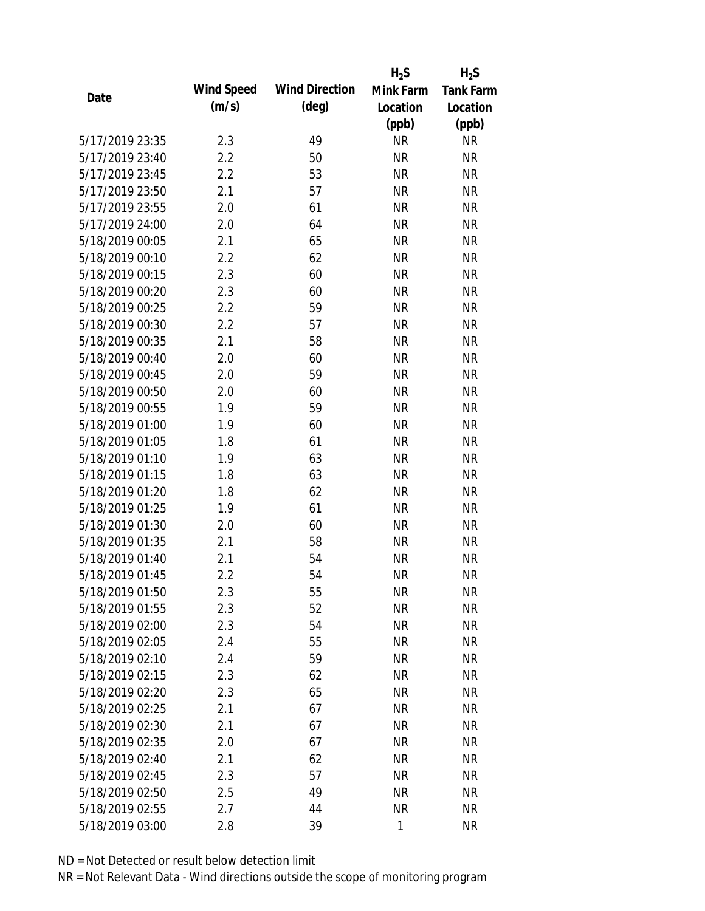|                 |            |                       | $H_2S$    | $H_2S$           |
|-----------------|------------|-----------------------|-----------|------------------|
| Date            | Wind Speed | <b>Wind Direction</b> | Mink Farm | <b>Tank Farm</b> |
|                 | (m/s)      | $(\text{deg})$        | Location  | Location         |
|                 |            |                       | (ppb)     | (ppb)            |
| 5/17/2019 23:35 | 2.3        | 49                    | <b>NR</b> | <b>NR</b>        |
| 5/17/2019 23:40 | 2.2        | 50                    | <b>NR</b> | <b>NR</b>        |
| 5/17/2019 23:45 | 2.2        | 53                    | <b>NR</b> | <b>NR</b>        |
| 5/17/2019 23:50 | 2.1        | 57                    | <b>NR</b> | <b>NR</b>        |
| 5/17/2019 23:55 | 2.0        | 61                    | <b>NR</b> | <b>NR</b>        |
| 5/17/2019 24:00 | 2.0        | 64                    | <b>NR</b> | <b>NR</b>        |
| 5/18/2019 00:05 | 2.1        | 65                    | <b>NR</b> | <b>NR</b>        |
| 5/18/2019 00:10 | 2.2        | 62                    | <b>NR</b> | <b>NR</b>        |
| 5/18/2019 00:15 | 2.3        | 60                    | <b>NR</b> | <b>NR</b>        |
| 5/18/2019 00:20 | 2.3        | 60                    | <b>NR</b> | <b>NR</b>        |
| 5/18/2019 00:25 | 2.2        | 59                    | <b>NR</b> | <b>NR</b>        |
| 5/18/2019 00:30 | 2.2        | 57                    | <b>NR</b> | <b>NR</b>        |
| 5/18/2019 00:35 | 2.1        | 58                    | <b>NR</b> | <b>NR</b>        |
| 5/18/2019 00:40 | 2.0        | 60                    | <b>NR</b> | <b>NR</b>        |
| 5/18/2019 00:45 | 2.0        | 59                    | <b>NR</b> | <b>NR</b>        |
| 5/18/2019 00:50 | 2.0        | 60                    | <b>NR</b> | <b>NR</b>        |
| 5/18/2019 00:55 | 1.9        | 59                    | <b>NR</b> | <b>NR</b>        |
| 5/18/2019 01:00 | 1.9        | 60                    | <b>NR</b> | <b>NR</b>        |
| 5/18/2019 01:05 | 1.8        | 61                    | <b>NR</b> | <b>NR</b>        |
| 5/18/2019 01:10 | 1.9        | 63                    | <b>NR</b> | <b>NR</b>        |
| 5/18/2019 01:15 | 1.8        | 63                    | <b>NR</b> | <b>NR</b>        |
| 5/18/2019 01:20 | 1.8        | 62                    | <b>NR</b> | <b>NR</b>        |
| 5/18/2019 01:25 | 1.9        | 61                    | <b>NR</b> | <b>NR</b>        |
| 5/18/2019 01:30 | 2.0        | 60                    | <b>NR</b> | <b>NR</b>        |
| 5/18/2019 01:35 | 2.1        | 58                    | <b>NR</b> | <b>NR</b>        |
| 5/18/2019 01:40 | 2.1        | 54                    | <b>NR</b> | <b>NR</b>        |
| 5/18/2019 01:45 | 2.2        | 54                    | <b>NR</b> | <b>NR</b>        |
| 5/18/2019 01:50 | 2.3        | 55                    | <b>NR</b> | <b>NR</b>        |
| 5/18/2019 01:55 | 2.3        | 52                    | <b>NR</b> | <b>NR</b>        |
| 5/18/2019 02:00 | 2.3        | 54                    | <b>NR</b> | <b>NR</b>        |
| 5/18/2019 02:05 | 2.4        | 55                    | <b>NR</b> | <b>NR</b>        |
| 5/18/2019 02:10 | 2.4        | 59                    | <b>NR</b> | NR               |
| 5/18/2019 02:15 | 2.3        | 62                    | <b>NR</b> | <b>NR</b>        |
| 5/18/2019 02:20 | 2.3        | 65                    | <b>NR</b> | <b>NR</b>        |
| 5/18/2019 02:25 | 2.1        | 67                    | <b>NR</b> | <b>NR</b>        |
| 5/18/2019 02:30 | 2.1        | 67                    | <b>NR</b> | <b>NR</b>        |
| 5/18/2019 02:35 | 2.0        | 67                    | <b>NR</b> | <b>NR</b>        |
| 5/18/2019 02:40 | 2.1        | 62                    | <b>NR</b> | <b>NR</b>        |
| 5/18/2019 02:45 | 2.3        | 57                    | <b>NR</b> | <b>NR</b>        |
| 5/18/2019 02:50 | 2.5        | 49                    | <b>NR</b> | NR               |
| 5/18/2019 02:55 | 2.7        | 44                    | <b>NR</b> | <b>NR</b>        |
| 5/18/2019 03:00 | 2.8        | 39                    | 1         | <b>NR</b>        |
|                 |            |                       |           |                  |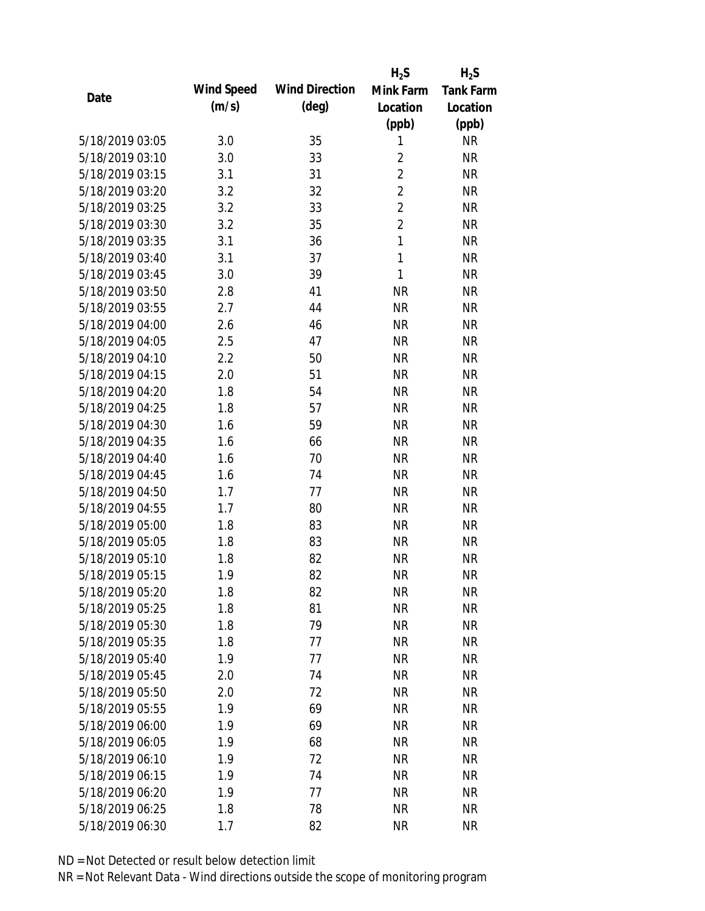|                 |            |                       | $H_2S$         | $H_2S$           |
|-----------------|------------|-----------------------|----------------|------------------|
|                 | Wind Speed | <b>Wind Direction</b> | Mink Farm      | <b>Tank Farm</b> |
| Date            | (m/s)      | $(\text{deg})$        | Location       | Location         |
|                 |            |                       | (ppb)          | (ppb)            |
| 5/18/2019 03:05 | 3.0        | 35                    | 1              | <b>NR</b>        |
| 5/18/2019 03:10 | 3.0        | 33                    | $\overline{2}$ | <b>NR</b>        |
| 5/18/2019 03:15 | 3.1        | 31                    | $\overline{2}$ | <b>NR</b>        |
| 5/18/2019 03:20 | 3.2        | 32                    | $\overline{2}$ | <b>NR</b>        |
| 5/18/2019 03:25 | 3.2        | 33                    | $\overline{2}$ | <b>NR</b>        |
| 5/18/2019 03:30 | 3.2        | 35                    | $\overline{2}$ | <b>NR</b>        |
| 5/18/2019 03:35 | 3.1        | 36                    | $\mathbf{1}$   | <b>NR</b>        |
| 5/18/2019 03:40 | 3.1        | 37                    | $\mathbf{1}$   | <b>NR</b>        |
| 5/18/2019 03:45 | 3.0        | 39                    | $\mathbf{1}$   | <b>NR</b>        |
| 5/18/2019 03:50 | 2.8        | 41                    | <b>NR</b>      | <b>NR</b>        |
| 5/18/2019 03:55 | 2.7        | 44                    | <b>NR</b>      | <b>NR</b>        |
| 5/18/2019 04:00 | 2.6        | 46                    | <b>NR</b>      | <b>NR</b>        |
| 5/18/2019 04:05 | 2.5        | 47                    | <b>NR</b>      | <b>NR</b>        |
| 5/18/2019 04:10 | 2.2        | 50                    | <b>NR</b>      | <b>NR</b>        |
| 5/18/2019 04:15 | 2.0        | 51                    | <b>NR</b>      | <b>NR</b>        |
| 5/18/2019 04:20 | 1.8        | 54                    | <b>NR</b>      | <b>NR</b>        |
| 5/18/2019 04:25 | 1.8        | 57                    | <b>NR</b>      | <b>NR</b>        |
| 5/18/2019 04:30 | 1.6        | 59                    | <b>NR</b>      | <b>NR</b>        |
| 5/18/2019 04:35 | 1.6        | 66                    | <b>NR</b>      | <b>NR</b>        |
| 5/18/2019 04:40 | 1.6        | 70                    | <b>NR</b>      | <b>NR</b>        |
| 5/18/2019 04:45 | 1.6        | 74                    | <b>NR</b>      | <b>NR</b>        |
| 5/18/2019 04:50 | 1.7        | 77                    | <b>NR</b>      | <b>NR</b>        |
| 5/18/2019 04:55 | 1.7        | 80                    | <b>NR</b>      | <b>NR</b>        |
| 5/18/2019 05:00 | 1.8        | 83                    | <b>NR</b>      | <b>NR</b>        |
| 5/18/2019 05:05 | 1.8        | 83                    | <b>NR</b>      | <b>NR</b>        |
| 5/18/2019 05:10 | 1.8        | 82                    | <b>NR</b>      | <b>NR</b>        |
| 5/18/2019 05:15 | 1.9        | 82                    | <b>NR</b>      | <b>NR</b>        |
| 5/18/2019 05:20 | 1.8        | 82                    | <b>NR</b>      | <b>NR</b>        |
| 5/18/2019 05:25 | 1.8        | 81                    | <b>NR</b>      | <b>NR</b>        |
| 5/18/2019 05:30 | 1.8        | 79                    | <b>NR</b>      | <b>NR</b>        |
| 5/18/2019 05:35 | 1.8        | 77                    | <b>NR</b>      | <b>NR</b>        |
| 5/18/2019 05:40 | 1.9        | 77                    | <b>NR</b>      | <b>NR</b>        |
| 5/18/2019 05:45 | 2.0        | 74                    | <b>NR</b>      | <b>NR</b>        |
| 5/18/2019 05:50 | 2.0        | 72                    | <b>NR</b>      | <b>NR</b>        |
| 5/18/2019 05:55 | 1.9        | 69                    | <b>NR</b>      | <b>NR</b>        |
| 5/18/2019 06:00 | 1.9        | 69                    | <b>NR</b>      | <b>NR</b>        |
| 5/18/2019 06:05 | 1.9        | 68                    | <b>NR</b>      | <b>NR</b>        |
| 5/18/2019 06:10 | 1.9        | 72                    | <b>NR</b>      | <b>NR</b>        |
| 5/18/2019 06:15 | 1.9        | 74                    | <b>NR</b>      | NR               |
| 5/18/2019 06:20 | 1.9        | 77                    | <b>NR</b>      | NR               |
| 5/18/2019 06:25 | 1.8        | 78                    | <b>NR</b>      | <b>NR</b>        |
| 5/18/2019 06:30 | 1.7        | 82                    | <b>NR</b>      | <b>NR</b>        |
|                 |            |                       |                |                  |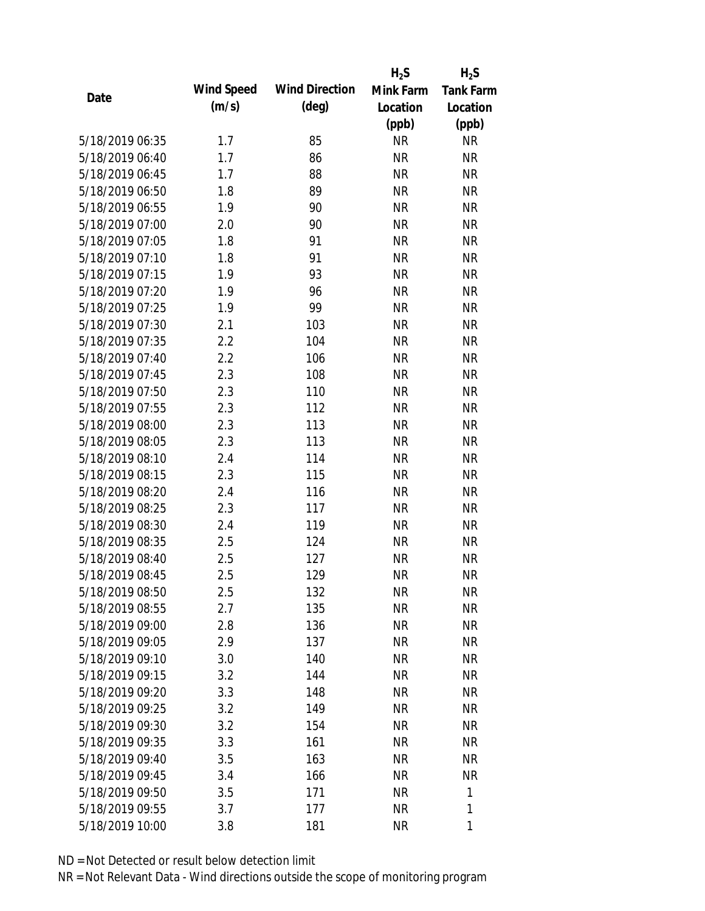|      |                 |            |                       | $H_2S$    | $H_2S$           |
|------|-----------------|------------|-----------------------|-----------|------------------|
|      |                 | Wind Speed | <b>Wind Direction</b> | Mink Farm | <b>Tank Farm</b> |
| Date |                 | (m/s)      | $(\text{deg})$        | Location  | Location         |
|      |                 |            |                       | (ppb)     | (ppb)            |
|      | 5/18/2019 06:35 | 1.7        | 85                    | <b>NR</b> | <b>NR</b>        |
|      | 5/18/2019 06:40 | 1.7        | 86                    | <b>NR</b> | <b>NR</b>        |
|      | 5/18/2019 06:45 | 1.7        | 88                    | <b>NR</b> | <b>NR</b>        |
|      | 5/18/2019 06:50 | 1.8        | 89                    | <b>NR</b> | <b>NR</b>        |
|      | 5/18/2019 06:55 | 1.9        | 90                    | <b>NR</b> | <b>NR</b>        |
|      | 5/18/2019 07:00 | 2.0        | 90                    | <b>NR</b> | <b>NR</b>        |
|      | 5/18/2019 07:05 | 1.8        | 91                    | <b>NR</b> | <b>NR</b>        |
|      | 5/18/2019 07:10 | 1.8        | 91                    | <b>NR</b> | <b>NR</b>        |
|      | 5/18/2019 07:15 | 1.9        | 93                    | <b>NR</b> | <b>NR</b>        |
|      | 5/18/2019 07:20 | 1.9        | 96                    | <b>NR</b> | <b>NR</b>        |
|      | 5/18/2019 07:25 | 1.9        | 99                    | <b>NR</b> | <b>NR</b>        |
|      | 5/18/2019 07:30 | 2.1        | 103                   | <b>NR</b> | <b>NR</b>        |
|      | 5/18/2019 07:35 | 2.2        | 104                   | <b>NR</b> | <b>NR</b>        |
|      | 5/18/2019 07:40 | 2.2        | 106                   | <b>NR</b> | <b>NR</b>        |
|      | 5/18/2019 07:45 | 2.3        | 108                   | <b>NR</b> | <b>NR</b>        |
|      | 5/18/2019 07:50 | 2.3        | 110                   | <b>NR</b> | <b>NR</b>        |
|      | 5/18/2019 07:55 | 2.3        | 112                   | <b>NR</b> | <b>NR</b>        |
|      | 5/18/2019 08:00 | 2.3        | 113                   | <b>NR</b> | <b>NR</b>        |
|      | 5/18/2019 08:05 | 2.3        | 113                   | <b>NR</b> | <b>NR</b>        |
|      | 5/18/2019 08:10 | 2.4        | 114                   | <b>NR</b> | <b>NR</b>        |
|      | 5/18/2019 08:15 | 2.3        | 115                   | <b>NR</b> | <b>NR</b>        |
|      | 5/18/2019 08:20 | 2.4        | 116                   | <b>NR</b> | <b>NR</b>        |
|      | 5/18/2019 08:25 | 2.3        | 117                   | <b>NR</b> | <b>NR</b>        |
|      | 5/18/2019 08:30 | 2.4        | 119                   | <b>NR</b> | <b>NR</b>        |
|      | 5/18/2019 08:35 | 2.5        | 124                   | <b>NR</b> | <b>NR</b>        |
|      | 5/18/2019 08:40 | 2.5        | 127                   | <b>NR</b> | <b>NR</b>        |
|      | 5/18/2019 08:45 | 2.5        | 129                   | <b>NR</b> | <b>NR</b>        |
|      | 5/18/2019 08:50 | 2.5        | 132                   | <b>NR</b> | <b>NR</b>        |
|      | 5/18/2019 08:55 | 2.7        | 135                   | <b>NR</b> | <b>NR</b>        |
|      | 5/18/2019 09:00 | 2.8        | 136                   | <b>NR</b> | <b>NR</b>        |
|      | 5/18/2019 09:05 | 2.9        | 137                   | <b>NR</b> | <b>NR</b>        |
|      | 5/18/2019 09:10 | 3.0        | 140                   | <b>NR</b> | <b>NR</b>        |
|      | 5/18/2019 09:15 | 3.2        | 144                   | <b>NR</b> | <b>NR</b>        |
|      | 5/18/2019 09:20 | 3.3        | 148                   | <b>NR</b> | <b>NR</b>        |
|      | 5/18/2019 09:25 | 3.2        | 149                   | <b>NR</b> | <b>NR</b>        |
|      | 5/18/2019 09:30 | 3.2        | 154                   | <b>NR</b> | <b>NR</b>        |
|      | 5/18/2019 09:35 | 3.3        | 161                   | <b>NR</b> | NR               |
|      | 5/18/2019 09:40 | 3.5        | 163                   | <b>NR</b> | NR               |
|      | 5/18/2019 09:45 | 3.4        | 166                   | <b>NR</b> | <b>NR</b>        |
|      | 5/18/2019 09:50 | 3.5        | 171                   | <b>NR</b> | 1                |
|      | 5/18/2019 09:55 | 3.7        | 177                   | <b>NR</b> | 1                |
|      | 5/18/2019 10:00 | 3.8        | 181                   | <b>NR</b> | 1                |
|      |                 |            |                       |           |                  |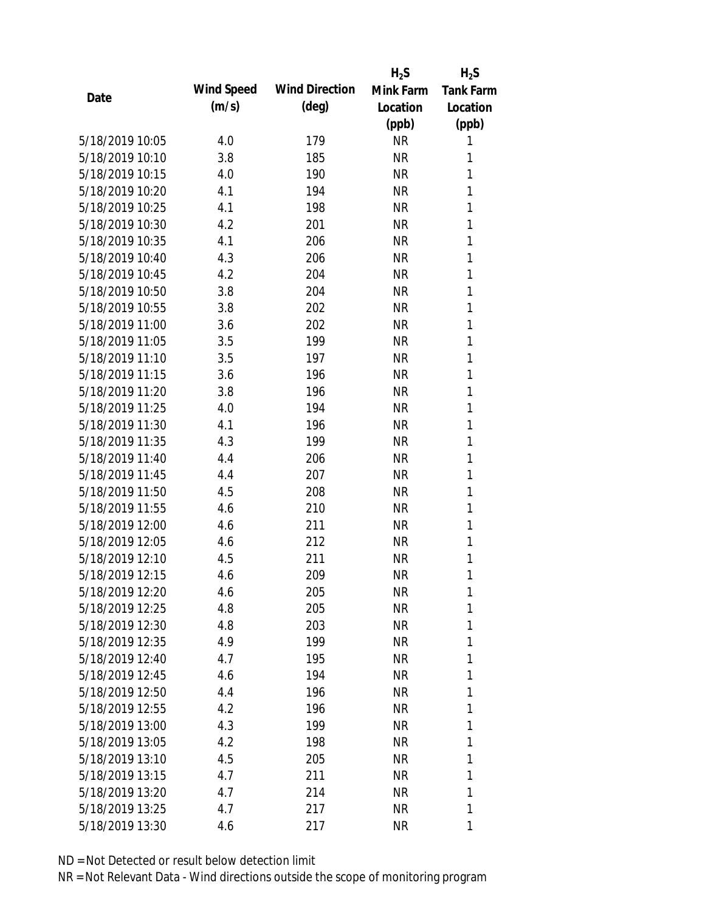|                 |            |                       | $H_2S$    | $H_2S$           |
|-----------------|------------|-----------------------|-----------|------------------|
| Date            | Wind Speed | <b>Wind Direction</b> | Mink Farm | <b>Tank Farm</b> |
|                 | (m/s)      | $(\text{deg})$        | Location  | Location         |
|                 |            |                       | (ppb)     | (ppb)            |
| 5/18/2019 10:05 | 4.0        | 179                   | <b>NR</b> | 1                |
| 5/18/2019 10:10 | 3.8        | 185                   | <b>NR</b> | 1                |
| 5/18/2019 10:15 | 4.0        | 190                   | <b>NR</b> | 1                |
| 5/18/2019 10:20 | 4.1        | 194                   | <b>NR</b> | 1                |
| 5/18/2019 10:25 | 4.1        | 198                   | <b>NR</b> | 1                |
| 5/18/2019 10:30 | 4.2        | 201                   | <b>NR</b> | 1                |
| 5/18/2019 10:35 | 4.1        | 206                   | <b>NR</b> | 1                |
| 5/18/2019 10:40 | 4.3        | 206                   | <b>NR</b> | 1                |
| 5/18/2019 10:45 | 4.2        | 204                   | <b>NR</b> | 1                |
| 5/18/2019 10:50 | 3.8        | 204                   | <b>NR</b> | 1                |
| 5/18/2019 10:55 | 3.8        | 202                   | <b>NR</b> | 1                |
| 5/18/2019 11:00 | 3.6        | 202                   | <b>NR</b> | 1                |
| 5/18/2019 11:05 | 3.5        | 199                   | <b>NR</b> | 1                |
| 5/18/2019 11:10 | 3.5        | 197                   | <b>NR</b> | 1                |
| 5/18/2019 11:15 | 3.6        | 196                   | <b>NR</b> | 1                |
| 5/18/2019 11:20 | 3.8        | 196                   | <b>NR</b> | 1                |
| 5/18/2019 11:25 | 4.0        | 194                   | <b>NR</b> | 1                |
| 5/18/2019 11:30 | 4.1        | 196                   | <b>NR</b> | 1                |
| 5/18/2019 11:35 | 4.3        | 199                   | <b>NR</b> | 1                |
| 5/18/2019 11:40 | 4.4        | 206                   | <b>NR</b> | 1                |
| 5/18/2019 11:45 | 4.4        | 207                   | <b>NR</b> | 1                |
| 5/18/2019 11:50 | 4.5        | 208                   | <b>NR</b> | 1                |
| 5/18/2019 11:55 | 4.6        | 210                   | <b>NR</b> | 1                |
| 5/18/2019 12:00 | 4.6        | 211                   | <b>NR</b> | 1                |
| 5/18/2019 12:05 | 4.6        | 212                   | <b>NR</b> | 1                |
| 5/18/2019 12:10 | 4.5        | 211                   | <b>NR</b> | 1                |
| 5/18/2019 12:15 | 4.6        | 209                   | <b>NR</b> | 1                |
| 5/18/2019 12:20 | 4.6        | 205                   | <b>NR</b> | 1                |
| 5/18/2019 12:25 | 4.8        | 205                   | <b>NR</b> | 1                |
| 5/18/2019 12:30 | 4.8        | 203                   | <b>NR</b> | 1                |
| 5/18/2019 12:35 | 4.9        | 199                   | <b>NR</b> | 1                |
| 5/18/2019 12:40 | 4.7        | 195                   | <b>NR</b> | 1                |
| 5/18/2019 12:45 | 4.6        | 194                   | <b>NR</b> | 1                |
| 5/18/2019 12:50 | 4.4        | 196                   | <b>NR</b> | 1                |
| 5/18/2019 12:55 | 4.2        | 196                   | <b>NR</b> | 1                |
| 5/18/2019 13:00 | 4.3        | 199                   | <b>NR</b> | 1                |
| 5/18/2019 13:05 | 4.2        | 198                   | <b>NR</b> | 1                |
| 5/18/2019 13:10 | 4.5        | 205                   | NR        | 1                |
| 5/18/2019 13:15 | 4.7        | 211                   | <b>NR</b> | 1                |
| 5/18/2019 13:20 | 4.7        | 214                   | <b>NR</b> | 1                |
| 5/18/2019 13:25 | 4.7        | 217                   | <b>NR</b> | 1                |
| 5/18/2019 13:30 | 4.6        | 217                   | <b>NR</b> | 1                |
|                 |            |                       |           |                  |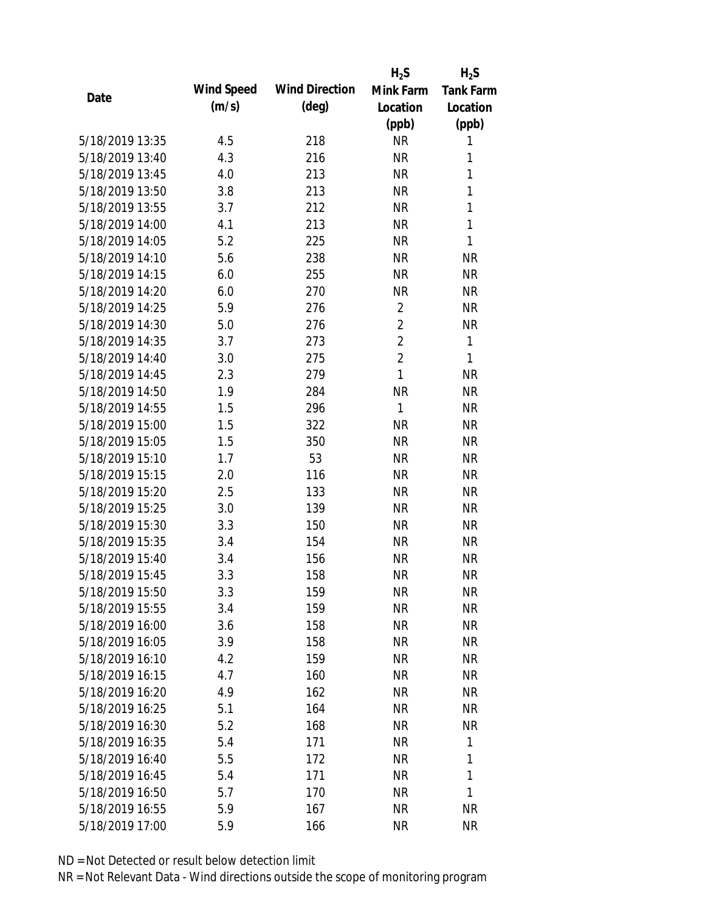|                 |            |                       | $H_2S$         | $H_2S$           |
|-----------------|------------|-----------------------|----------------|------------------|
|                 | Wind Speed | <b>Wind Direction</b> | Mink Farm      | <b>Tank Farm</b> |
| Date            | (m/s)      | $(\text{deg})$        | Location       | Location         |
|                 |            |                       | (ppb)          | (ppb)            |
| 5/18/2019 13:35 | 4.5        | 218                   | <b>NR</b>      | 1                |
| 5/18/2019 13:40 | 4.3        | 216                   | <b>NR</b>      | 1                |
| 5/18/2019 13:45 | 4.0        | 213                   | <b>NR</b>      | 1                |
| 5/18/2019 13:50 | 3.8        | 213                   | <b>NR</b>      | 1                |
| 5/18/2019 13:55 | 3.7        | 212                   | <b>NR</b>      | 1                |
| 5/18/2019 14:00 | 4.1        | 213                   | <b>NR</b>      | 1                |
| 5/18/2019 14:05 | 5.2        | 225                   | <b>NR</b>      | 1                |
| 5/18/2019 14:10 | 5.6        | 238                   | <b>NR</b>      | <b>NR</b>        |
| 5/18/2019 14:15 | 6.0        | 255                   | <b>NR</b>      | <b>NR</b>        |
| 5/18/2019 14:20 | 6.0        | 270                   | <b>NR</b>      | <b>NR</b>        |
| 5/18/2019 14:25 | 5.9        | 276                   | $\overline{2}$ | <b>NR</b>        |
| 5/18/2019 14:30 | 5.0        | 276                   | $\overline{2}$ | <b>NR</b>        |
| 5/18/2019 14:35 | 3.7        | 273                   | $\overline{2}$ | 1                |
| 5/18/2019 14:40 | 3.0        | 275                   | $\overline{2}$ | 1                |
| 5/18/2019 14:45 | 2.3        | 279                   | $\mathbf{1}$   | <b>NR</b>        |
| 5/18/2019 14:50 | 1.9        | 284                   | <b>NR</b>      | <b>NR</b>        |
| 5/18/2019 14:55 | 1.5        | 296                   | 1              | <b>NR</b>        |
| 5/18/2019 15:00 | 1.5        | 322                   | <b>NR</b>      | <b>NR</b>        |
| 5/18/2019 15:05 | 1.5        | 350                   | <b>NR</b>      | <b>NR</b>        |
| 5/18/2019 15:10 | 1.7        | 53                    | <b>NR</b>      | <b>NR</b>        |
| 5/18/2019 15:15 | 2.0        | 116                   | <b>NR</b>      | <b>NR</b>        |
| 5/18/2019 15:20 | 2.5        | 133                   | <b>NR</b>      | <b>NR</b>        |
| 5/18/2019 15:25 | 3.0        | 139                   | <b>NR</b>      | <b>NR</b>        |
| 5/18/2019 15:30 | 3.3        | 150                   | <b>NR</b>      | <b>NR</b>        |
| 5/18/2019 15:35 | 3.4        | 154                   | <b>NR</b>      | <b>NR</b>        |
| 5/18/2019 15:40 | 3.4        | 156                   | <b>NR</b>      | <b>NR</b>        |
| 5/18/2019 15:45 | 3.3        | 158                   | <b>NR</b>      | <b>NR</b>        |
| 5/18/2019 15:50 | 3.3        | 159                   | <b>NR</b>      | <b>NR</b>        |
| 5/18/2019 15:55 | 3.4        | 159                   | <b>NR</b>      | <b>NR</b>        |
| 5/18/2019 16:00 | 3.6        | 158                   | <b>NR</b>      | <b>NR</b>        |
| 5/18/2019 16:05 | 3.9        | 158                   | <b>NR</b>      | <b>NR</b>        |
| 5/18/2019 16:10 | 4.2        | 159                   | <b>NR</b>      | <b>NR</b>        |
| 5/18/2019 16:15 | 4.7        | 160                   | <b>NR</b>      | <b>NR</b>        |
| 5/18/2019 16:20 | 4.9        | 162                   | <b>NR</b>      | <b>NR</b>        |
| 5/18/2019 16:25 | 5.1        | 164                   | <b>NR</b>      | <b>NR</b>        |
| 5/18/2019 16:30 | 5.2        | 168                   | NR             | <b>NR</b>        |
| 5/18/2019 16:35 | 5.4        | 171                   | <b>NR</b>      | 1                |
| 5/18/2019 16:40 | 5.5        | 172                   | <b>NR</b>      | 1                |
| 5/18/2019 16:45 | 5.4        | 171                   | <b>NR</b>      | 1                |
| 5/18/2019 16:50 | 5.7        | 170                   | <b>NR</b>      | 1                |
| 5/18/2019 16:55 | 5.9        | 167                   | <b>NR</b>      | <b>NR</b>        |
| 5/18/2019 17:00 |            |                       | <b>NR</b>      | <b>NR</b>        |
|                 | 5.9        | 166                   |                |                  |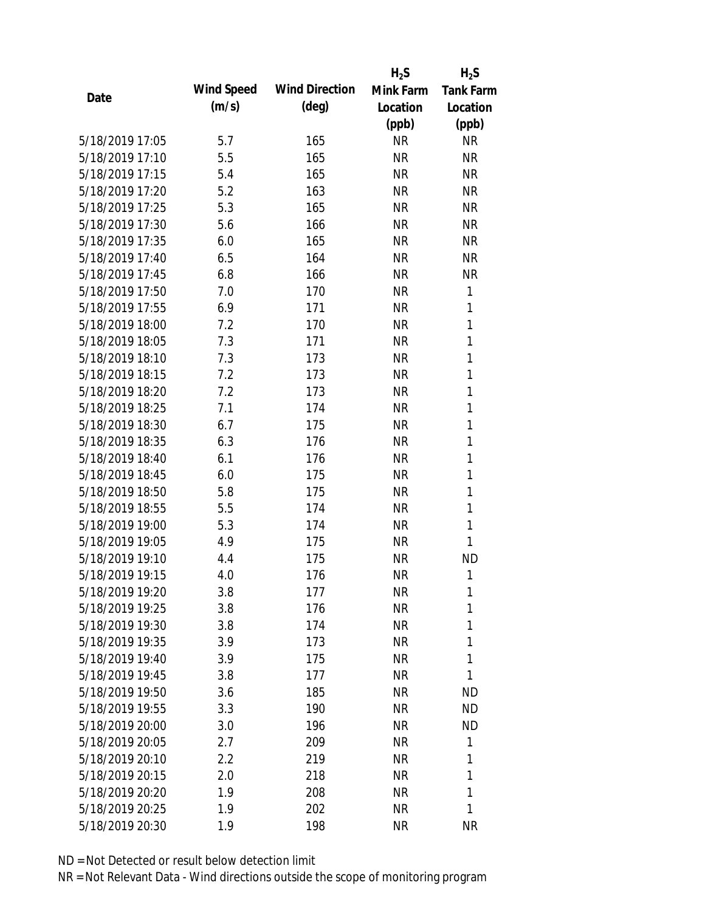|                 |            |                       | $H_2S$    | $H_2S$           |
|-----------------|------------|-----------------------|-----------|------------------|
|                 | Wind Speed | <b>Wind Direction</b> | Mink Farm | <b>Tank Farm</b> |
| Date            | (m/s)      | $(\text{deg})$        | Location  | Location         |
|                 |            |                       | (ppb)     | (ppb)            |
| 5/18/2019 17:05 | 5.7        | 165                   | <b>NR</b> | <b>NR</b>        |
| 5/18/2019 17:10 | 5.5        | 165                   | <b>NR</b> | <b>NR</b>        |
| 5/18/2019 17:15 | 5.4        | 165                   | <b>NR</b> | <b>NR</b>        |
| 5/18/2019 17:20 | 5.2        | 163                   | <b>NR</b> | <b>NR</b>        |
| 5/18/2019 17:25 | 5.3        | 165                   | <b>NR</b> | <b>NR</b>        |
| 5/18/2019 17:30 | 5.6        | 166                   | <b>NR</b> | <b>NR</b>        |
| 5/18/2019 17:35 | 6.0        | 165                   | <b>NR</b> | <b>NR</b>        |
| 5/18/2019 17:40 | 6.5        | 164                   | <b>NR</b> | <b>NR</b>        |
| 5/18/2019 17:45 | 6.8        | 166                   | <b>NR</b> | <b>NR</b>        |
| 5/18/2019 17:50 | 7.0        | 170                   | <b>NR</b> | 1                |
| 5/18/2019 17:55 | 6.9        | 171                   | <b>NR</b> | 1                |
| 5/18/2019 18:00 | 7.2        | 170                   | <b>NR</b> | 1                |
| 5/18/2019 18:05 | 7.3        | 171                   | <b>NR</b> | 1                |
| 5/18/2019 18:10 | 7.3        | 173                   | <b>NR</b> | $\mathbf{1}$     |
| 5/18/2019 18:15 | 7.2        | 173                   | <b>NR</b> | $\mathbf{1}$     |
| 5/18/2019 18:20 | 7.2        | 173                   | <b>NR</b> | 1                |
| 5/18/2019 18:25 | 7.1        | 174                   | <b>NR</b> | $\mathbf{1}$     |
| 5/18/2019 18:30 | 6.7        | 175                   | <b>NR</b> | 1                |
| 5/18/2019 18:35 | 6.3        | 176                   | <b>NR</b> | 1                |
| 5/18/2019 18:40 | 6.1        | 176                   | <b>NR</b> | $\mathbf{1}$     |
| 5/18/2019 18:45 | 6.0        | 175                   | <b>NR</b> | 1                |
| 5/18/2019 18:50 | 5.8        | 175                   | <b>NR</b> | 1                |
| 5/18/2019 18:55 | 5.5        | 174                   | <b>NR</b> | 1                |
| 5/18/2019 19:00 | 5.3        | 174                   | <b>NR</b> | $\mathbf{1}$     |
| 5/18/2019 19:05 | 4.9        | 175                   | <b>NR</b> | 1                |
| 5/18/2019 19:10 | 4.4        | 175                   | <b>NR</b> | <b>ND</b>        |
| 5/18/2019 19:15 | 4.0        | 176                   | <b>NR</b> | 1                |
| 5/18/2019 19:20 | 3.8        | 177                   | <b>NR</b> | 1                |
| 5/18/2019 19:25 | 3.8        | 176                   | <b>NR</b> | 1                |
| 5/18/2019 19:30 | 3.8        | 174                   | <b>NR</b> | 1                |
| 5/18/2019 19:35 | 3.9        | 173                   | <b>NR</b> | 1                |
| 5/18/2019 19:40 | 3.9        | 175                   | <b>NR</b> | 1                |
| 5/18/2019 19:45 | 3.8        | 177                   | <b>NR</b> | 1                |
| 5/18/2019 19:50 | 3.6        | 185                   | <b>NR</b> | <b>ND</b>        |
| 5/18/2019 19:55 | 3.3        | 190                   | <b>NR</b> | <b>ND</b>        |
| 5/18/2019 20:00 | 3.0        | 196                   | <b>NR</b> | <b>ND</b>        |
| 5/18/2019 20:05 | 2.7        | 209                   | <b>NR</b> | 1                |
| 5/18/2019 20:10 | 2.2        | 219                   | <b>NR</b> | 1                |
| 5/18/2019 20:15 | 2.0        | 218                   | <b>NR</b> | 1                |
| 5/18/2019 20:20 | 1.9        | 208                   | <b>NR</b> | 1                |
| 5/18/2019 20:25 | 1.9        | 202                   | <b>NR</b> | 1                |
| 5/18/2019 20:30 | 1.9        | 198                   | <b>NR</b> | <b>NR</b>        |
|                 |            |                       |           |                  |